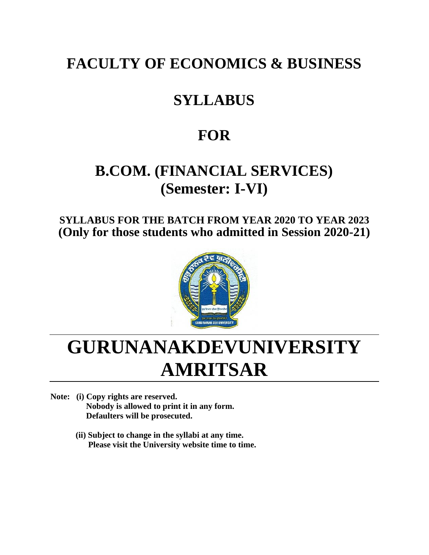# **FACULTY OF ECONOMICS & BUSINESS**

# **SYLLABUS**

# **FOR**

# **B.COM. (FINANCIAL SERVICES) (Semester: I-VI)**

**SYLLABUS FOR THE BATCH FROM YEAR 2020 TO YEAR 2023 (Only for those students who admitted in Session 2020-21)**



# **GURUNANAKDEVUNIVERSITY AMRITSAR**

- **Note: (i) Copy rights are reserved. Nobody is allowed to print it in any form. Defaulters will be prosecuted.**
	- **(ii) Subject to change in the syllabi at any time. Please visit the University website time to time.**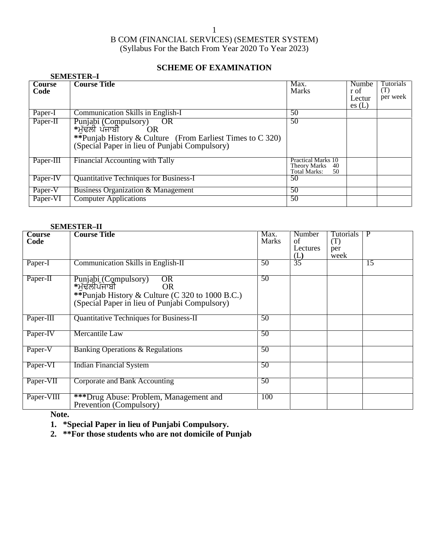### **SCHEME OF EXAMINATION**

|                | <b>SEMESTER-I</b>                                                                                                                                            |                                                                    |                                         |                              |
|----------------|--------------------------------------------------------------------------------------------------------------------------------------------------------------|--------------------------------------------------------------------|-----------------------------------------|------------------------------|
| Course<br>Code | <b>Course Title</b>                                                                                                                                          | Max.<br><b>Marks</b>                                               | <b>Numbe</b><br>r of<br>Lectur<br>es(L) | Tutorials<br>(T)<br>per week |
| Paper-I        | Communication Skills in English-I                                                                                                                            | 50                                                                 |                                         |                              |
| Paper-II       | Punjabi (Compulsory)<br>*ਮੱਢਲੀ ਪੰਜਾਬੀ OR<br>OR<br>**Punjab History & Culture (From Earliest Times to C 320)<br>(Special Paper in lieu of Punjabi Compulsory) | 50                                                                 |                                         |                              |
| Paper-III      | Financial Accounting with Tally                                                                                                                              | <b>Practical Marks 10</b><br>Theory Marks 40<br>Total Marks:<br>50 |                                         |                              |
| Paper-IV       | Quantitative Techniques for Business-I                                                                                                                       | 50                                                                 |                                         |                              |
| Paper-V        | <b>Business Organization &amp; Management</b>                                                                                                                | 50                                                                 |                                         |                              |
| Paper-VI       | <b>Computer Applications</b>                                                                                                                                 | 50                                                                 |                                         |                              |

#### **SEMESTER–II**

| Course<br>Code | <b>Course Title</b>                                                                                                                                                | Max.<br><b>Marks</b> | Number<br>of<br>Lectures | <b>Tutorials</b><br>(T)<br>per | P  |
|----------------|--------------------------------------------------------------------------------------------------------------------------------------------------------------------|----------------------|--------------------------|--------------------------------|----|
| Paper-I        | <b>Communication Skills in English-II</b>                                                                                                                          | 50                   | (L)<br>$\overline{35}$   | week                           | 15 |
|                |                                                                                                                                                                    |                      |                          |                                |    |
| Paper-II       | Punjabi (Compulsory)<br>*ਮੱਢਲੀਪੰਜਾਬੀ<br><b>OR</b><br><b>OR</b><br>**Punjab History & Culture (C 320 to 1000 B.C.)<br>(Special Paper in lieu of Punjabi Compulsory) | 50                   |                          |                                |    |
| Paper-III      | Quantitative Techniques for Business-II                                                                                                                            | 50                   |                          |                                |    |
| Paper-IV       | Mercantile Law                                                                                                                                                     | 50                   |                          |                                |    |
| Paper-V        | Banking Operations & Regulations                                                                                                                                   | 50                   |                          |                                |    |
| Paper-VI       | <b>Indian Financial System</b>                                                                                                                                     | 50                   |                          |                                |    |
| Paper-VII      | Corporate and Bank Accounting                                                                                                                                      | 50                   |                          |                                |    |
| Paper-VIII     | ***Drug Abuse: Problem, Management and<br>Prevention (Compulsory)                                                                                                  | 100                  |                          |                                |    |

**Note.**

**1. \*Special Paper in lieu of Punjabi Compulsory.**

**2. \*\*For those students who are not domicile of Punjab**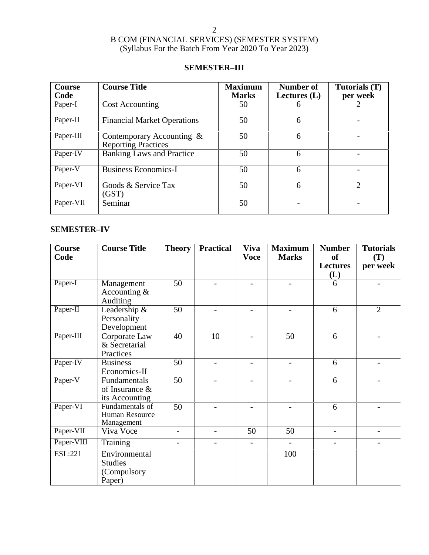### **SEMESTER–III**

| <b>Course</b><br>Code | <b>Course Title</b>                                     | <b>Maximum</b><br><b>Marks</b> | Number of<br>Lectures $(L)$ | Tutorials (T)<br>per week |
|-----------------------|---------------------------------------------------------|--------------------------------|-----------------------------|---------------------------|
| Paper-I               | <b>Cost Accounting</b>                                  | 50                             | 6                           |                           |
| Paper-II              | <b>Financial Market Operations</b>                      | 50                             | 6                           |                           |
| Paper-III             | Contemporary Accounting &<br><b>Reporting Practices</b> | 50                             | 6                           |                           |
| Paper-IV              | <b>Banking Laws and Practice</b>                        | 50                             | 6                           |                           |
| Paper-V               | <b>Business Economics-I</b>                             | 50                             | 6                           |                           |
| Paper-VI              | Goods & Service Tax<br>(GST)                            | 50                             | 6                           | $\overline{2}$            |
| Paper-VII             | Seminar                                                 | 50                             |                             |                           |

### **SEMESTER–IV**

| Course<br>Code | <b>Course Title</b>                                      | <b>Theory</b>            | <b>Practical</b>         | <b>Viva</b><br><b>Voce</b> | <b>Maximum</b><br><b>Marks</b> | <b>Number</b><br><b>of</b> | <b>Tutorials</b><br>(T)  |  |
|----------------|----------------------------------------------------------|--------------------------|--------------------------|----------------------------|--------------------------------|----------------------------|--------------------------|--|
|                |                                                          |                          |                          |                            |                                | <b>Lectures</b><br>(L)     | per week                 |  |
| Paper-I        | Management<br>Accounting $&$<br>Auditing                 | 50                       |                          |                            |                                | 6                          |                          |  |
| Paper-II       | Leadership &<br>Personality<br>Development               | 50                       |                          |                            |                                | 6                          | 2                        |  |
| Paper-III      | Corporate Law<br>& Secretarial<br>Practices              | 40                       | 10                       |                            | 50                             | 6                          |                          |  |
| Paper-IV       | <b>Business</b><br>Economics-II                          | 50                       |                          |                            |                                | 6                          |                          |  |
| Paper-V        | Fundamentals<br>of Insurance &<br>its Accounting         | $\overline{50}$          | $\overline{\phantom{a}}$ |                            | -                              | 6                          | $\qquad \qquad -$        |  |
| Paper-VI       | Fundamentals of<br>Human Resource<br>Management          | 50                       |                          |                            |                                | 6                          |                          |  |
| Paper-VII      | Viva Voce                                                | $\qquad \qquad -$        |                          | 50                         | 50                             | -                          |                          |  |
| Paper-VIII     | Training                                                 | $\overline{\phantom{0}}$ | $\overline{\phantom{a}}$ | $\overline{a}$             | $\overline{a}$                 | $\overline{\phantom{0}}$   | $\overline{\phantom{0}}$ |  |
| ESL:221        | Environmental<br><b>Studies</b><br>(Compulsory<br>Paper) |                          |                          |                            | 100                            |                            |                          |  |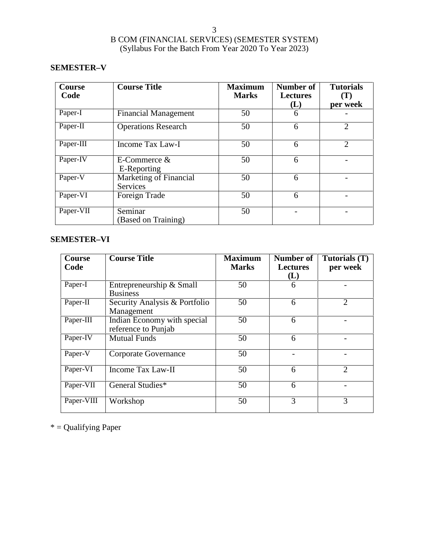### **SEMESTER–V**

| Course<br>Code | <b>Course Title</b>                       | <b>Maximum</b><br><b>Marks</b> | Number of<br><b>Lectures</b><br>(L) | <b>Tutorials</b><br>$(\mathbf{T})$<br>per week |
|----------------|-------------------------------------------|--------------------------------|-------------------------------------|------------------------------------------------|
| Paper-I        | <b>Financial Management</b>               | 50                             | 6                                   |                                                |
| Paper-II       | <b>Operations Research</b>                | 50                             | 6                                   | $\overline{2}$                                 |
| Paper-III      | Income Tax Law-I                          | 50                             | 6                                   | $\overline{2}$                                 |
| Paper-IV       | E-Commerce $&$<br>E-Reporting             | 50                             | 6                                   |                                                |
| Paper-V        | Marketing of Financial<br><b>Services</b> | 50                             | 6                                   |                                                |
| Paper-VI       | Foreign Trade                             | 50                             | 6                                   |                                                |
| Paper-VII      | Seminar<br>(Based on Training)            | 50                             |                                     |                                                |

### **SEMESTER–VI**

| <b>Course</b><br>Code | <b>Course Title</b>                                | <b>Maximum</b><br><b>Marks</b> | Number of<br><b>Lectures</b><br>(L) | Tutorials (T)<br>per week |
|-----------------------|----------------------------------------------------|--------------------------------|-------------------------------------|---------------------------|
| Paper-I               | Entrepreneurship & Small<br><b>Business</b>        | 50                             | 6                                   |                           |
| Paper-II              | Security Analysis & Portfolio<br>Management        | 50                             | 6                                   | $\overline{2}$            |
| Paper-III             | Indian Economy with special<br>reference to Punjab | 50                             | 6                                   |                           |
| Paper-IV              | <b>Mutual Funds</b>                                | 50                             | 6                                   |                           |
| Paper-V               | Corporate Governance                               | 50                             |                                     |                           |
| Paper-VI              | Income Tax Law-II                                  | 50                             | 6                                   | $\overline{2}$            |
| Paper-VII             | General Studies*                                   | 50                             | 6                                   |                           |
| Paper-VIII            | Workshop                                           | 50                             | 3                                   | 3                         |

\* = Qualifying Paper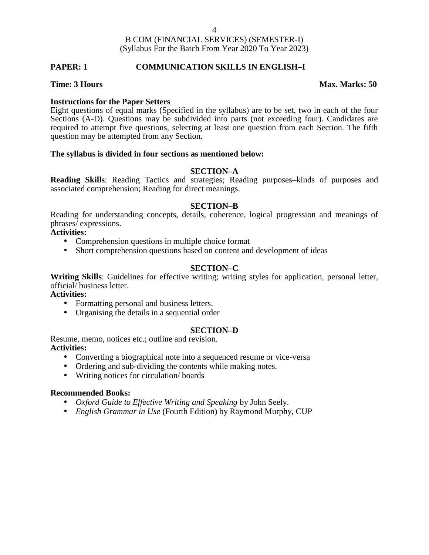#### **PAPER: 1 COMMUNICATION SKILLS IN ENGLISH–I**

#### **Time: 3 Hours Max. Marks: 50**

#### **Instructions for the Paper Setters**

Eight questions of equal marks (Specified in the syllabus) are to be set, two in each of the four Sections (A-D). Questions may be subdivided into parts (not exceeding four). Candidates are required to attempt five questions, selecting at least one question from each Section. The fifth question may be attempted from any Section.

#### **The syllabus is divided in four sections as mentioned below:**

#### **SECTION–A**

**Reading Skills**: Reading Tactics and strategies; Reading purposes–kinds of purposes and associated comprehension; Reading for direct meanings.

#### **SECTION–B**

Reading for understanding concepts, details, coherence, logical progression and meanings of phrases/ expressions.

### **Activities:**

- Comprehension questions in multiple choice format
- Short comprehension questions based on content and development of ideas

#### **SECTION–C**

**Writing Skills**: Guidelines for effective writing; writing styles for application, personal letter, official/ business letter.

### **Activities:**

- Formatting personal and business letters.
- Organising the details in a sequential order

#### **SECTION–D**

Resume, memo, notices etc.; outline and revision. **Activities:**

- Converting a biographical note into a sequenced resume or vice-versa
- Ordering and sub-dividing the contents while making notes.
- Writing notices for circulation/ boards

#### **Recommended Books:**

- *Oxford Guide to Effective Writing and Speaking* by John Seely.
- *English Grammar in Use* (Fourth Edition) by Raymond Murphy, CUP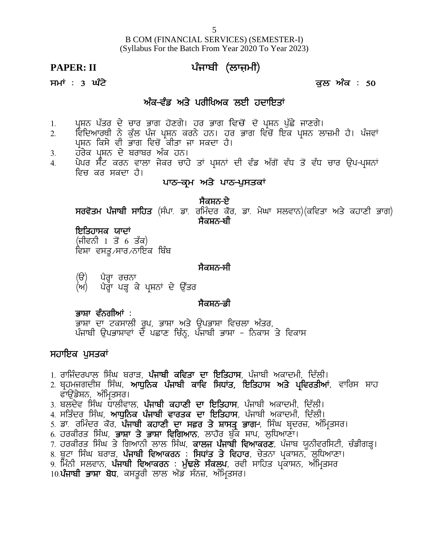B COM (FINANCIAL SERVICES) (SEMESTER-I) (Syllabus For the Batch From Year 2020 To Year 2023) B COM (FINANCIAL SERVICES) (SEMESTER-I)<br>(Syllabus For the Batch From Year 2020 To Year 2023)<br>**PAPER: II** ਪੰਜਾਬੀ (ਲਾਜ਼ਮੀ)<br>ਸਮਾਂ : 3 ਘੰਟੇ s<br>
B COM (FINANCIAL SERVICES) (SEMESTER-I)<br>(Syllabus For the Batch From Year 2020 To Year 2023)<br> **PAPER: II** ਪੰਜਾਬੀ (ਲਾਜ਼ਮੀ)<br>
ਸਮਾਂ : 3 ਘੰਟੇ<br>ਅੰਕ-ਵੰਡ ਅਤੇ ਪਰੀਖਿਅਕ ਲਈ ਹਦਾਇਤਾਂ<br>
ਅੰਕ-ਵੰਡ ਅਤੇ ਪਰੀਖਿਅਕ ਲਈ ਹਦਾਇਤਾਂ M (FINANCIAL SERVICES) (SEMESTER-I<br>us For the Batch From Year 2020 To Year 202<br>**ਪੰਜਾਬੀ (ਲਾਜ਼ਮੀ)**<br>ਅੰਕ<del>-ਵੰਡ ਅਤੇ ਪਰੀਖਿਅਕ ਲਈ ਹਦਾਇਤਾਂ</del><br>ਭਾਗ ਹੋਣਗੇ। ਹਰ ਭਾਗ ਵਿਚੋਂ ਦੋ ਪ੍ਰਸ਼ਨ ਪੁੱਛੇ <sup>;</sup>

- 
- 1H gqFB g `so d / uko Gkr j'Dr /. jo Gkr ftu' \_ d' gqFB g [`S / ikDr /. 2H ftfdnkoEh B / e[`b g zi gqFB eoB / jB. jo Gkr ftu'\_ fJe gqFB bk}wh j?. g zitK 3 **ਘੰਟੇ**<br>ਅੰ<mark>ਕ-ਵੰਡ ਅਤੇ ਪਰੀਖਿਅਕ ਲਈ ਹਦਾ</mark><br>ਪ੍ਰਸ਼ਨ ਪੱਤਰ ਦੇ ਚਾਰ ਭਾਗ ਹੋਣਗੇ। ਹਰ ਭਾਗ ਵਿਚੋਂ ਦੋ ਪ੍ਰ<br>ਵਿਦਿਆਰਥੀ ਨੇ ਕੁੱਲ ਪੰਜ ਪ੍ਰਸ਼ਨ ਕਰਨੇ ਹਨ। ਹਰ ਭਾਗ ਵਿ<br>ਪ੍ਰਸ਼ਨ ਵੇ ਬਰਾਬਰ ਅੰਕ ਹਨ।<br>ਪੇਪਰ ਸੈੱਟ ਕਰਨ ਵਾਲਾ ਜੇਕਰ ਚਾਹੇ ਤਾਂ ਪ੍ਰਸ਼ਨਾਂ ਦੀ ਵੰਡ ਅ
- 
- 
- ਜੰਸਾ : ਤੇ ਜੁਣ<br>1. ਪ੍ਰਸ਼ਨ ਪੱਤਰ ਦੇ ਚਾਰ ਭਾਗ ਹੋਣਗੇ। ਹਰ ਭਾਗ ਵਿਚੋਂ ਦੱ<br>2. ਵਿਦਿਆਰਥੀ ਨੇ ਕੁੱਲ ਪੰਜ ਪ੍ਰਸ਼ਨ ਕਰਨੇ ਹਨ। ਹਰ ਭਾਗ<br>ਪ੍ਰਸ਼ਨ ਕਿਸੇ ਵੀ ਭਾਗ ਵਿਚੋਂ ਕੀਤਾ ਜਾ ਸਕਦਾ ਹੈ।<br>3. ਹਰੇਕ ਪ੍ਰਸ਼ਨ ਦੇ ਬਰਾਬਰ ਅੰਕ ਹਨ।<br>4. ਪੇਪਰ ਸੈਂਟ ਕਰਨ ਵਾਲਾ ਜੇਕਰ ਚਾਹੇ ਤਾਂ **ਅੰਕ-ਵੰਡ ਅਤੇ ਪਰੀਖਿਅਕ ਲਈ ਹਦਾਇਤਾਂ**<br>1. ਪ੍ਰਸ਼ਨ ਪੱਤਰ ਦੇ ਚਾਰ ਭਾਗ ਹੋਣਗੇ। ਹਰ ਭਾਗ ਵਿਚੋਂ ਦੋ ਪ੍ਰਸ਼ਨ ਪੁੱਛੇ ਜਾਣਗੇ।<br>2. ਵਿਦਿਆਰਥੀ ਨੇ ਕੁੱਲ ਪੰਜ ਪ੍ਰਸ਼ਨ ਕਰਨੇ ਹਨ। ਹਰ ਭਾਗ ਵਿਚੋਂ ਇਕ ਪ੍ਰਸ਼ਨ ਲਾਜ਼ਮੀ ਹੈ। ਪੰਜਵਾਂ<br>3. ਹਰੇਕ ਪ੍ਰਸ਼ਨ ਦੇ ਬਰਾਬਰ ਅੰਕ ਹ ਵਿਚ ਕਰ ਸਕਦਾ ਹੈ।<br>**ਪਾਠ-ਕਮ ਅਤੇ ਪਾਠ-ਪੁਸਤਕਾਂ** ਹੋਣਗੇ। ਹਰ ਭਾਗ ਵਿਚੋਂ ਦੋ ਪ੍ਰਸ਼ਨ ਪੁੱਛੇ <sup>;</sup><br>ਮ੍ਰਸ਼ਨ ਕਰਨੇ ਹਨ। ਹਰ ਭਾਗ ਵਿਚੋਂ ਇਕ ਪ੍ਰ<br>ਕੀਤਾ ਜਾ ਸਕਦਾ ਹੈ।<br>ਕ ਹਨ।<br>ਪਾ**ਠ-ਕ੍ਰਮ ਅਤੇ ਪਾਠ-ਪੁਸਤਕਾਂ**<br>**ਪਾਠ-ਕ੍ਰਮ ਅਤੇ ਪਾਠ-ਪੁਸਤਕਾਂ**<br>**ਪਾਠ-ਕ੍ਰਮ ਅਤੇ ਪਾਠ-ਪੁਸਤਕਾਂ**

ਾਹਨ ਹੋਰ ਭਾਗ ਵਿਚ ਇਕ ਪ੍ਰਸ਼ਨ ਨ<br>ਸਕਦਾ ਹੈ।<br>ਭਾਂ ਪ੍ਰਸ਼ਨਾਂ ਦੀ ਵੰਡ ਅੱਗੋਂ ਵੱਧ ਤੋਂ ਵੱਧ<br>**ਅਤੇ ਪਾਠ-ਪੁਸਤਕਾਂ**<br>ਸੈ**ਕਸ਼ਨ-ਏ**<br>ਸੈਕਸ਼ਨ-ਬੀ ਪ੍ਰਸ਼ਨ ਕਿਸ ਵਾ ਭਾਗ ਵਿਚ ਕੀਤਾ ਜਾ ਸਕਦਾ ਹੈ।<br>ਹਰੇਕ ਪ੍ਰਸ਼ਨ ਦੇ ਬਰਾਬਰ ਅੰਕ ਹਨ।<br>ਪੇਪਰ ਸੈੱਟ ਕਰਨ ਵਾਲਾ ਜੇਕਰ ਚਾਹੇ ਤਾਂ ਪ੍ਰਸ਼ਨਾਂ ਦੀ ਵੰਡ ਅੱਗੋਂ ਵੱਧ ਤੋਂ ਵੱਧ ਚਾਰ ਉਪ-ਪ੍ਰਸ਼ਨਾਂ<br>ਵਿਚ ਕਰ ਸਕਦਾ ਹੈ।<br>ਸਰਵੋਤਮ ਪੰਜਾਬੀ ਸਾਹਿਤ (ਸੰਪਾ ਡਾ. ਰਮਿੰਦਰ ਕੌਰ, ਡਾ. ਮੇਘਾ ਸਲ ਖਾਣ<del>ਾ ਪ੍ਰ</del>ਮਾ ਅਤ ਖਾਣ-ਚੁਸਤਕ<br>ਸਰਵੋਤਮ ਪੰਜਾਬੀ ਸਾਹਿਤ (ਸੰਪਾ ਡਾ ਰਮਿੰਦਰ ਕੌਰ, ਡਾ. i<br>ਇਤਿਹਾਸਕ ਯਾਦਾਂ<br>(ਜੀਵਨੀ 1 ਤੋਂ 6 ਤੱਕ)<br>ਵਿਸ਼ਾ ਵਸਤੂ ਸਾਰ ਨਾਇਕ ਬਿੰਬ<br>ਵਿਸ਼ਾ ਵਸਤੂ ਸਾਰ ਨਾਇਕ ਬਿੰਬ

#### **ਇਤਿਹਾਸਕ ਯਾਦਾਂ**

(ਜੀਵਨੀ 1 ਤੋਂ 6 ਤੱਕ)<br>ਵਿਸ਼ਾ ਵਸਤ ⁄ਸਾਰ ⁄ਨਾਇਕ ਬਿੰਬ

### ,ਸੈਕਸ਼ਨ<del>-</del>ਸੀ

**ਇਤਿਹਾਸਕ ਯਾਦਾਂ**<br>(ਜੀਵਨੀ 1 ਤੋਂ 6 ਤੱਕ)<br>ਵਿਸ਼ਾ ਵਸਤੂ ਸਾਰ ਨਾਇਕ ਬਿੰਬ<br>ਵਿਸ਼ਾ ਵਸਤੂ ਸਾਰ ਨਾਇਕ ਬਿੰਬ<br>(ਯ) ਪੈਗ੍ਹਾ ਪੜ੍ਹ ਕੇ ਪ੍ਰਸ਼ਨਾਂ ਦੇ ਉੱਤਰ<br>ਅਮ) ਪੈਗ੍ਹਾ ਪੜ੍ਹ ਕੇ ਪ੍ਰਸ਼ਨਾਂ ਦੇ ਉੱਤਰ<br>ਜੀਕਸ਼ਨ-ਡੀ

### <u>ਸੈਕਸ਼ਨ-ਡੀ</u>

(ੳ) ਪੈਰ੍ਹਾ ਰਚਨਾ<br>(ਅ) ਪੈਰ੍ਹਾ ਪੜ੍ਹ ਕੇ ਪ੍ਰਸ਼ਨਾਂ ਦੇ ਉੱਤਰ<br>**ਭਾਸ਼ਾ ਵੰਨਗੀਆਂ** :<br>ਭਾਸ਼ਾ ਦਾ ਟਕਸਾਲੀ ਰੂਪ, ਭਾਸ਼ਾ ਅਤੇ ਉਪਭਾਸ਼ਾ ਵਿਚਲਾ ਅੰਤਰ,<br>ਪੰਜਾਬੀ ੳਪਭਾਸ਼ਾਵਾਂ ਦੇ ਪਛਾਣ ਚਿੰਨ੍ਹ, ਪੰਜਾਬੀ ਭਾਸ਼ਾ - ਨਿਕਾਸ ਤੇ ਵਿਕਾਸ (ੳ) ਪੈਰ੍ਹਾ ਰਚਨਾ<br>(ਅ) ਪੈਰ੍ਹਾ ਹਚਨਾ<br>(ਅ) ਪੈਰ੍ਹਾ ਪੜ੍ਹ ਕੇ ਪ੍ਰਸ਼ਨਾਂ ਦੇ ਉੱਤਰ<br>ਭਾਸ਼ਾ ਵੰਨਗੀਆਂ :<br><sup>ਗੁ</sup>ਸ਼ਾ ਦਾ ਟਕਸਾਲੀ ਰੂਪ, ਭਾਸ਼ਾ ਅਤੇ ਉਪਭਾਸ਼ਾ ਵਿਚਲਾ ਅੰਤਰ,<br>ਪੰਜਾਬੀ ਉਪਭਾਸ਼ਾਵਾਂ ਦੇ ਪਛਾਣ ਚਿੰਨ੍ਹ, ਪੰਜਾਬੀ ਭਾਸ਼ਾ - ਨਿਕਾਸ ਤੇ ਵਿਕਾਸ<br>**≀ ਪਸਤਕਾਂ** 

### ਸਹਾਇਕ ਪੁਸਤਕਾਂ

- 
- **ਭਾਸ਼ਾ ਵੰਨਗੀਆਂ** :<br>ਭਾਸ਼ਾ ਦਾ ਟਕਸਾਲੀ ਰੂਪ, ਭਾਸ਼ਾ ਅਤੇ ਉਪਭਾਸ਼ਾ ਵਿਚਲਾ ਅੰਤਰ,<br>ਪੰਜਾਬੀ ਉਪਭਾਸ਼ਾਵਾਂ ਦੇ ਪਛਾਣ ਚਿੰਨ੍ਹ, ਪੰਜਾਬੀ ਭਾਸ਼ਾ ਨਿਕਾਸ ਤੇ ਵਿਕਾਸ<br>1. ਰਾਜਿੰਦਰਪਾਲ ਸਿੰਘ ਬਰਾੜ, **ਪੰਜਾਬੀ ਕਵਿਤਾ ਦਾ ਇਤਿਹਾਸ**, ਪੰਜਾਬੀ ਅਕਾਦਮੀ, ਦਿੱਲੀ।<br>2. ਬ੍ਰਹਮਜਗਦੀਸ਼ ਤਾਸ਼ਾ ਦਾ ਟਕਸਾਲੀ ਰੂਪ, ਭਾਸ਼ਾ ਅਤੇ ਉਪਭਾਸ਼ਾ ਵਿਚਲਾ ਅੰਤਰ,<br>ਪੰਜਾਬੀ ਉਪਭਾਸ਼ਾਵਾਂ ਦੇ ਪਛਾਣ ਚਿੰਨ੍ਹ, ਪੰਜਾਬੀ ਭਾਸ਼ਾ – ਨਿਕਾਸ ਤੇ ਵਿਕਾਸ<br>ਸ**ਹਾਇਕ ਪੁਸਤਕਾਂ**<br>1. ਰਾਜਿੰਦਰਪਾਲ ਸਿੰਘ ਬਰਾੜ, **ਪੰਜਾਬੀ ਕਵਿਤਾ ਦਾ ਇਤਿਹਾਸ**, ਪੰਜਾਬੀ ਅਕਾਦਮੀ, ਦਿੱਲੀ।<br>2. ਬ੍ਰਹਮਜਗਦੀਸ਼ ਸ ਪੰਜਾਬੀ ਉਪਭਾਸ਼ਾਵਾਂ ਦੇ ਪਛਾਣ ਚਿੰਨ੍ਹ, ਪ<br>ਸਾਇਕ **ਪੁਸਤਕਾਂ**<br>ਰਾਜਿੰਦਰਪਾਲ ਸਿੰਘ ਬਰਾੜ, **ਪੰਜਾਬੀ ਕਵਿਤਾ**<br>ਬ੍ਰਹਮਜਗਦੀਸ਼ ਸਿੰਘ, **ਆਧੁਨਿਕ ਪੰਜਾਬੀ ਕ**<br>ਫਾਉਂਡੇਸ਼ਨ, ਅੰਮ੍ਰਿਤਸਰ।<br>ਬਲਦੇਵ ਸਿੰਘ ਧਾਲੀਵਾਲ, **ਪੰਜਾਬੀ ਕਹਾਣੀ** ਸ<br>ਸਤਿੰਦਰ ਸਿੰਘ, **ਆਧੁਨਿਕ ਪੰਜਾਬੀ ਵਾਰਤਕ** ਸਹਾਇਕ ਪੁਸਤਕਾਂ<br>ਸਹਾਇਕ ਪੁਸਤਕਾਂ<br>1. ਰਾਜਿੰਦਰਪਾਲ ਸਿੰਘ ਬਰਾੜ, **ਪੰਜਾਬੀ ਕਵਿਤਾ ਦਾ ਇਤਿਹਾਸ**, ਪੰਜਾਬੀ ਅਕਾਦਮੀ, ਦਿੱਲੀ।<br>2. ਬ੍ਰਹਮਜਗਦੀਸ਼ ਸਿੰਘ, **ਆਧੁਨਿਕ ਪੰਜਾਬੀ ਕਾਵਿ ਸਿਧਾਂਤ, ਇਤਿਹਾਸ ਅਤੇ ਪ੍ਰਵਿਰਤੀਆਂ**, ਵਾਰਿਸ<br>ਫਾਉਂਡੇਸ਼ਨ, ਅੰਮ੍ਰਿਤਸਰ।<br>4. ਸਤਿੰਦਰ ਸਿੰਘ, **ਆ ਸਹਾਇਕ ਪੁਸਤਕਾਂ**<br>1. ਰਾਜਿੰਦਰਪਾਲ ਸਿੰਘ ਬਰਾੜ, **ਪੰਜਾਬੀ ਕਵਿਤਾ ਦਾ ਇਤਿਹਾਸ**, ਪੰਜਾਬੀ ਅਕਾਦਮੀ, ਦਿੱਲੀ।<br>2. ਬ੍ਰਹਮਜਗਦੀਸ਼ ਸਿੰਘ, **ਆਧੁਨਿਕ ਪੰਜਾਬੀ ਕਾਵਿ ਸਿਧਾਂਤ, ਇਤਿਹਾਸ ਅਤੇ ਪ੍ਰਵਿਰਤੀਆਂ**, ਵਾਰਿਸ<br>ਫਾਉਂਡੇਸ਼ਨ, ਅੰਮ੍ਰਿਤਸਰ।<br>4. ਸਤਿੰਦਰ ਸਿੰਘ, **ਆਧੁਨਿਕ ਪੰਜਾਬੀ <sup>ਨ</sup>ਾਣਕ ਤੁਸਤਕ**<br>1. ਰਾਜਿੰਦਰਪਾਲ ਸਿੰਘ ਬਰਾੜ, **ਪੰਜਾਬੀ ਕਵਿਤਾ ਦਾ ਇਤਿਹਾਸ**, ਪੰਜਾਬੀ ਅਕਾਦਮੀ, ਦਿੱਲੀ।<br>2. ਬ੍ਰਹਮਜਗਦੀਸ਼ ਸਿੰਘ, **ਆਧੁਨਿਕ ਪੰਜਾਬੀ ਕਾਵਿ ਸਿਧਾਂਤ, ਇਤਿਹਾਸ ਅਤੇ ਪ੍ਰਵਿਰਤੀਆਂ**, ਵਾਰਿਸ ਸ਼ਾਹ<br>ਤ ਰਾਉਂਡੇਸ਼ਨ, ਅੰਮ੍ਰਿਤਸਰ।<br>4. ਸਤਿੰਦਰ ਸਿੰਘ, **ਆਧੁਨਿਕ** 1. ਰਾਜਿੰਦਰਪਾਲ ਸਿੰਘ ਬਰਾੜ, **ਪੰਜਾਬੀ ਕਵਿਤਾ ਦਾ ਇਤਿਹਾਸ**, ਪੰਜਾਬੀ ਅਕਾਦਮੀ, ਦਿੱਲੀ।<br>2. ਬ੍ਰਹਮਜਗਦੀਸ਼ ਸਿੰਘ, **ਆਧੁਨਿਕ ਪੰਜਾਬੀ ਕਾਵਿ ਸਿਧਾਂਤ, ਇਤਿਹਾਸ ਅਤੇ ਪ੍ਰਵਿਰਤੀਆਂ**,<br>ਫਾਉਂਡੇਸ਼ਨ, ਅੰਮ੍ਰਿਤਸਰ।<br>3. ਬਲਦੇਵ ਸਿੰਘ ਧਾਲੀਵਾਲ, **ਪੰਜਾਬੀ ਕਹਾਣੀ ਦਾ ਇਤਿਹਾਸ**, ਪੰਜ 1. ਰਾਜ਼ਵਰਧਾਲਾ ਸਿੰਘ ਧਰਾਵਾ, **ਪੰਜਾਬੀ ਧੀਵਤਾ ਦਾ ਦਿਤਿਹਾਸ, ਪੰਜਾ**ਬੀ ਅਧਾਵਮੀ, ਦਿਲਜ<br>2. ਬ੍ਰਹਮਜਗਦੀਸ਼ ਸਿੰਘ, **ਆਧੁਨਿਕ ਪੰਜਾਬੀ ਕਾਵਿ ਸਿਧਾਂਤ, ਇਤਿਹਾਸ ਅਤੇ ਪ੍ਰਵਿਰਤੀਆਂ**, ਵਾਰਿਸ ਸ਼ਾਹ<br>ਭਾਉਂਡੇਸ਼ਨ, ਅੰਮ੍ਰਿਤਸਰ।<br>4. ਸਤਿੰਦਰ ਸਿੰਘ ਧਾਲੀਵਾਲ, **ਪੰਜਾਬੀ ਕਹਾਣੀ ਦਾ** 2. ਪ੍ਰਹਸਜਗਦਾਜ਼ ਜਿੰਘ, ਅੰਯੁਹਿਕ ਪੰਜਾਬੀ ਪੰਜਵ ਜਿਖਾਤ, ਵਿਤਿਹਾਸ ਅੰਤ ਪ੍ਰਵਰਤੀਆਂ, ਵਾਹਿਸ ਸ਼ਾਹ<br>- ਫਾਉਂਡੇਸ਼ਨ, ਅੰਮ੍ਰਿਤਸਰ।<br>3. ਬਲਦੇਵ ਸਿੰਘ ਧਾਲੀਵਾਲ, **ਪੰਜਾਬੀ ਕਹਾਣੀ ਦਾ ਇਤਿਹਾਸ**, ਪੰਜਾਬੀ ਅਕਾਦਮੀ, ਦਿੱਲੀ।<br>5. ਡਾ. ਰਮਿੰਦਰ ਕੌਰ, **ਪੰਜਾਬੀ ਕਹਾਣੀ ਦਾ ਸਫ਼ਰ ਤੇ**
- 
- 
- 
- 
- 
- 
- 3. ਬਲਦੇਵ ਸਿੰਘ ਧਾਲੀਵਾਲ, **ਪੰਜਾਬੀ ਕਹਾਣੀ ਦਾ ਇਤਿਹਾਸ**, ਪੰਜਾਬੀ ਅਕਾਦਮੀ, ਦਿੱਲੀ।<br>4. ਸਤਿੰਦਰ ਸਿੰਘ, **ਆਧੁਨਿਕ ਪੰਜਾਬੀ ਵਾਰਤਕ ਦਾ ਇਤਿਹਾਸ**, ਪੰਜਾਬੀ ਅਕਾਦਮੀ, ਦਿੱਲੀ।<br>5. ਡਾ. ਰਮਿੰਦਰ ਕੌਰ, **ਪੰਜਾਬੀ ਕਹਾਣੀ ਦਾ ਸਫ਼ਰ ਤੇ ਸ਼ਾਸਤ੍ਰ ਭਾਗ**÷, ਸਿੰਘ ਬ੍ਰਦਰਜ਼, ਅੰਮ੍ਰ ਤ. ਬਲੰਦਵ ਸਿੰਘ ਬਾਲਵਾਲਾ, **ਬਜੰਬੀ ਕਰਾਣੀ ਦਾ ਮੰਤਰਾਸ**, ਬਜੰਬੀ ਅਕਾਦਮੀ, ਦਿੱ<br>4. ਸਤਿੰਦਰ ਸਿੰਘ, **ਆਧੁਨਿਕ ਪੰਜਾਬੀ ਵਾਰਤਕ ਦਾ ਇਤਿਹਾਸ**, ਪੰਜਾਬੀ ਅਕਾਦਮੀ, ਦਿੱ<br>5. ਡਾ. ਰਮਿੰਦਰ ਕੋਰ, **ਪੰਜਾਬੀ ਕਹਾਣੀ ਦਾ ਸਫ਼ਰ ਤੇ ਸ਼ਾਸਤ੍ਰ ਭਾਗ**÷, ਸਿੰਘ ਬ੍ਰਦਰਜ਼,<br>6. ਹਰਕੀਰਤ ਸਿੰ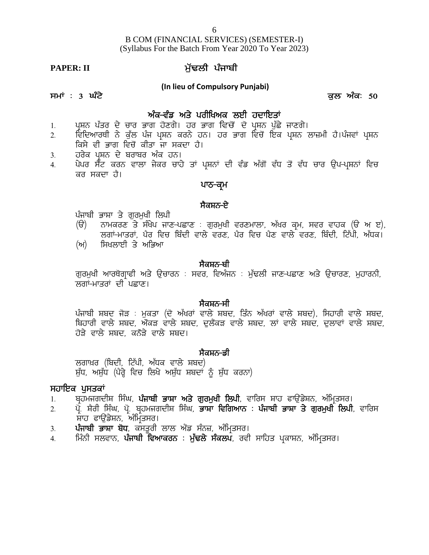# B COM (FINANCIAL SERVICES) (SEMESTER-I) (Syllabus For the Batch From Year 2020 To Year 2023) B COM (FINANCIAL SERVICES) (SEMES<br>(Syllabus For the Batch From Year 2020 To Ye<br>**PAPER: II** ਮੁੱਢਲੀ ਪੰਜਾਬੀ<br>(In lieu of Compulsory Punjabi) **;wK L 3 x zN/ e[b nzeL 50**

## **(In lieu of Compulsory Punjabi)**

- **n ze-tzv ns/ gohfyne bJh jdkfJsK**
- 1H gqFB g`so d/ uko Gkr j'Dr/. jo Gkr ftu' \_ d' gqFB g[ `S/ ikDr/. ---- ---- --<br>2 (In lieu of Compulsory Punjabi)<br>2. ਪ੍ਰਸਨ ਪੱਤਰ ਦੇ ਚਾਰ ਭਾਗ ਹੋਣਗੇ। ਹਰ ਭਾਗ ਵਿਚੋਂ ਦੋ ਪ੍ਰਸ਼ਨ ਪੁੱਛੇ ਜਾਣਗੇ।<br>2. ਵਿਦਿਆਰਥੀ ਨੇ ਕੁੱਲ ਪੰਜ ਪ੍ਰਸ਼ਨ ਕਰਨੇ ਹਨ। ਹਰ ਭਾਗ ਵਿਚੋਂ ਇਕ ਪ੍ਰਸ਼ਨ ਲਾਜ਼ਮੀ ਹੈ।ਪੰਜਵਾਂ ਪ੍ਰਸ਼ਨ<br>ਕਿਸੇ ਵੀ ਭਾਗ ਵਿਚੋਂ ਕਿਸੇ ਵੀ ਭਾਗ ਵਿਚੋਂ ਕੀਤਾ ਜਾ ਸਕਦਾ ਹੈ।<br>ਹਰੇਕ ਪਸ਼ਨ ਦੇ ਬਰਾਬਰ ਅੰਕ ਹਨ। ਸਮਾਂ : 3 **ਘੰਟੇ**<br>1. ਪ੍ਰਸ਼ਨ ਪੱਤਰ ਦੇ ਚਾਰ ਭਾਗ ਹੋਣਗੇ। ਹਰ ਭਾਗ<br>2. ਵਿਦਿਆਰਥੀ ਨੇ ਕੁੱਲ ਪੰਜ ਪ੍ਰਸ਼ਨ ਕਰਨੇ ਹਨ।<br>ਕਿਸੇ ਵੀ ਭਾਗ ਵਿਚੋਂ ਕੀਤਾ ਜਾ ਸਕਦਾ ਹੈ।<br>3. ਹਰੇਕ ਪ੍ਰਸ਼ਨ ਦੇ ਬਰਾਬਰ ਅੰਕ ਹਨ।<br>4. ਪੇਪਰ ਸੈਂਟ ਕਰਨ ਵਾਲਾ ਜੇਕਰ ਚਾਹੇ ਤਾਂ ਪ੍ਰਸ਼ਨ<br>ਕਰ ਸਕਦਾ ਹੈ। 1. ਪ੍ਰਸ਼ਨ ਪੱਤਰ ਦੇ ਚਾਰ ਭਾਗ ਹੋਣਗੇ। ਹਰ ਭਾਗ ਵਿਚੋਂ ਦੋ ਪ੍ਰਸ਼ਨ ਪੁੱਛੇ ਜਾਣਗੇ।<br>2. ਇਦਿਆਰਥੀ ਨੇ ਕੁੱਲ ਪੰਜ ਪ੍ਰਸ਼ਨ ਕਰਨੇ ਹਨ। ਹਰ ਭਾਗ ਵਿਚੋਂ ਇਕ ਪ੍ਰਸ਼ਨ ਲਾਜ਼ਮੀ ਹੈ।ਪੰਜਵਾਂ ਪ੍ਰਸ਼ਨ<br>ਕਿਸੇ ਵੀ ਭਾਗ ਵਿਚੋਂ ਕੀਤਾ ਜਾ ਸਕਦਾ ਹੈ।<br>3. ਹਰੇਕ ਪ੍ਰਸ਼ਨ ਦੇ ਬਰਾਬਰ ਅੰਕ ਹਨ
- 
- ।<br>ਪ੍ਰਸ਼ਨਾਂ ਦੀ ਵੰਡ ਅੱਗੋਂ ਵੱਧ ਤੋਂ ਵੱਧ <del>ਵ</del><br>**ਪਾਠ-ਕ੍ਰਮ**<br>: ਗਰਮਖੀ ਵਰਣਮਾਲਾ, ਅੱਖਰ ਕਮ, ਸ<sup>੍</sup> ਹਰੇਕ ਪ੍ਰਸ਼ਨ ਦੇ ਬਰਾਬਰ ਅੰਕ ਹਨ।<br>ਪੇਪਰ ਸੈੱਟ ਕਰਨ ਵਾਲਾ ਜੇਕਰ ਚਾਹੇ ਤਾਂ ਪ੍ਰਸ਼<br>ਕਰ ਸਕਦਾ ਹੈ।<br>ਪੰਜਾਬੀ ਭਾਸ਼ਾ ਤੇ ਗੁਰਮੁਖੀ ਲਿਪੀ<br>(ੳ) ਨਾਮਕਰਣ ਤੇ ਸੰਖੇਪ ਜਾਣ-ਪਛਾਣ : ਰ੍<br>ਲਗਾਂ-ਮਾਤਰਾਂ, ਪੈਰ ਵਿਚ ਬਿੰਦੀ ਵਾਲੇ

### ਪਾਠ<del>-</del>ਕਮ

- (T) BkweoD s / ;zy/g ikD-gSkD L r[ow[yh toDwkbk, n`yo eqw, ;to tkje (T n J), brK-wksoK, g?o ftu fpzdh tkb/ toD, g?o ftu g?D tkb / toD, fpzdh, fN `gh, n`Xe. **ਪਾਠ–ਕ੍ਰਮ**<br>ਪੰਜਾਬੀ ਭਾਸ਼ਾ ਤੇ ਗੁਰਮੁਖੀ ਲਿਪੀ<br>(ੳ) ਨਾਮਕਰਣ ਤੇ ਸੰਖੇਪ ਜਾਣ–ਪਛਾਣ : ਗੁਰਮੁਖ<br>ਲਗਾਂ–ਮਾਤਰਾਂ, ਪੈਰ ਵਿਚ ਬਿੰਦੀ ਵਾਲੇ ਵਰਕ<br>(ਅ) ਸਿਖਲਾਈ ਤੇ ਅਭਿਆ<br>ਸੈਕਸ਼ਨ-ਬ **ਸੈਕਸ਼ਨ-ਏ**<br>: ਗੁਰਮੁਖੀ ਵਰਣਮਾਲਾ, ਅੱਖਰ<br>ਾਲੇ ਵਰਣ, ਪੈਰ ਵਿਚ ਪੈਣ ਵਾਲੇ<br><mark>ਸੈਕਸ਼ਨ-ਬੀ</mark><br>:ਰ, ਵਿਅੰਜਨ : ਮੁੱਢਲੀ ਜਾਣ-ਪ ਪੰਜਾਬੀ ਭਾਸ਼ਾ ਤੇ ਗੁਰਮੁਖੀ ਲਿਪੀ<br>(ੳ) ਨਾਮਕਰਣ ਤੇ ਸੰਖੇਪ ਜਾਣ-ਪਛਾਣ : ਗੁਰਮੁਖੀ ਵਰਣਮਾਲਾ, ਅੱਖਰ ਕ੍ਰਮ, ਸਵਰ ਵਾਹਕ (ੳ ਅ ੲ),<br>ਲਗਾਂ-ਮਾਤਰਾਂ, ਪੈਰ ਵਿਚ ਬਿੰਦੀ ਵਾਲੇ ਵਰਣ, ਪੈਰ ਵਿਚ ਪੈਣ ਵਾਲੇ ਵਰਣ, ਬਿੰਦੀ, ਟਿੱਪੀ, ਅੱਧਕ।<br>(ਅ) ਸਿਖਲਾਈ ਤੇ ਅਭਿਆ<br>ਗੁਰਮੁਖੀ ਆਰਥੋਗ੍ਰਾ
- 

ਲਗਾਂ-ਮਾਤਰਾਂ ਦੀ ਪਛਾਣ। <mark>ਸੈਕਸ਼ਨ<del>-</del>ਬੀ</mark><br>:ਰ, ਵਿਅੰਜਨ : ਮੁੱਢਲੀ ਜਾਣ-ਪ<br>ਸੈਕਸ਼ਨ-ਸੀ<br>ਵਾਲੇ ਸ਼ਬਦ, ਤਿੰਨ ਅੱਖਰਾਂ ਵਾਲੇ<br>ਦਲੈਂਕੜ ਵਾਲੇ ਸ਼ਬਦ, ਲਾਂ ਵਾ<sub>ਾ</sub>

ੱ<sup>ਂ</sup><br>ਗੁਰਮੁਖੀ ਆਰਥੋਗ੍ਰਾਫੀ ਅਤੇ ਉਚਾਰਨ : ਸਵਰ, ਵਿਅੰਜਨ : ਮੁੱਢਲੀ ਜਾਣ-ਪਛਾਣ ਅਤੇ ਉਚਾਰਣ, ਮੁਹਾਰਨੀ,<br>"ਸੈਕਸ਼ਨ-ਸੀ<br>ਪੰਜਾਬੀ ਸ਼ਬਦ ਜੋੜ : ਮੁਕਤਾ (ਦੋ ਅੱਖਰਾਂ ਵਾਲੇ ਸ਼ਬਦ, ਤਿੰਨ ਅੱਖਰਾਂ ਵਾਲੇ ਸ਼ਬਦ), ਸਿਹਾਰੀ ਵਾਲੇ ਸ਼ਬਦ,<br>ਬਿਹਾਰੀ ਵਾਲੇ ਸ਼ਬਦ, ਔਕੜ ਵਾਲੇ ਸ਼ਬਦ, ਦੁ ਗੁਰਮੁਖੀ ਆਰਥੋਗ੍ਰਾਫੀ ਅਤੇ ਉਚਾਰਨ : ਸਵਰ, ਵਿਅੰਜਨ : ਮੁੱਢਲੀ ਜਾਣ-ਪਛਾਣ ਅਤੇ ਉਚਾਰਣ, ਮੁਹਾਰਨੀ,<br>ਲਗਾਂ-ਮਾਤਰਾਂ ਦੀ ਪਛਾਣ।<br>ਪੰਜਾਬੀ ਸ਼ਬਦ ਜੋੜ : ਮੁਕਤਾ (ਦੋ ਅੱਖਰਾਂ ਵਾਲੇ ਸ਼ਬਦ, ਤਿੰਨ ਅੱਖਰਾਂ ਵਾਲੇ ਸ਼ਬਦ), ਸਿਹਾਰੀ ਵਾਲੇ ਸ਼ਬਦ,<br>ਬਿਹਾਰੀ ਵਾਲੇ ਸ਼ਬਦ, ਔਕੜ ਵਾਲੇ ਸ਼ਬ ਗੁਰਮੁਖੀ ਆਰਥੋਗ੍ਰਾਫੀ ਅਤੇ ਉਚਾਰਨ : ਸਵਰ, ਵਿਅੰਜਨ : ਮੁੱ<br>ਲਗਾਂ-ਮਾਤਰਾਂ ਦੀ ਪਛਾਣ।<br>ਪੰਜਾਬੀ ਸ਼ਬਦ ਜੋੜ : ਮੁਕਤਾ (ਦੋ ਅੱਖਰਾਂ ਵਾਲੇ ਸ਼ਬਦ, ਤਿੰਨ<br>ਬਿਹਾਰੀ ਵਾਲੇ ਸ਼ਬਦ, ਔਕੜ ਵਾਲੇ ਸ਼ਬਦ, ਦੁਲੈਂਕੜ ਵਾਲੇ ਸ਼<br>ਹੋੜੇ ਵਾਲੇ ਸ਼ਬਦ, ਕਨੋੜੇ ਵਾਲੇ ਸ਼ਬਦ।<br>ਸੈਕਸ਼ਨ-ਡੀ **ਸੈਕਸ਼ਨ-ਸੀ**<br>ਵਾਲੇ ਸ਼ਬਦ, ਤਿੰਨ ਅੱਖਰਾਂ ਵਾਲੇ<br>ਦੁਲੈਂਕੜ ਵਾਲੇ ਸ਼ਬਦ, ਲਾਂ ਵਾ<br>ਦੈ)<br><sup>ਸੁੰ</sup> ਨੌ ਸ਼ੱਧ ਕਰਨਾ) ਪੰਜਾਬੀ ਸ਼ਬਦ ਜੋੜ : ਮੁਕਤਾ (ਦੋ ਅੱਖਰਾਂ ਵਾਲੇ ਸ਼ਬ<br>ਬਿਹਾਰੀ ਵਾਲੇ ਸ਼ਬਦ, ਔਕੜ ਵਾਲੇ ਸ਼ਬਦ, ਦੁਲੈਂਕੜ<br>ਹੋੜੇ ਵਾਲੇ ਸ਼ਬਦ, ਕਨੋੜੇ ਵਾਲੇ ਸ਼ਬਦ।<br>ਲਗਾਖ਼ਰ (ਬਿਦੀ, ਟਿੱਪੀ, ਅੱਧਕ ਵਾਲੇ ਸ਼ਬਦ)<br>ਸ਼ੁੱਧ, ਅਸ਼ੁੱਧ (ਪੈਰ੍ਹੇ ਵਿਚ ਲਿਖੇ ਅਸ਼ੁੱਧ ਸ਼ਬਦਾਂ ਨੂੰ ਸ਼ੁੱਧ ਪੰਜਾਬੀ ਸ਼ਬਦ ਜੋੜ : ਮੁਕਤਾ (ਦੋ ਅੱਖਰਾਂ ਵਾਲੇ ਸ਼ਬਦ, ਤਿੰਨ ਅੱਖਰਾਂ ਵਾਲੇ ਸ਼ਬਦ<br>ਬਿਹਾਰੀ ਵਾਲੇ ਸ਼ਬਦ, ਔਕੜ ਵਾਲੇ ਸ਼ਬਦ, ਦੁਲੈਂਕੜ ਵਾਲੇ ਸ਼ਬਦ, ਲਾਂ ਵਾਲੇ ਸ਼ਬ<br>ਹੋੜੇ ਵਾਲੇ ਸ਼ਬਦ, ਕਨੌੜੇ ਵਾਲੇ ਸ਼ਬਦ।<br>ਲਗਾਖ਼ਰ (ਬਿਦੀ, ਟਿੱਪੀ, ਅੱਧਕ ਵਾਲੇ ਸ਼ਬਦ)<br>ਸ਼ੁੱਧ, ਅਸ਼ੁੱਧ (ਪੈ

ਬਿਹਾਰੀ ਵਾਲੇ ਸ਼ਬਦ, ਔਕੜ ਵਾਲੇ<br>ਹੋੜੇ ਵਾਲੇ ਸ਼ਬਦ, ਕਨੋੜੇ ਵਾਲੇ ਸ਼ਬ<br>ਲਗਾਖ਼ਰ (ਬਿਦੀ, ਟਿੱਪੀ, ਅੱਧਕ ਵਾਲ<br>ਸੁਹ**ਇਕ ਪੁਸਤਕਾਂ**<br>1. ਬ੍ਰਹਮਜਗਦੀਸ਼ ਸਿੰਘ, **ਪੰਜਾਬੀ ਭਾਸ਼ਾ**<br>2. ਪ੍ਰੋ. ਸ਼ੈਰੀ ਸਿੰਘ, ਪ੍ਰੋ. ਬ੍ਰਹਮਜਗਦੀਸ਼

- 
- ੱਤੇ ਵਾਲ ਸ਼ਬਦ, ਬਲੇਵ ਵਾਲ ਸ਼ਬਦ।<br>19 ਸ਼ਰੂਗਮੁਰ (ਬਿਦੀ, ਟਿੱਪੀ, ਅੱਧਕ ਵਾਲੇ ਸ਼ਬਦ)<br>ਸੁੱਧ, ਅਸ਼ੁੱਧ (ਪੈਰ੍ਹੇ ਵਿਚ ਲਿਖੇ ਅਸ਼ੁੱਧ ਸ਼ਬਦਾਂ ਨੂੰ ਸ਼ੁੱਧ ਕਰਨਾ)<br>1. ਬ੍ਰਹਮਜਗਦੀਸ਼ ਸਿੰਘ, **ਪੰਜਾਬੀ ਭਾਸ਼ਾ ਅਤੇ ਗੁਰਮੁਖੀ ਲਿਪੀ**, ਵਾਰਿਸ ਸ਼ਾਹ ਫਾਉਂਡੇਸ਼ਨ, ਅੰਮ੍ਰਿਤਸਰ।<br>2. **ਲ**ਗਾਖ਼ਰ (ਬਿਦੀ, ਟਿੱਪੀ, ਅੱਧਕ ਵਾਲੇ ਸ਼ਬਦ)<br>ਸੁਹਾਇਕ ਪੁਸਤਕਾਂ<br>ਸਹਾਇਕ ਪੁਸਤਕਾਂ<br>1. ਬ੍ਰਹਮਜਗਦੀਸ਼ ਸਿੰਘ, **ਪੰਜਾਬੀ ਭਾਸ਼ਾ ਅਤੇ ਗੁਰਮੁਖੀ ਲਿਪੀ**, ਵਾਰਿਸ ਸ਼ਾਹ ਫਾਉਂਡੇਸ਼ਨ, ਅੰਮ੍ਰਿਤਸਰ।<br>2. ਪ੍ਰੋ. ਸ਼ੈਰੀ ਸਿੰਘ, ਪ੍ਰੋ. ਬ੍ਰਹਮਜਗਦੀਸ਼ ਸਿੰਘ, ਭਾਸ਼ਾ ਵਿਗਿਆਨ : **ੱ**ਲਗਾਖ਼ਰ (ਬਿਦੀ, ਟਿੱਪੀ, ਅੱਧਕ ਵਾਲੇ ਸ਼ਬਦ)<br>ਸੁਹਾ**ਇਕ ਪੁਸਤਕਾਂ**<br>ਸੁਹਾ**ਇਕ ਪੁਸਤਕਾਂ**<br>1. ਬ੍ਰਹਮਜਗਦੀਸ਼ ਸਿੰਘ, **ਪੰਜਾਬੀ ਭਾਸ਼ਾ ਅਤੇ ਗੁਰਮੁਖੀ ਲਿਪੀ**, ਵਾਰਿਸ ਸ਼ਾਹ ਫਾਉਂਡੇਸ਼ਨ, ਅੰਮ੍ਰਿਤਸਰ।<br>2. ਪ੍ਰੋ. ਸ਼ੈਰੀ ਸਿੰਘ, ਪ੍ਰੋ. ਬ੍ਰਹਮਜਗਦੀਸ਼ ਸਿੰਘ, **ਭਾਸ਼ਾ ਵਿਗਿਆਨ** ੱਤਾ ਬਾਰ (ਜ਼ਿੰਦਰ, ਜ਼ਿੰਦਰ, ਜ਼ਿੰਦਰ ਦੇ ਸ਼ਿੰਦਰ<br>ਸੁੱਧ, ਅਸ਼ੁੱਧ (ਪੈਰ੍ਹੇ ਵਿਚ ਲਿਖੇ ਅਸ਼ੁੱਧ ਸ਼ਬਦਾਂ ਨੂੰ ਸ਼ੁੱਧ ਕਰਨਾ)<br>1. ਬ੍ਰਹਮਜਗਦੀਸ਼ ਸਿੰਘ, **ਪੰਜਾਬੀ ਭਾਸ਼ਾ ਅਤੇ ਗੁਰਮੁਖੀ ਲਿਪੀ**, ਵਾਰਿਸ ਸ਼ਾਹ<br>2. ਪ੍ਰੋ. ਸ਼ੈਰੀ ਸਿੰਘ, ਪ੍ਰੋ. ਬ੍ਰਹਮਜਗਦੀਸ਼ ਸਿੰਘ, **ਭਾਸ਼ਾ ਵ** ਸ**ਹਾਇਕ ਪੁਸਤਕਾਂ**<br>1. ਬ੍ਰਹਮਜਗਦੀਸ਼ ਸਿੰਘ, **ਪੰਜਾਬੀ ਭਾਸ਼ਾ ਅਤੇ ਗੁਰਮੁਖੀ ਲਿਪੀ**, ਵਾਰਿਸ ਸ਼ਾਹ ਫਾਉਂਡੇਸ਼ਨ, ਅੰਮ੍ਰਿਤਸਰ।<br>2. ਪ੍ਰੋ. ਸ਼ੈਰੀ ਸਿੰਘ, ਪ੍ਰੋ. ਬ੍ਰਹਮਜਗਦੀਸ਼ ਸਿੰਘ, **ਭਾਸ਼ਾ ਵਿਗਿਆਨ : ਪੰਜਾਬੀ ਭਾਸ਼ਾ ਤੇ ਗੁਰਮੁਖੀ ਲਿਪੀ**, ਵਾਰਿਸ<br>ਸ਼ਾਹ ਫਾਉਂਡੇਸ਼ਨ, ਅੰਮ
- 
-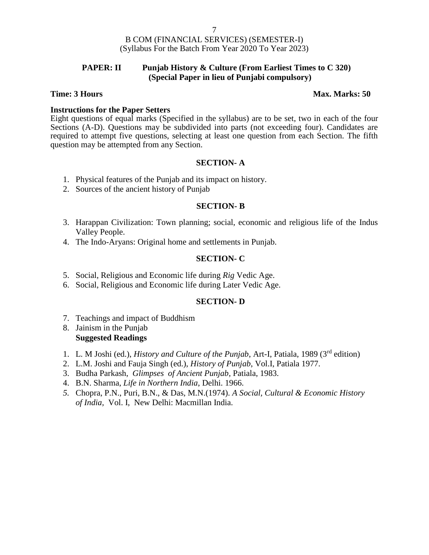### **PAPER: II Punjab History & Culture (From Earliest Times to C 320) (Special Paper in lieu of Punjabi compulsory)**

#### **Time: 3 Hours Max. Marks: 50**

### **Instructions for the Paper Setters**

Eight questions of equal marks (Specified in the syllabus) are to be set, two in each of the four Sections (A-D). Questions may be subdivided into parts (not exceeding four). Candidates are required to attempt five questions, selecting at least one question from each Section. The fifth question may be attempted from any Section.

### **SECTION- A**

- 1. Physical features of the Punjab and its impact on history.
- 2. Sources of the ancient history of Punjab

### **SECTION- B**

- 3. Harappan Civilization: Town planning; social, economic and religious life of the Indus Valley People.
- 4. The Indo-Aryans: Original home and settlements in Punjab.

### **SECTION- C**

- 5. Social, Religious and Economic life during *Rig* Vedic Age.
- 6. Social, Religious and Economic life during Later Vedic Age.

#### **SECTION- D**

- 7. Teachings and impact of Buddhism
- 8. Jainism in the Punjab **Suggested Readings**
- 1. L. M Joshi (ed.), *History and Culture of the Punjab*, Art-I, Patiala, 1989 (3rd edition)
- 2. L.M. Joshi and Fauja Singh (ed.), *History of Punjab*, Vol.I, Patiala 1977.
- 3. Budha Parkash, *Glimpses of Ancient Punjab*, Patiala, 1983.
- 4. B.N. Sharma, *Life in Northern India*, Delhi. 1966.
- *5.* Chopra, P.N., Puri, B.N., & Das, M.N.(1974). *A Social, Cultural & Economic History of India,* Vol. I, New Delhi: Macmillan India.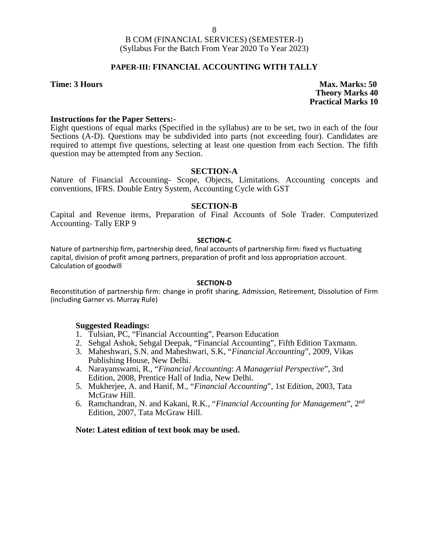### **PAPER-III: FINANCIAL ACCOUNTING WITH TALLY**

**Time: 3 Hours Max. Marks: 50 Theory Marks 40 Practical Marks 10**

#### **Instructions for the Paper Setters:-**

Eight questions of equal marks (Specified in the syllabus) are to be set, two in each of the four Sections (A-D). Questions may be subdivided into parts (not exceeding four). Candidates are required to attempt five questions, selecting at least one question from each Section. The fifth question may be attempted from any Section.

#### **SECTION-A**

Nature of Financial Accounting- Scope, Objects, Limitations. Accounting concepts and conventions, IFRS. Double Entry System, Accounting Cycle with GST

#### **SECTION-B**

Capital and Revenue items, Preparation of Final Accounts of Sole Trader. Computerized Accounting- Tally ERP 9

#### **SECTION-C**

Nature of partnership firm, partnership deed, final accounts of partnership firm: fixed vs fluctuating capital, division of profit among partners, preparation of profit and loss appropriation account. Calculation of goodwill

#### **SECTION-D**

Reconstitution of partnership firm: change in profit sharing, Admission, Retirement, Dissolution of Firm (including Garner vs. Murray Rule)

#### **Suggested Readings:**

- 1. Tulsian, PC, "Financial Accounting", Pearson Education
- 2. Sehgal Ashok, Sehgal Deepak, "Financial Accounting", Fifth Edition Taxmann.
- 3. Maheshwari, S.N. and Maheshwari, S.K, "*Financial Accounting*", 2009, Vikas Publishing House, New Delhi.
- 4. Narayanswami, R., "*Financial Accounting*: *A Managerial Perspective*", 3rd Edition, 2008, Prentice Hall of India, New Delhi.
- 5. Mukherjee, A. and Hanif, M., "*Financial Accounting*", 1st Edition, 2003, Tata McGraw Hill.
- 6. Ramchandran, N. and Kakani, R.K., "*Financial Accounting for Management*", 2nd Edition, 2007, Tata McGraw Hill.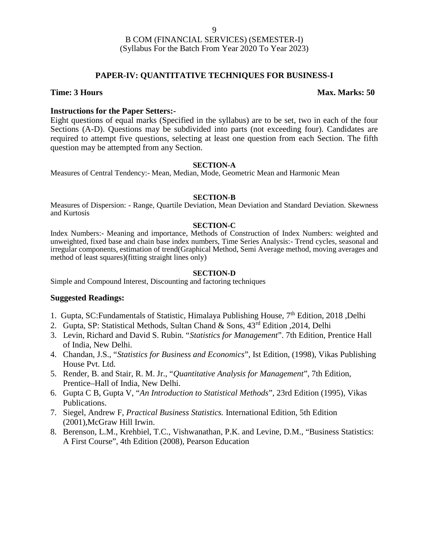### **PAPER-IV: QUANTITATIVE TECHNIQUES FOR BUSINESS-I**

#### **Time: 3 Hours Max. Marks: 50**

#### **Instructions for the Paper Setters:-**

Eight questions of equal marks (Specified in the syllabus) are to be set, two in each of the four Sections (A-D). Questions may be subdivided into parts (not exceeding four). Candidates are required to attempt five questions, selecting at least one question from each Section. The fifth question may be attempted from any Section.

#### **SECTION-A**

Measures of Central Tendency:- Mean, Median, Mode, Geometric Mean and Harmonic Mean

#### **SECTION-B**

Measures of Dispersion: - Range, Quartile Deviation, Mean Deviation and Standard Deviation. Skewness and Kurtosis

#### **SECTION-C**

Index Numbers:- Meaning and importance, Methods of Construction of Index Numbers: weighted and unweighted, fixed base and chain base index numbers, Time Series Analysis:- Trend cycles, seasonal and irregular components, estimation of trend(Graphical Method, Semi Average method, moving averages and method of least squares)(fitting straight lines only)

#### **SECTION-D**

Simple and Compound Interest, Discounting and factoring techniques

#### **Suggested Readings:**

- 1. Gupta, SC:Fundamentals of Statistic, Himalaya Publishing House,  $7<sup>th</sup>$  Edition, 2018, Delhi
- 2. Gupta, SP: Statistical Methods, Sultan Chand & Sons, 43rd Edition ,2014, Delhi
- 3. Levin, Richard and David S. Rubin. "*Statistics for Management*". 7th Edition, Prentice Hall of India, New Delhi.
- 4. Chandan, J.S., "*Statistics for Business and Economics*", Ist Edition, (1998), Vikas Publishing House Pvt. Ltd.
- 5. Render, B. and Stair, R. M. Jr., "*Quantitative Analysis for Management*", 7th Edition, Prentice–Hall of India, New Delhi.
- 6. Gupta C B, Gupta V, "*An Introduction to Statistical Methods*", 23rd Edition (1995), Vikas Publications.
- 7. Siegel, Andrew F, *Practical Business Statistics.* International Edition, 5th Edition (2001),McGraw Hill Irwin.
- 8. Berenson, L.M., Krehbiel, T.C., Vishwanathan, P.K. and Levine, D.M., "Business Statistics: A First Course", 4th Edition (2008), Pearson Education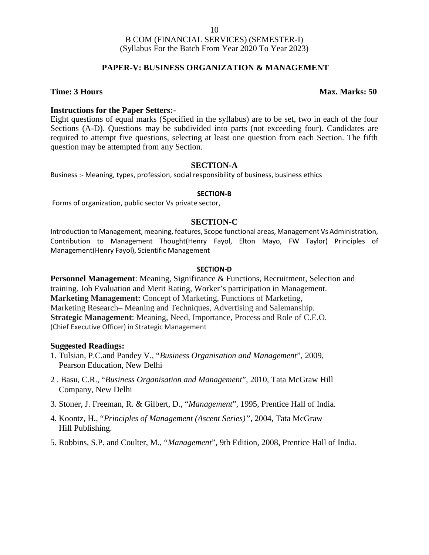### **PAPER-V: BUSINESS ORGANIZATION & MANAGEMENT**

#### **Time: 3 Hours Max. Marks: 50**

#### **Instructions for the Paper Setters:-**

Eight questions of equal marks (Specified in the syllabus) are to be set, two in each of the four Sections (A-D). Questions may be subdivided into parts (not exceeding four). Candidates are required to attempt five questions, selecting at least one question from each Section. The fifth question may be attempted from any Section.

#### **SECTION-A**

Business :- Meaning, types, profession, social responsibility of business, business ethics

#### **SECTION-B**

Forms of organization, public sector Vs private sector,

#### **SECTION-C**

Introduction to Management, meaning, features, Scope functional areas, Management Vs Administration, Contribution to Management Thought(Henry Fayol, Elton Mayo, FW Taylor) Principles of Management(Henry Fayol), Scientific Management

#### **SECTION-D**

**Personnel Management**: Meaning, Significance & Functions, Recruitment, Selection and training. Job Evaluation and Merit Rating, Worker's participation in Management. **Marketing Management:** Concept of Marketing, Functions of Marketing, Marketing Research– Meaning and Techniques, Advertising and Salemanship. **Strategic Management**: Meaning, Need, Importance, Process and Role of C.E.O. (Chief Executive Officer) in Strategic Management

#### **Suggested Readings:**

- 1. Tulsian, P.C.and Pandey V., "*Business Organisation and Management*", 2009, Pearson Education, New Delhi
- 2 . Basu, C.R., "*Business Organisation and Management*", 2010, Tata McGraw Hill Company, New Delhi
- 3. Stoner, J. Freeman, R. & Gilbert, D., "*Management*", 1995, Prentice Hall of India.
- 4. Koontz, H., "*Principles of Management (Ascent Series)"*, 2004, Tata McGraw Hill Publishing.
- 5. Robbins, S.P. and Coulter, M., "*Management*", 9th Edition, 2008, Prentice Hall of India.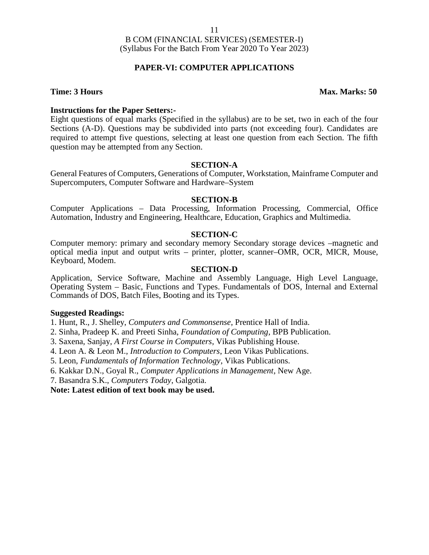### **PAPER-VI: COMPUTER APPLICATIONS**

#### **Time: 3 Hours Max. Marks: 50**

#### **Instructions for the Paper Setters:-**

Eight questions of equal marks (Specified in the syllabus) are to be set, two in each of the four Sections (A-D). Questions may be subdivided into parts (not exceeding four). Candidates are required to attempt five questions, selecting at least one question from each Section. The fifth question may be attempted from any Section.

#### **SECTION-A**

General Features of Computers, Generations of Computer, Workstation, Mainframe Computer and Supercomputers, Computer Software and Hardware–System

#### **SECTION-B**

Computer Applications – Data Processing, Information Processing, Commercial, Office Automation, Industry and Engineering, Healthcare, Education, Graphics and Multimedia.

#### **SECTION-C**

Computer memory: primary and secondary memory Secondary storage devices –magnetic and optical media input and output writs – printer, plotter, scanner–OMR, OCR, MICR, Mouse, Keyboard, Modem.

#### **SECTION-D**

Application, Service Software, Machine and Assembly Language, High Level Language, Operating System – Basic, Functions and Types. Fundamentals of DOS, Internal and External Commands of DOS, Batch Files, Booting and its Types.

#### **Suggested Readings:**

1. Hunt, R., J. Shelley, *Computers and Commonsense*, Prentice Hall of India.

- 2. Sinha, Pradeep K. and Preeti Sinha, *Foundation of Computing*, BPB Publication.
- 3. Saxena, Sanjay, *A First Course in Computers*, Vikas Publishing House.
- 4. Leon A. & Leon M., *Introduction to Computers*, Leon Vikas Publications.

5. Leon, *Fundamentals of Information Technology*, Vikas Publications.

6. Kakkar D.N., Goyal R., *Computer Applications in Management*, New Age.

7. Basandra S.K., *Computers Today*, Galgotia.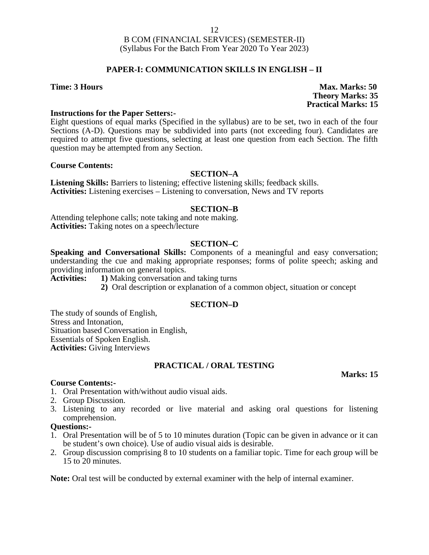### **PAPER-I: COMMUNICATION SKILLS IN ENGLISH – II**

**Time: 3 Hours Max. Marks: 50 Theory Marks: 35 Practical Marks: 15**

#### **Instructions for the Paper Setters:-**

Eight questions of equal marks (Specified in the syllabus) are to be set, two in each of the four Sections (A-D). Questions may be subdivided into parts (not exceeding four). Candidates are required to attempt five questions, selecting at least one question from each Section. The fifth question may be attempted from any Section.

#### **Course Contents:**

#### **SECTION–A**

**Listening Skills:** Barriers to listening; effective listening skills; feedback skills. **Activities:** Listening exercises – Listening to conversation, News and TV reports

#### **SECTION–B**

Attending telephone calls; note taking and note making. **Activities:** Taking notes on a speech/lecture

#### **SECTION–C**

**Speaking and Conversational Skills:** Components of a meaningful and easy conversation; understanding the cue and making appropriate responses; forms of polite speech; asking and providing information on general topics.

**Activities: 1)** Making conversation and taking turns

**2)** Oral description or explanation of a common object, situation or concept

#### **SECTION–D**

The study of sounds of English, Stress and Intonation, Situation based Conversation in English, Essentials of Spoken English. **Activities:** Giving Interviews

#### **PRACTICAL / ORAL TESTING**

**Marks: 15**

#### **Course Contents:-**

- 1. Oral Presentation with/without audio visual aids.
- 2. Group Discussion.
- 3. Listening to any recorded or live material and asking oral questions for listening comprehension.

#### **Questions:-**

- 1. Oral Presentation will be of 5 to 10 minutes duration (Topic can be given in advance or it can be student's own choice). Use of audio visual aids is desirable.
- 2. Group discussion comprising 8 to 10 students on a familiar topic. Time for each group will be 15 to 20 minutes.

**Note:** Oral test will be conducted by external examiner with the help of internal examiner.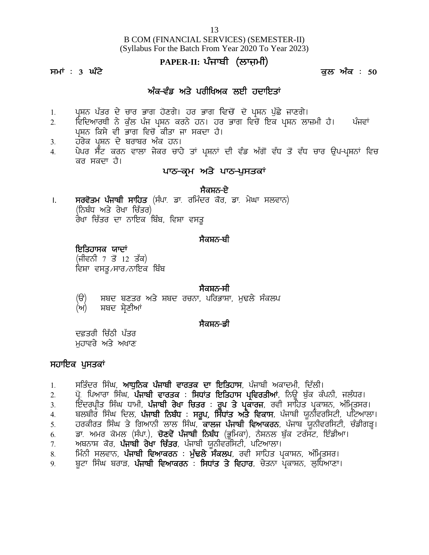# B COM (FINANCIAL SERVICES) (SEMESTER-II) (Syllabus For the Batch From Year 2020 To Year 2023) <u>13</u><br>INANCIAL SERVICES) (SEMESTER-II)<br>pr the Batch From Year 2020 To Year 2023)<br>**PAPER-II: ਪੰਜਾਬੀ (ਲਾਜ਼ਮੀ)**<br>ਕੁਲ ਅੰ 13<br>B COM (FINANCIAL SERVICES) (SEMESTER-II)<br>(Syllabus For the Batch From Year 2020 To Year 2023)<br>**PAPER-II: ਪੰਜਾਬੀ (ਲਾਜ਼ਮੀ)**<br>ਕੁਲ ਅੰਕ : 50<br>ਅੰਕ-ਵੰਡ ਅਤੇ ਪਰੀਖਿਅਕ ਲਈ ਹਦਾਇਤਾਂ 13<br>1 (FINANCIAL SERVICES) (SEMESTER-<br>s For the Batch From Year 2020 To Year 20<br>**PAPER-II: ਪੰਜਾਬੀ (ਲਾਜ਼ਮੀ)**<br>ਅੰਕ-ਵੰਡ ਅਤੇ ਪਰੀਖਿਅਕ ਲਈ ਹਦਾਇਤਾਂ<br>ਗ ਹੋਣਗੇ। ਹਰ ਭਾਗ ਵਿਚੋਂ ਦੋ ਪੁਸ਼ਨ ਪੁੱਛੇ ਜਾਣ

- 
- (Syllabus For the Batch From Year 2020 To Year 2023)<br>PAPER-II: ਪੰਜਾਬੀ (ਲਾਜ਼ਮੀ)<br>ਕੁਲ ਅੰਕ -ਵੰਡ ਅਤੇ ਪਰੀਖਿਅਕ ਲਈ ਹਦਾਇਤਾਂ<br>1. ਪ੍ਰਸ਼ਨ ਪੱਤਰ ਦੇ ਚਾਰ ਭਾਗ ਹੋਣਗੇ। ਹਰ ਭਾਗ ਵਿਚੋਂ ਦੋ ਪ੍ਰਸ਼ਨ ਪੁੱਛੇ ਜਾਣਗੇ।<br>2. ਵਿਦਿਆਰਥੀ ਨੇ ਕੁੱਲ ਪੰਜ ਪ੍ਰਸ਼ਨ ਕਰਨੇ 2H ftfdnkoEh B/ e[ `b gzi gqFB eoB/ jB. jo Gkr ftu'\_ fJe gqFB bk}wh j?. gzitK ਪਸ਼ਨ ਕਿਸੇ ਵੀ ਭਾਗ ਵਿਚੋਂ ਕੀਤਾ ਜਾ ਸਕਦਾ ਹੈ।
- 
- 1. ਪ੍ਰਸ਼ਨ ਪੱਤਰ ਦੇ ਚਾਰ ਭਾਗ ਹੋਣਗੇ। ਹਰ ਭਾਗ<br>2. ਵਿਦਿਆਰਥੀ ਨੇ ਕੁੱਲ ਪੰਜ ਪ੍ਰਸ਼ਨ ਕਰਨੇ ਹਨ।<br>ਪ੍ਰਸ਼ਨ ਕਿਸੇ ਵੀ ਭਾਗ ਵਿਚੋਂ ਕੀਤਾ ਜਾ ਸਕਦਾ<br>3. ਹਰੇਕ ਪ੍ਰਸ਼ਨ ਦੇ ਬਰਾਬਰ ਅੰਕ ਹਨ।<br>4. ਪੇਪਰ ਸੈਂਟ ਕਰਨ ਵਾਲਾ ਜੇਕਰ ਚਾਹੇ ਤਾਂ ਪ੍ਰਸ਼ਨ<br>ਕਰ ਸਕਦਾ ਹੈ। 1. ਪ੍ਰਸ਼ਨ ਪੱਤਰ ਦੇ ਚਾਰ ਭਾਗ ਹੋਣਗੇ। ਹਰ ਭਾਗ ਵਿਚੋਂ ਦੋ ਪ੍ਰਸ਼ਨ ਪੁੱਛੇ ਜਾਣਗੇ।<br>2. ਵਿਦਿਆਰਥੀ ਨੇ ਕੁੱਲ ਪੰਜ ਪ੍ਰਸ਼ਨ ਕਰਨੇ ਹਨ। ਹਰ ਭਾਗ ਵਿਚੋਂ ਇਕ ਪ੍ਰਸ਼ਨ ਲਾਜ਼ਮੀ ਹੈ। ਪੰਜਵਾਂ<br>ਪ੍ਰਸ਼ਨ ਕਿਸੇ ਵੀ ਭਾਗ ਵਿਚੋਂ ਕੀਤਾ ਜਾ ਸਕਦਾ ਹੈ।<br>3. ਹਰੇਕ ਪ੍ਰਸ਼ਨ ਦੇ ਬਰਾਬਰ ਅੰਕ ਪ੍ਰਸ਼ਨ ਪੱਤਰ ਦੇ ਚਾਰ ਭਾਗ ਹੋਣਗੇ। ਹਰ ਭਾਗ ਵਿਚੋਂ ਦੋ ਪ੍ਰਸ਼ਨ ਪੁੱਛੇ ਜਾਣਗੇ।<br>ਵਿਦਿਆਰਥੀ ਨੇ ਕੁੱਲ ਪੰਜ ਪ੍ਰਸ਼ਨ ਕਰਨੇ ਹਨ। ਹਰ ਭਾਗ ਵਿਚੋਂ ਇਕ ਪ੍ਰਸ਼ਨ ਲਾਜ਼ਮੀ ਹੈ।<br>ਪ੍ਰਸ਼ਨ ਕਿਸੇ ਵੀ ਭਾਗ ਵਿਚੋਂ ਕੀਤਾ ਜਾ ਸਕਦਾ ਹੈ।<br>ਹਰੇਕ ਪ੍ਰਸ਼ਨ ਦੇ ਬਰਾਬਰ ਅੰਕ ਹਨ।<br>ਪੇਪਰ ਸੈੱਟ ਕਰ ਦਾ ਹੈ।<br>ਪ੍ਰਸ਼ਨਾਂ ਦੀ ਵੰਡ ਅੱਗੋਂ ਵੱਧ ਤੋਂ ਵੱਧ <del>ਜ</del><br>ਅਤੇ **ਪਾਠ-ਪੁਸਤਕਾਂ**<br>ਸੈਕਸ਼ਨ-ਏ<br>ਦਰ ਕੋਰ, ਡਾ. ਮੇਘਾ ਸਲਵਾਨ)

<sup>3. ਹ</sup>ਰੇਕ ਪ੍ਰਸ਼ਨ ਦੇ ਬਰਾਬਰ ਅੰਕ ਹਨ।<br>1. ਪੇਪਰ ਸੈਂਟ ਕਰਨ ਵਾਲਾ ਜੇਕਰ ਚਾਹੇ ਤਾਂ ਪ੍ਰਸ਼ਨਾਂ ਦੀ ਵੰਡ ਅੱਗੋਂ ਵੱਧ ਤੋਂ ਵੱਧ<br>ਕਰ ਸਕਦਾ ਹੈ।<br>1. **ਸਰਵੋਤਮ ਪੰਜਾਬੀ ਸਾਹਿਤ** (ਸੰਪਾ. ਡਾ. ਰਮਿੰਦਰ ਕੌਰ, ਡਾ. ਮੇਘਾ ਸਲਵਾਨ)<br>(ਨਿਬੰਧ ਅਤੇ ਰੇਖਾ ਚਿੱਤਰ)<br>ਰੇਖਾ ਚਿੱਤਰ ਦਾ ਨਾਇ ਪੇਪਰ ਸੈੰਟ ਕਰਨ ਵਾਲਾ ਜੇਕਰ ਚਾਹੇ ਤਾਂ<br>ਕਰ ਸਕਦਾ ਹੈ।<br>ਸਰਵੋਤਮ <mark>ਪੰਜਾਬੀ ਸਾਹਿਤ</mark> (ਸੰਪਾ ਡਾ ਰਮਿੰ<br>(ਨਿਬੰਧ ਅਤੇ ਰੇਖਾ ਚਿੱਤਰ)<br>ਰੇਖਾ ਚਿੱਤਰ ਦਾ ਨਾਇਕ ਬਿੰਬ, ਵਿਸ਼ਾ ਵਸ ਰੇਖਾ ਚਿੱਤਰ ਦਾ ਨਾਇਕ ਬਿੰਬ, ਵਿਸ਼ਾ ਵਸਤੂ –<br>ਸੈਕਸ਼ਨ<del>-ਏ</del><br>ਦਰ ਕੋਰ*,* ਡਾ<sub>.</sub> ਮੇਘਾ ਸਲਵਾਨ)<br>ਤੂ<br>ਸੈਕਸ਼ਨ<del>-ਬੀ</del> ਸਰਵੋ**ਤਮ ਪੰਜਾਬੀ ਸਾਹਿਤ** (ਸੰਪਾ ਡਾ ਰਮਿੰਦਰ ਕੋਰ*,*<br>(ਨਿਬੰਧ ਅਤੇ ਰੇਖਾ ਚਿੱਤਰ)<br>ਰੇਖਾ ਚਿੱਤਰ ਦਾ ਨਾਇਕ ਬਿੰਬ, ਵਿਸ਼ਾ ਵਸਤੂ<br>**ਇਤਿਹਾਸਕ ਯਾਦਾਂ**<br>(ਜੀਵਨੀ 7 ਤੋਂ 12 ਤੱਕ)<br>ਵਿਸ਼ਾ ਵਸਤੂ*,*ਸਾਰ*,*ਨਾਇਕ ਬਿੰਬ

**ਇਤਿਹਾਸਕ ਯਾਦਾਂ**<br>(ਜੀਵਨੀ 7 ਤੋਂ 12 ਤੱਕ) ਵਿਸ਼ਾ ਵਸਤੂ ⁄ਸਾਰ ∕ਨਾਇਕ ਬਿੰਬ

-<br>ਸੈਕਸ਼ਨ<del>-ਬੀ</del><br>ਸੈਕਸ਼ਨ<del>-</del>ਸੀ<br>, ਪਰਿਭਾਸ਼ਾ, ਮੁਢਲੇ ਸੰਕਲਪ **ਇਤਿਹਾਸਕ ਯਾਦਾਂ**<br>(ਜੀਵਨੀ 7 ਤੋਂ 12 ਤੱਕ)<br>ਵਿਸ਼ਾ ਵਸਤੂ ਸਾਰ ਨਾਇਕ ਬਿੰਬ<br>ਵਿਸ਼ਾ ਵਸਤੂ ਸਾਰ ਨਾਇਕ ਬਿੰਬ<br>(ਉ) ਸ਼ਬਦ ਬਣਤਰ ਅਤੇ ਸ਼ਬਦ ਰਚਨਾ, ਪਰਿਭਾਸ਼ਾ, ਮੁਢਲੇ ਸੰਕਲਪ<br>(ਅ) ਸ਼ਬਦ ਸ਼੍ਰੇਣੀਆਂ (ਅ) ਸ਼ਬਦ ਸ਼ੇਣੀਆਂ ਸੈਕਸ਼ਨ<del>-</del>ਸੀ<br>, ਪਰਿਭਾਸ਼ਾ, ਮੁਢਲੇ ਸੰਕਲਪ<br>ਸੈਕਸ਼ਨ-ਡੀ (ੳ) ਸ਼ਬਦ ਬਣਤਰ ਅਤੇ ਸ਼ਬਦ ਰਚਨਾ,<br>(ਅ) ਸ਼ਬਦ ਸ਼੍ਰੇਣੀਆਂ<br>ਦਫ਼ਤਰੀ ਚਿੱਠੀ ਪੱਤਰ<br>ਮੁਹਾਵਰੇ ਅਤੇ ਅਖਾਣ<br>'ਪੁਸਤਕਾਂ (ੳ) ਸ਼ਬਦ ਬਣਤਰ ਅਤੇ ਸ਼ਬਦ<br>(ਅ) ਸ਼ਬਦ ਸ਼੍ਰੇਣੀਆਂ<br>ਦਫ਼ਤਰੀ ਚਿੱਠੀ ਪੱਤਰ<br>ਮੁਹਾਵਰੇ ਅਤੇ ਅਖਾਣ<br>**ਸਹਾਇਕ ਪੁਸਤਕਾਂ**<br>1. ਸਤਿੰਦਰ ਸਿੰਘ, **ਆਧੁਨਿਕ ਪੰਜਾਬੀ** ਵ

ਦਫ਼ਤਰੀ ਚਿੱਠੀ ਪੱਤਰ<br>ਮਹਾਵਰੇ ਅਤੇ ਅਖਾਣ

- ਦਫ਼ਤਰੀ ਚਿੱਠੀ ਪੱਤਰ<br>ਮੁਹਾਵਰੇ ਅਤੇ ਅਖਾਣ<br>ਸ**ਹਾਇਕ ਪੁਸਤਕਾਂ**<br>1. ਸਤਿੰਦਰ ਸਿੰਘ, **ਆਧੁਨਿਕ ਪੰਜਾਬੀ ਵਾਰਤਕ ਦਾ ਇਤਿਹਾਸ**, ਪੰਜਾਬੀ ਅਕਾਦਮੀ, ਦਿੱਲੀ।<br>2. ਪ੍ਰੋ. ਪਿਆਰਾ ਸਿੰਘ, **ਪੰਜਾਬੀ ਵਾਰਤਕ : ਸਿਧਾਂਤ ਇਤਿਹਾਸ ਪ੍ਰਵਿਰਤੀਆਂ**, ਨਿਊ ਬੁੱਕ ਕੰਪਨੀ, ਜਲੰਧ<br>3. ਇੰ
- ਦਫ਼ਤਰੀ ਚਿੱਠੀ ਪੱਤਰ<br>ਮੁਹਾਵਿਰੇ ਅਤੇ ਅਖਾਣ<br>ਸ**ਹਾਇਕ ਪੁਸਤਕਾਂ**<br>2. ਪ੍ਰੋ. ਪਿਆਰਾ ਸਿੰਘ, **ਪੰਜਾਬੀ ਵਾਰਤਕ : ਸਿਧਾਂਤ ਇਤਿਹਾਸ ਪ੍ਰਵਿਰਤੀਆਂ**, ਨਿਊ ਬੁੱਕ ਕੰਪਨੀ, ਜਲੰਧਰ।<br>3. ਇੰਦਰਪ੍ਰੀਤ ਸਿੰਘ ਧਾਮੀ, **ਪੰਜਾਬੀ ਰੇਖਾ ਚਿਤਰ : ਰੂਪ ਤੇ ਪ੍ਰਕਾਰਜ**, ਰਵੀ ਸਾਹਿਤ ਪ੍ਰਕ ਮੁਹਾਵਰੇ ਅਤੇ ਅਖਾਣ<br>ਸਹਾਇਕ ਪੁਸਤਕਾਂ<br>1. ਸਤਿੰਦਰ ਸਿੰਘ, **ਆਧੁਨਿਕ ਪੰਜਾਬੀ ਵਾਰਤਕ ਦਾ ਇਤਿਹਾਸ**, ਪੰਜਾਬੀ ਅਕਾਦਮੀ, ਦਿੱਲੀ।<br>2. ਪ੍ਰੋ. ਪਿਆਰਾ ਸਿੰਘ, **ਪੰਜਾਬੀ ਵਾਰਤਕ : ਸਿਧਾਂਤ ਇਤਿਹਾਸ ਪ੍ਰਵਿਰਤੀਆਂ**, ਨਿਊ ਬੁੱਕ ਕੰਪਨੀ, ਜਲੰਧਰ।<br>3. ਇੰਦਰਪ੍ਰੀਤ ਸਿੰਘ ਧਾਮੀ,
- 
- **ਸਹਾਇਕ ਪੁਸਤਕਾਂ**<br>1. ਸਤਿੰਦਰ ਸਿੰਘ, **ਆਧੁਨਿਕ ਪੰਜਾਬੀ ਵਾਰਤਕ ਦਾ ਇਤਿਹਾਸ**, ਪੰਜਾਬੀ ਅਕਾਦਮੀ, ਦਿੱਲੀ।<br>2. ਪ੍ਰੋ. ਪਿਆਰਾ ਸਿੰਘ, **ਪੰਜਾਬੀ ਵਾਰਤਕ : ਸਿਧਾਂਤ ਇਤਿਹਾਸ ਪ੍ਰਵਿਰਤੀਆਂ**, ਨਿਊ ਬੁੱਕ ਕੰਪਨੀ, ਜਲੰਧਰ।<br>3. ਇੰਦਰਪ੍ਰੀਤ ਸਿੰਘ ਧਾਮੀ, **ਪੰਜਾਬੀ ਰੇਖਾ**
- **ਸਹਾਇਕ ਪੁਸਤਕਾਂ**<br>1. ਸਤਿੰਦਰ ਸਿੰਘ, **ਆਧੁਨਿਕ ਪੰਜਾਬੀ ਵਾਰਤਕ ਦਾ ਇਤਿਹਾਸ**, ਪੰਜਾਬੀ ਅਕਾਦਮੀ, ਦਿੱਲੀ।<br>2. ਪ੍ਰੋ. ਪਿਆਰਾ ਸਿੰਘ, **ਪੰਜਾਬੀ ਵਾਰਤਕ : ਸਿਧਾਂਤ ਇਤਿਹਾਸ ਪ੍ਰਵਿਰਤੀਆਂ**, ਨਿਊ ਬੁੱਕ ਕੰਪਨੀ, ਜਲੰਧਰ।<br>3. ਇੰਦਰਪ੍ਰੀਤ ਸਿੰਘ ਧਾਮੀ, **ਪੰਜਾਬੀ ਨੇਖੰ** 1. ਸਤਿੰਦਰ ਸਿੰਘ, **ਆਧੁਨਿਕ ਪੰਜਾਬੀ ਵਾਰਤਕ ਦਾ ਇਤਿਹਾਸ**, ਪੰਜਾਬੀ ਅਕਾਦਮੀ, ਦਿੱਲੀ।<br>2. ਪ੍ਰੋ. ਪਿਆਰਾ ਸਿੰਘ, **ਪੰਜਾਬੀ ਵਾਰਤਕ : ਸਿਧਾਂਤ ਇਤਿਹਾਸ ਪ੍ਰਵਿਰਤੀਆਂ**, ਨਿਊ ਬੁੱਕ ਕੰਪਨੀ, ਜਲੰਧਰ।<br>3. ਇੰਦਰਪ੍ਰੀਤ ਸਿੰਘ ਧਾਮੀ, **ਪੰਜਾਬੀ ਰੇਖਾ ਚਿਤਰ : ਰੂਪ ਤੇ ਪ੍ਰ** 1. ਸਤਿੰਦਰ ਸਿੰਘ, **ਆਧੁਨਿਕ ਪੰਜਾਬੀ ਵਾਰਤਕ ਦਾ ਇਤਿਹਾਸ**, ਪੰਜਾਬੀ ਅਕਾਦਮੀ, ਦਿੱ<br>2. ਪ੍ਰੋ. ਪਿਆਰਾ ਸਿੰਘ, **ਪੰਜਾਬੀ ਵਾਰਤਕ : ਸਿਧਾਂਤ ਇਤਿਹਾਸ ਪ੍ਰਵਿਰਤੀਆਂ**, ਨਿਊ ਬੁੱਕ<br>3. ਇੰਦਰਪ੍ਰੀਤ ਸਿੰਘ ਧਾਮੀ, **ਪੰਜਾਬੀ ਨੇਖਾ ਚਿਤਰ : ਰੂਪ ਤੇ ਪ੍ਰਕਾਰਜ**, ਰਵੀ ਸਾਹਿਤ 2. ਪ੍ਰੋ. ਪਿਆਰਾ ਸਿੰਘ, **ਪੰਜਾਬੀ ਵਾਰਤਕ : ਸਿਧਾਂਤ ਇਤਿਹਾਸ ਪ੍ਰਵਿਰਤੀਆਂ**, ਨਿਊ ਬੁੱਕ ਕੰਪਨੀ, ਜਲੰਧਰ।<br>3. ਇੰਦਰਪ੍ਰੀਤ ਸਿੰਘ ਧਾਮੀ, **ਪੰਜਾਬੀ ਰੇਖਾ ਚਿਤਰ : ਰੂਪ ਤੇ ਪ੍ਰਕਾਰਜ**, ਰਵੀ ਸਾਹਿਤ ਪ੍ਰਕਾਸ਼ਨ, ਅੰਮ੍ਰਿਤਸਰ।<br>4. ਬਲਬੀਰ ਸਿੰਘ ਦਿਲ, **ਪੰਜਾਬੀ ਨਿਬੰਧ :** 3. ਇੰਦਰਪ੍ਰੀਤ ਸਿੰਘ ਧਾਮੀ, **ਪੰਜਾਬੀ ਰੇਖਾ ਚਿਤਰ : ਰੂਪ ਤੇ ਪ੍ਰਕਾਰਜ**, ਰਵੀ ਸਾਹਿਤ ਪ੍ਰਕਾਸ਼ਨ, ਅੰਮ੍ਰਿਤਸਰ।<br>4. ਬਲਬੀਰ ਸਿੰਘ ਦਿਲ, **ਪੰਜਾਬੀ ਨਿਬੰਧ : ਸਰੂਪ, ਸਿੰਧਾਂਤ ਅਤੇ ਵਿਕਾਸ**, ਪੰਜਾਬੀ ਯੂਨੀਵਰਸਿਟੀ, ਪਟਿਆਲਾ।<br>5. ਹਰਕੀਰਤ ਸਿੰਘ ਤੇ ਗਿਆਨੀ ਲਾਲ ਸਿੰਘ,
- 
- 
-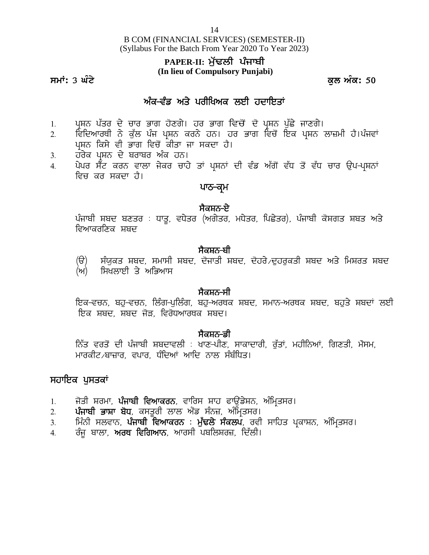B COM (FINANCIAL SERVICES) (SEMESTER-II) (Syllabus For the Batch From Year 2020 To Year 2023) 14<br>PANCIAL SERVICES) (SEMESTER-II)<br>Paper Prom Year 2020 To Year 2023)<br>**PAPER-II: ਮੁੱਢਲੀ ਪੰਜਾਬੀ**<br>In lieu of Compulsory Punjabi)  $^{14}$ <br>M (FINANCIAL SERVICES) (SEMESTER-II<br>us For the Batch From Year 2020 To Year 202<br>**PAPER-II: ਮੁੱਢਲੀ ਪੰਜਾਬੀ**<br>(In lieu of Compulsory Punjabi)<br>ਅੰਕ-ਵੰਡ ਅਤੇ ਪਰੀਖਿਅਕ ਲਈ ਹਦਾਇਤਾਂ<br>ਭਾਗ ਹੋਣਗੇ। ਹਰ ਭਾਗ ਵਿਚੋਂ ਦੋ ਪਸ਼ਨ ਪੁੱਛੇ <sup>,</sup>

# **(In lieu of Compulsory Punjabi)**

**smath: 3 ਘੰਟੇ** ਕਲ ਅੰਕ: 50

- 
- 1H grap are all the sof the compulsory Punjabi)<br>1. ਪ੍ਰਸ਼ਨ ਪੱਤਰ ਦੇ ਚਾਰ ਭਾਗ ਹੋਣਗੇ। ਹਰ ਭਾਗ ਵਿਚੋਂ ਦੋ ਪ੍ਰਸ਼ਨ ਪੁੱਛੇ ਜਾਣਗੇ।<br>2. ਵਿਦਿਆਰਥੀ ਨੇ ਕੁੱਲ ਪੰਜ ਪ੍ਰਸ਼ਨ ਕਰਨੇ ਹਨ। ਹਰ ਭਾਗ ਵਿਚੋਂ ਇਕ ਪ੍ਰਸ਼ਨ ਲਾਜ਼ਮੀ ਹੈ।ਪੰਜਵਾਂ<br>ਪੁਸ਼ਨ ਪੱਤਰ ਦੇ ਚਾਰ ਭਾਗ ਹ 2H ftfdnkoEh B / e[`b g zi gqFB eoB / jB. jo Gkr ftu '\_ fJe gqFB bk}wh j?.g zitK ; **ਘੰਟੇ**<br>ਪ੍ਰਸ਼ਨ ਪੱਤਰ ਦੇ ਚਾਰ ਭਾਗ ਹੋਣਗੇ। ਹਰ ਭਾਗ ਵਿਚੋਂ ਦੋ ਪ੍ਰ<br>ਵਿਦਿਆਰਥੀ ਨੇ ਕੁੱਲ ਪੰਜ ਪ੍ਰਸ਼ਨ ਕਰਨੇ ਹਨ। ਹਰ ਭਾਗ <sup>ਵਿ</sup><br>ਪ੍ਰਸ਼ਨ ਕਿਸੇ ਵੀ ਭਾਗ ਵਿਚੋਂ ਕੀਤਾ ਜਾ ਸਕਦਾ ਹੈ।<br>ਹਰੇਕ ਪ੍ਰਸ਼ਨ ਦੇ ਬਰਾਬਰ ਅੰਕ ਹਨ।<br>ਪੇਪਰ ਸੈੱਟ ਕਰਨ ਵਾਲਾ ਜੇਕਰ ਚਾਹੇ ਤਾਂ ਪਸ਼ਨਾਂ ਦ 1. ਪ੍ਰਸ਼ਨ ਪੱਤਰ ਦੇ ਚਾਰ ਭਾਗ ਹੋਣਗੇ। ਹਰ ਭਾਗ ਵਿਚੋਂ ਦੱ<br>2. ਵਿਦਿਆਰਥੀ ਨੇ ਕੁੱਲ ਪੰਜ ਪ੍ਰਸ਼ਨ ਕਰਨੇ ਹਨ। ਹਰ ਭਾਰ<br>ਪ੍ਰਸ਼ਨ ਕਿਸੇ ਵੀ ਭਾਗ ਵਿਚੋਂ ਕੀਤਾ ਜਾ ਸਕਦਾ ਹੈ।<br>3. ਹਰੇਕ ਪ੍ਰਸ਼ਨ ਦੇ ਬਰਾਬਰ ਅੰਕ ਹਨ।<br>4. ਪੇਪਰ ਸੈਂਟ ਕਰਨ ਵਾਲਾ ਜੇਕਰ ਚਾਹੇ ਤਾਂ ਪ੍ਰਸ਼ਨਾਂ ਦੀ ਵੰ - ਅੰਕ<del>-ਵੰਡ ਅਤੇ ਪਰੀਖਿਅਕ ਲਈ ਹਦਾਇਤਾਂ</del><br>1. ਪ੍ਰਸ਼ਨ ਪੱਤਰ ਦੇ ਚਾਰ ਭਾਗ ਹੋਣਗੇ। ਹਰ ਭਾਗ ਵਿਚੋਂ ਦੋ ਪ੍ਰਸ਼ਨ ਪੁੱਛੇ ਜਾਣਗੇ।<br>2. ਵਿਦਿਆਰਥੀ ਨੇ ਕੁੱਲ ਪੰਜ ਪ੍ਰਸ਼ਨ ਕਰਨੇ ਹਨ। ਹਰ ਭਾਗ ਵਿਚੋਂ ਇਕ ਪ੍ਰਸ਼ਨ ਲਾਜ਼ਮੀ ਹੈ।ਪੰਜਵਾਂ<br>3. ਹਰੇਕ ਪ੍ਰਸ਼ਨ ਦੇ ਬਰਾਬਰ ਅੰਕ ਹਨ।<br>4. ਪ <sup>ਰ</sup> ਭਾਗ ਵਿਚੋਂ ਦੋ ਪ੍ਰਸ਼ਨ ਪੁੱਛੇ ਜਾਣਗੇ।<br>਼ਹਨ। ਹਰ ਭਾਗ ਵਿਚੋਂ ਇਕ ਪ੍ਰਸ਼ਨ<br>ਸਕਦਾ ਹੈ।<br><sup>ਹਾਂ</sup> ਪ੍ਰਸ਼ਨਾਂ ਦੀ ਵੰਡ ਅੱਗੋਂ ਵੱਧ ਤੋਂ ਵੱਧ<br>**ਪਾਠ–ਕ੍ਰਮ**<br>ਸੈਕਸ਼ਨ–ਏ
- 
- ਵਿਚ ਕਰ ਸਕਦਾ ਹੈ। ਪ੍ਰਸ਼ਨ ਕਿਸੇ ਵੀ ਭਾਗ ਵਿਚੋਂ ਕੀਤਾ ਜਾ ਸਕਦਾ ਹੈ।<br>ਹਰੇਕ ਪ੍ਰਸ਼ਨ ਦੇ ਬਰਾਬਰ ਅੰਕ ਹਨ।<br>ਪੇਪਰ ਸੈੱਟ ਕਰਨ ਵਾਲਾ ਜੇਕਰ ਚਾਹੇ ਤਾਂ ਪ੍ਰਸ਼ਨਾਂ ਦੀ ਵੰਡ ਅੱਗੋਂ ਵੱਧ ਤੋਂ ਵੱਧ ਚਾਰ ਉਪ<del>-</del>ਪ੍ਰਸ਼ਨਾਂ<br>ਵਿਚ ਕਰ ਸਕਦਾ ਹੈ।<br>ਪੰਜਾਬੀ ਸ਼ਬਦ ਬਣਤਰ : ਧਾਤੁ, ਵਧੇਤਰ (ਅਗੇਤਰ, ਮਧੇਤਰ, ਪਿ

ਹਰੇਕ ਪ੍ਰਸ਼ਨ ਦੇ ਬਰਾਬਰ ਅੰਕ ਹਨ।<br>ਪੇਪਰ ਸੈਂਟ ਕਰਨ ਵਾਲਾ ਜੇਕਰ ਚਾਹੇ ਤਾਂ ਪ੍ਰਸ਼ਨਾਂ ਦੀ ਵੰਡ ਅੱਗੋਂ ਵੱਧ ਤੋਂ ਵੱਧ ਚਾਰ ਉਪ-ਪ੍ਰਸ਼ਨਾਂ<br>ਵਿਚ ਕਰ ਸਕਦਾ ਹੈ।<br>ਪੰਜਾਬੀ ਸ਼ਬਦ ਬਣਤਰ : ਧਾਤੂ, ਵਧੇਤਰ (ਅਗੇਤਰ, ਮਧੇਤਰ, ਪਿਛੇਤਰ), ਪੰਜਾਬੀ ਕੋਸ਼ਗਤ ਸ਼ਬਤ ਅਤੇ<br>ਵਿਆਕਰਣਿਕ ਸ਼ਬਦ

**ਂ ਸੈਕਸ਼ਨ−ਬੀ**<br>ਸੰਯੁਕਤ ਸ਼ਬਦ, ਸਮਾਸੀ ਸ਼ਬਦ, ਦੋਜਾਤੀ ਸ਼ਬਦ, ਦੋਹਰੇ ਵਹਰਕਤੀ ਸ਼ਬਦ ਅਤੇ ਮਿਸ਼ਰਤ ਸ਼ਬਦ ੱਜਾਬੀ ਸ਼ਬਦ ਬਣਤਰ : ਧਾਤੂ, ਵਧੇਤਰ (ਅਗੇਤਰ, ਮਧੇਤਰ, ਪਿਛੇਤਰ), ਪੰਜਾਬੀ ਕੋਸ਼ਗਤ ਸ਼ਬਤ ਅਤੇ<br>ਵਿਆਕਰਣਿਕ ਸ਼ਬਦ<br>(ੳ) ਸੰਯੁਕਤ ਸ਼ਬਦ, ਸਮਾਸੀ ਸ਼ਬਦ, ਦੋਜਾਤੀ ਸ਼ਬਦ, ਦੋਹਰੇ ਦੁਹਰੁਕਤੀ ਸ਼ਬਦ ਅਤੇ ਮਿਸ਼ਰਤ ਸ਼ਬਦ<br>(ਅ) ਸਿਖਲਾਈ ਤੇ ਅਭਿਆਸ  $\overline{m}$ ) - ਸਿਖਲਾਈ ਤੇ ਅਭਿਆਸ **(**ੳ) ਸੰਯੁਕਤ ਸ਼ਬਦ, ਸਮਾਸੀ ਸ਼ਬਦ, ਦੋਜਾਤੀ ਸ਼ਬਦ, ਦੋਹਰੇ ਵਹਰੁਕਤੀ ਸ਼ਬਦ ਅਤੇ ਮਿਸ਼ਰਤ ਸ਼ਬਦ<br>(ਅ) ਸਿਖਲਾਈ ਤੇ ਅਭਿਆਸ<br>ਸੈਕਸ਼ਨ-ਸੀ<br>ਇਕ-ਵਚਨ, ਬਹੁ-ਵਚਨ, ਲਿੰਗ-ਪੁਲਿੰਗ, ਬਹੁ-ਅਰਥਕ ਸ਼ਬਦ, ਸਮਾਨ-ਅਰਥਕ ਸ਼ਬਦ, ਬਹੁਤੇ ਸ਼ਬਦਾਂ ਲਈ<br>ਇਕ ਸ਼ਬਦ, ਸ਼ਬਦ ਜੋੜ, ਵਿਰੋਧਆਰਥਕ ਸ਼ਬਦ ਉੇ) ਸੰਯੁਕਤ ਸ਼ਬਦ, ਸਮਾਸੀ ਸ਼ਬਦ, ਦੋਜਾਤੀ ਸ਼ਬਦ, ਦੋਹਰੇ<br>ਅ) ਸਿਖਲਾਈ ਤੇ ਅਭਿਆਸ<br>ਸੈਕਸ਼ਨ-ਸੀ<br>ਇਕ-ਵਚਨ, ਬਹੁ-ਵਚਨ, ਲਿੰਗ-ਪੁਲਿੰਗ, ਬਹੁ-ਅਰਥਕ ਸ਼ਬਦ, ਸ<br>ਇਕ ਸ਼ਬਦ, ਸ਼ਬਦ ਜੋੜ, ਵਿਰੋਧਆਰਥਕ ਸ਼ਬਦ।<br>ਸੈਕਸ਼ਨ-ਡੀ

### ,ਸੈਕਸ਼ਨ<del>-</del>ਸੀ

**ੱ**<br>ਇਕ-ਵਚਨ, ਬਹੁ-ਵਚਨ, ਲਿੰਗ-ਪੁਲਿੰਗ, ਬਹੁ-ਅਰਥਕ ਸ਼ਬਦ, ਸਮਾਨ-ਅਰਥਕ ਸ਼ਬਦ, ਬਹੁਤੇ ਸ਼ਬਦਾਂ ਲਈ<br>ਇਕ ਸ਼ਬਦ, ਸ਼ਬਦ ਜੋੜ, ਵਿਰੋਧਆਰਥਕ ਸ਼ਬਦ।<br>ਨਿੱਤ ਵਰਤੋਂ ਦੀ ਪੰਜਾਬੀ ਸ਼ਬਦਾਵਲੀ : ਖਾਣ-ਪੀਣ, ਸਾਕਾਦਾਰੀ, ਰੁੱਤਾਂ, ਮਹੀਨਿਆਂ, ਗਿਣਤੀ, ਮੌਸਮ,<br>ਮਾਰਕੀਟ<sub>⁄</sub>ਬਾਜ਼ਾਰ, ਵਪਾਰ,

**: ਸੈਕਸ਼ਨ-ਡੀ**<br>ਨਿੱਤ ਵਰਤੋਂ ਦੀ ਪੰਜਾਬੀ ਸ਼ਬਦਾਵਲੀ : ਖਾਣ-ਪੀਣ, ਸਾਕਾਦਾਰੀ, ਰੱਤਾਂ, ਮਹੀਨਿਆਂ, ਗਿਣਤੀ, ਮੌਸਮ, ਇਕ–ਵਚਨ, ਬਹੁ–ਵਚਨ, ਲਿੰਗ–ਪੁਲਿੰਗ, ਬਹੁ–ਅਰਥਕ ਸ਼ਬਦ, ਸਮਾਨ–ਅਰਥਕ ਸ਼ਬਦ,<br>ਇਕ ਸ਼ਬਦ, ਸ਼ਬਦ ਜੋੜ, ਵਿਰੋਧਆਰਥਕ ਸ਼ਬਦ।<br>ਨਿੱਤ ਵਰਤੋਂ ਦੀ ਪੰਜਾਬੀ ਸ਼ਬਦਾਵਲੀ : ਖਾਣ–ਪੀਣ, ਸਾਕਾਦਾਰੀ, ਰੁੱਤਾਂ, ਮਹੀਨਿਆਂ,<br>ਮਾਰਕੀਟ ਬਾਜ਼ਾਰ, ਵਪਾਰ, ਧੰਦਿਆਂ ਆਦਿ ਨਾਲ ਸੰਬੰਧਿਤ।<br>ਸਾਰਕੀਟ ਬਾਜ਼ **- ਸਕਸ਼ਨ-ਡਾ**<br>1H ਸ਼ੋਨ ਸ਼ੁਰਾਦਾਰੀ, ਰੁੱਤਾਂ, ਮਹੀਨਿਆਂ, ਗਿਣਤੀ, ਮੌ<br>ਮਾਰਕੀਟ ਬਾਜ਼ਾਰ, ਵਪਾਰ, ਧੰਦਿਆਂ ਆਦਿ ਨਾਲ ਸੰਬੰਧਿਤ।<br>1. ਜੋਤੀ ਸ਼ਰਮਾ, **ਪੰਜਾਬੀ ਵਿਆਕਰਨ**, ਵਾਰਿਸ ਸ਼ਾਹ ਫਾਉਂਡੇਸ਼ਨ, ਅੰਮ੍ਰਿਤਸਰ।<br>2. ਪੰਜਾਬੀ ਭਾਸ਼ਾ ਬੋਧ, ਕਸਤੂਰੀ ਲਾਲ ਐਂਡ ਸੰਨਜ਼, ਅੰਮ੍

### ਸਹਾਇਕ ਪਸਤਕਾਂ

- 
- 
- ਮਾਰਕੀਟ<sub>⁄</sub>ਬਾਜ਼ਾਰ, ਵਪਾਰ, ਧੰਦਿਆਂ ਆਦਿ ਨਾਲ ਸੰਬੰਧਿਤ।<br>**ਸਹਾਇਕ ਪੁਸਤਕਾਂ**<br>1. ਜੋਤੀ ਸ਼ਰਮਾ, **ਪੰਜਾਬੀ ਵਿਆਕਰਨ**, ਵਾਰਿਸ ਸ਼ਾਹ ਫਾਉਂਡੇਸ਼ਨ, ਅੰਮ੍ਰਿਤਸਰ।<br>2. **ਪੰਜਾਬੀ ਭਾਸ਼ਾ ਬੋਧ**, ਕਸਤੂਰੀ ਲਾਲ ਐਂਡ ਸੰਨਜ਼, ਅੰਮ੍ਰਿਤਸਰ।<br>3. ਮਿੰਨੀ ਸਲਵਾਨ, **ਪੰਜਾਬੀ ਵਿਆਕ** ਮਾਰਕੋਟਿ/ਬਾਜ਼ਾਰ, ਵਧਾਰ, ਧੋਦਿਆ ਆਦਿ ਨਾਲ ਸੰਬੋਧਿਤ।<br>ਸ**ਹਾਇਕ ਪੁਸਤਕਾਂ**<br>1. ਜੋਤੀ ਸ਼ਰਮਾ, **ਪੰਜਾਬੀ ਵਿਆਕਰਨ**, ਵਾਰਿਸ ਸ਼ਾਹ ਫਾਉਂਡੇਸ਼ਨ, ਅੰਮ੍ਰਿਤਸਰ।<br>2. **ਪੰਜਾਬੀ ਭਾਸ਼ਾ ਬੋਧ**, ਕਸਤੂਰੀ ਲਾਲ ਐਂਡ ਸੰਨਜ਼, ਅੰਮ੍ਰਿਤਸਰ।<br>3. ਮਿੰਨੀ ਸਲਵਾਨ, **ਪੰਜਾਬੀ ਵਿਆਕਰ**
- ਰੰਜੂ ਬਾਲਾ, **ਅਰਥ ਵਿਗਿਆਨ**, ਆਰਸੀ ਪਬਲਿਸ਼ਰਜ਼, ਦਿੱਲੀ।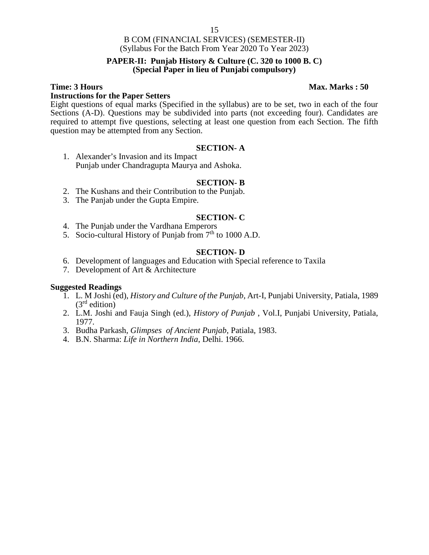#### **PAPER-II: Punjab History & Culture (C. 320 to 1000 B. C) (Special Paper in lieu of Punjabi compulsory)**

#### **Instructions for the Paper Setters**

Eight questions of equal marks (Specified in the syllabus) are to be set, two in each of the four Sections (A-D). Questions may be subdivided into parts (not exceeding four). Candidates are required to attempt five questions, selecting at least one question from each Section. The fifth question may be attempted from any Section.

#### **SECTION- A**

1. Alexander's Invasion and its Impact Punjab under Chandragupta Maurya and Ashoka.

#### **SECTION- B**

- 2. The Kushans and their Contribution to the Punjab.
- 3. The Panjab under the Gupta Empire.

#### **SECTION- C**

- 4. The Punjab under the Vardhana Emperors
- 5. Socio-cultural History of Punjab from  $7<sup>th</sup>$  to 1000 A.D.

#### **SECTION- D**

- 6. Development of languages and Education with Special reference to Taxila
- 7. Development of Art & Architecture

#### **Suggested Readings**

- 1. L. M Joshi (ed), *History and Culture of the Punjab*, Art-I, Punjabi University, Patiala, 1989  $(3<sup>rd</sup>$  edition)
- 2. L.M. Joshi and Fauja Singh (ed.), *History of Punjab* , Vol.I, Punjabi University, Patiala, 1977.
- 3. Budha Parkash, *Glimpses of Ancient Punjab*, Patiala, 1983.
- 4. B.N. Sharma: *Life in Northern India*, Delhi. 1966.

#### **Time: 3 Hours Max. Marks : 50**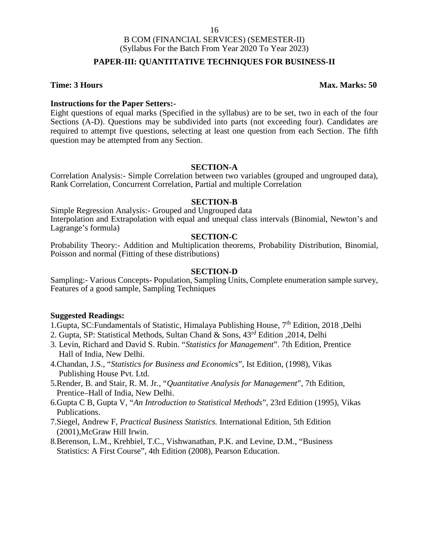### **PAPER-III: QUANTITATIVE TECHNIQUES FOR BUSINESS-II**

#### **Time: 3 Hours Max. Marks: 50**

### **Instructions for the Paper Setters:-**

Eight questions of equal marks (Specified in the syllabus) are to be set, two in each of the four Sections (A-D). Questions may be subdivided into parts (not exceeding four). Candidates are required to attempt five questions, selecting at least one question from each Section. The fifth question may be attempted from any Section.

#### **SECTION-A**

Correlation Analysis:- Simple Correlation between two variables (grouped and ungrouped data), Rank Correlation, Concurrent Correlation, Partial and multiple Correlation

#### **SECTION-B**

Simple Regression Analysis:- Grouped and Ungrouped data Interpolation and Extrapolation with equal and unequal class intervals (Binomial, Newton's and Lagrange's formula)

#### **SECTION-C**

Probability Theory:- Addition and Multiplication theorems, Probability Distribution, Binomial, Poisson and normal (Fitting of these distributions)

#### **SECTION-D**

Sampling:- Various Concepts- Population, Sampling Units, Complete enumeration sample survey, Features of a good sample, Sampling Techniques

#### **Suggested Readings:**

1.Gupta, SC:Fundamentals of Statistic, Himalaya Publishing House, 7<sup>th</sup> Edition, 2018, Delhi

- 2. Gupta, SP: Statistical Methods, Sultan Chand & Sons, 43rd Edition ,2014, Delhi
- 3. Levin, Richard and David S. Rubin. "*Statistics for Management*". 7th Edition, Prentice Hall of India, New Delhi.
- 4.Chandan, J.S., "*Statistics for Business and Economics*", Ist Edition, (1998), Vikas Publishing House Pvt. Ltd.
- 5.Render, B. and Stair, R. M. Jr., "*Quantitative Analysis for Management*", 7th Edition, Prentice–Hall of India, New Delhi.
- 6.Gupta C B, Gupta V, "*An Introduction to Statistical Methods*", 23rd Edition (1995), Vikas Publications.
- 7.Siegel, Andrew F, *Practical Business Statistics.* International Edition, 5th Edition (2001),McGraw Hill Irwin.
- 8.Berenson, L.M., Krehbiel, T.C., Vishwanathan, P.K. and Levine, D.M., "Business Statistics: A First Course", 4th Edition (2008), Pearson Education.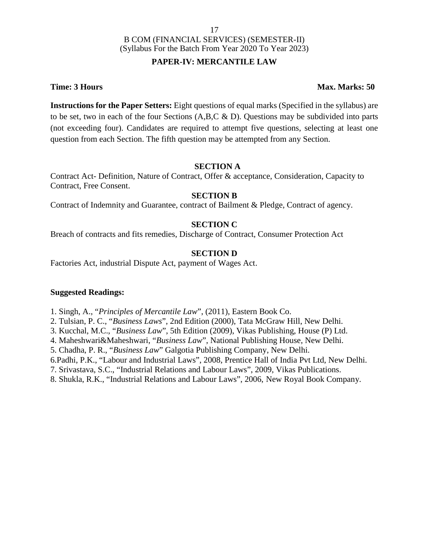### **PAPER-IV: MERCANTILE LAW**

### **Time: 3 Hours Max. Marks: 50**

**Instructions for the Paper Setters:** Eight questions of equal marks (Specified in the syllabus) are to be set, two in each of the four Sections  $(A, B, C \& D)$ . Questions may be subdivided into parts (not exceeding four). Candidates are required to attempt five questions, selecting at least one question from each Section. The fifth question may be attempted from any Section.

### **SECTION A**

Contract Act- Definition, Nature of Contract, Offer & acceptance, Consideration, Capacity to Contract, Free Consent.

### **SECTION B**

Contract of Indemnity and Guarantee, contract of Bailment & Pledge, Contract of agency.

### **SECTION C**

Breach of contracts and fits remedies, Discharge of Contract, Consumer Protection Act

### **SECTION D**

Factories Act, industrial Dispute Act, payment of Wages Act.

#### **Suggested Readings:**

1. Singh, A., "*Principles of Mercantile Law*", (2011), Eastern Book Co.

2. Tulsian, P. C., "*Business Laws*", 2nd Edition (2000), Tata McGraw Hill, New Delhi.

3. Kucchal, M.C., "*Business Law*", 5th Edition (2009), Vikas Publishing, House (P) Ltd.

4. Maheshwari&Maheshwari, "*Business Law*", National Publishing House, New Delhi.

5. Chadha, P. R., "*Business Law*" Galgotia Publishing Company, New Delhi.

6.Padhi, P.K., "Labour and Industrial Laws", 2008, Prentice Hall of India Pvt Ltd, New Delhi.

7. Srivastava, S.C., "Industrial Relations and Labour Laws", 2009, Vikas Publications.

8. Shukla, R.K., "Industrial Relations and Labour Laws", 2006, New Royal Book Company.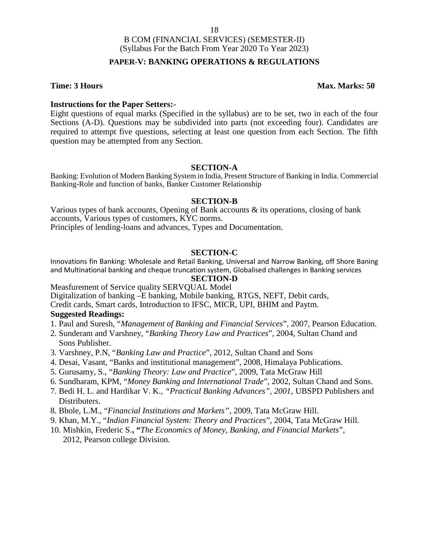### **PAPER-V: BANKING OPERATIONS & REGULATIONS**

#### **Time: 3 Hours Max. Marks: 50**

#### **Instructions for the Paper Setters:-**

Eight questions of equal marks (Specified in the syllabus) are to be set, two in each of the four Sections (A-D). Questions may be subdivided into parts (not exceeding four). Candidates are required to attempt five questions, selecting at least one question from each Section. The fifth question may be attempted from any Section.

#### **SECTION-A**

Banking: Evolution of Modern Banking System in India, Present Structure of Banking in India. Commercial Banking-Role and function of banks, Banker Customer Relationship

#### **SECTION-B**

Various types of bank accounts, Opening of Bank accounts  $\&$  its operations, closing of bank accounts, Various types of customers, KYC norms.

Principles of lending-loans and advances, Types and Documentation.

#### **SECTION-C**

Innovations fin Banking: Wholesale and Retail Banking, Universal and Narrow Banking, off Shore Baning and Multinational banking and cheque truncation system, Globalised challenges in Banking services

### **SECTION-D**

Measfurement of Service quality SERVQUAL Model Digitalization of banking –E banking, Mobile banking, RTGS, NEFT, Debit cards,

Credit cards, Smart cards, Introduction to IFSC, MICR, UPI, BHIM and Paytm.

#### **Suggested Readings:**

- 1. Paul and Suresh, "*Management of Banking and Financial Services*", 2007, Pearson Education.
- 2. Sunderam and Varshney, "*Banking Theory Law and Practices*", 2004, Sultan Chand and Sons Publisher.
- 3. Varshney, P.N, "*Banking Law and Practice*", 2012, Sultan Chand and Sons
- 4. Desai, Vasant, "Banks and institutional management", 2008, Himalaya Publications.
- 5. Gurusamy, S., "*Banking Theory: Law and Practice*", 2009, Tata McGraw Hill
- 6. Sundharam, KPM, "*Money Banking and International Trade*", 2002, Sultan Chand and Sons.
- 7. Bedi H. L. and Hardikar V. K., *"Practical Banking Advances", 2001,* UBSPD Publishers and Distributers.
- 8. Bhole, L.M., "*Financial Institutions and Markets"*, 2009, Tata McGraw Hill.
- 9. Khan, M.Y., "*Indian Financial System: Theory and Practices*", 2004, Tata McGraw Hill.
- 10. Mishkin, Frederic S.**, "***The Economics of Money, Banking, and Financial Markets*", 2012, Pearson college Division.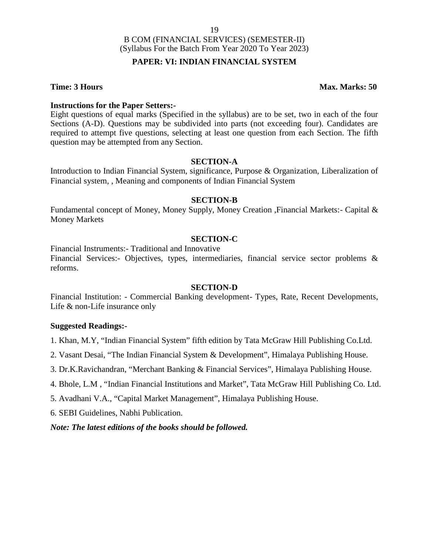### **PAPER: VI: INDIAN FINANCIAL SYSTEM**

**Time: 3 Hours Max. Marks: 50** 

#### **Instructions for the Paper Setters:-**

Eight questions of equal marks (Specified in the syllabus) are to be set, two in each of the four Sections (A-D). Questions may be subdivided into parts (not exceeding four). Candidates are required to attempt five questions, selecting at least one question from each Section. The fifth question may be attempted from any Section.

#### **SECTION-A**

Introduction to Indian Financial System, significance, Purpose & Organization, Liberalization of Financial system, , Meaning and components of Indian Financial System

#### **SECTION-B**

Fundamental concept of Money, Money Supply, Money Creation ,Financial Markets:- Capital & Money Markets

#### **SECTION-C**

Financial Instruments:- Traditional and Innovative

Financial Services:- Objectives, types, intermediaries, financial service sector problems & reforms.

#### **SECTION-D**

Financial Institution: - Commercial Banking development- Types, Rate, Recent Developments, Life & non-Life insurance only

#### **Suggested Readings:-**

1. Khan, M.Y, "Indian Financial System" fifth edition by Tata McGraw Hill Publishing Co.Ltd.

2. Vasant Desai, "The Indian Financial System & Development", Himalaya Publishing House.

3. Dr.K.Ravichandran, "Merchant Banking & Financial Services", Himalaya Publishing House.

4. Bhole, L.M , "Indian Financial Institutions and Market", Tata McGraw Hill Publishing Co. Ltd.

5. Avadhani V.A., "Capital Market Management", Himalaya Publishing House.

6. SEBI Guidelines, Nabhi Publication.

*Note: The latest editions of the books should be followed.*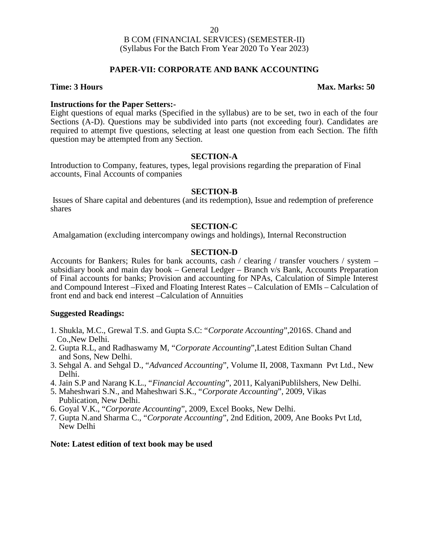### **PAPER-VII: CORPORATE AND BANK ACCOUNTING**

#### **Time: 3 Hours Max. Marks: 50**

#### **Instructions for the Paper Setters:-**

Eight questions of equal marks (Specified in the syllabus) are to be set, two in each of the four Sections (A-D). Questions may be subdivided into parts (not exceeding four). Candidates are required to attempt five questions, selecting at least one question from each Section. The fifth question may be attempted from any Section.

#### **SECTION-A**

Introduction to Company, features, types, legal provisions regarding the preparation of Final accounts, Final Accounts of companies

#### **SECTION-B**

Issues of Share capital and debentures (and its redemption), Issue and redemption of preference shares

#### **SECTION-C**

Amalgamation (excluding intercompany owings and holdings), Internal Reconstruction

#### **SECTION-D**

Accounts for Bankers; Rules for bank accounts, cash / clearing / transfer vouchers / system – subsidiary book and main day book – General Ledger – Branch  $v/s$  Bank, Accounts Preparation of Final accounts for banks; Provision and accounting for NPAs, Calculation of Simple Interest and Compound Interest –Fixed and Floating Interest Rates – Calculation of EMIs – Calculation of front end and back end interest –Calculation of Annuities

#### **Suggested Readings:**

- 1. Shukla, M.C., Grewal T.S. and Gupta S.C: "*Corporate Accounting*",2016S. Chand and Co.,New Delhi.
- 2. Gupta R.L, and Radhaswamy M, "*Corporate Accounting*",Latest Edition Sultan Chand and Sons, New Delhi.
- 3. Sehgal A. and Sehgal D., "*Advanced Accounting*", Volume II, 2008, Taxmann Pvt Ltd., New Delhi.
- 4. Jain S.P and Narang K.L., "*Financial Accounting*", 2011, KalyaniPublilshers, New Delhi.
- 5. Maheshwari S.N., and Maheshwari S.K., "*Corporate Accounting*", 2009, Vikas Publication, New Delhi.
- 6. Goyal V.K., "*Corporate Accounting*", 2009, Excel Books, New Delhi.
- 7. Gupta N.and Sharma C., "*Corporate Accounting*", 2nd Edition, 2009, Ane Books Pvt Ltd, New Delhi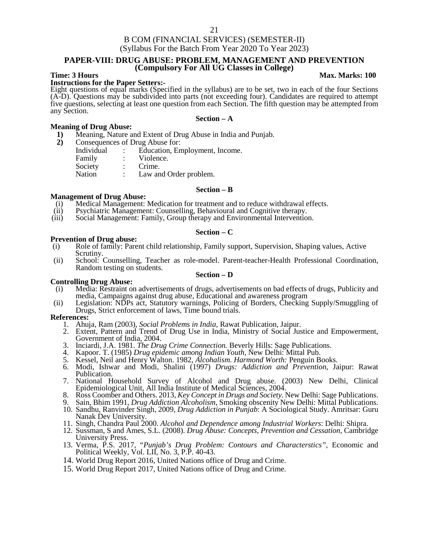#### **PAPER-VIII: DRUG ABUSE: PROBLEM, MANAGEMENT AND PREVENTION (Compulsory For All UG Classes in College)**

## **Time: 3 Hours Max.** Marks: 100 **Max.** Marks: 100

Eight questions of equal marks (Specified in the syllabus) are to be set, two in each of the four Sections (A-D). Questions may be subdivided into parts (not exceeding four). Candidates are required to attempt five questions, selecting at least one question from each Section. The fifth question may be attempted from any Section. **Section – A**

#### **Meaning of Drug Abuse:**

- **1)** Meaning, Nature and Extent of Drug Abuse in India and Punjab.
- **2)** Consequences of Drug Abuse for:

| Individual | Education, Employment, Income. |
|------------|--------------------------------|
| Family     | Violence.                      |
| Society    | Crime.                         |
| Nation     | Law and Order problem.         |

#### **Section – B**

#### **Management of Drug Abuse:**

- (i) Medical Management: Medication for treatment and to reduce withdrawal effects.<br>(ii) Psychiatric Management: Counselling, Behavioural and Cognitive therapy.
- (ii) Psychiatric Management: Counselling, Behavioural and Cognitive therapy.<br>(iii) Social Management: Family, Group therapy and Environmental Intervention
- Social Management: Family, Group therapy and Environmental Intervention.

#### **Prevention of Drug abuse:**

(i) Role of family: Parent child relationship, Family support, Supervision, Shaping values, Active Scrutiny.

**Section – C**

(ii) School: Counselling, Teacher as role-model. Parent-teacher-Health Professional Coordination, Random testing on students.

#### **Section – D**

# **Controlling Drug Abuse:**

- Media: Restraint on advertisements of drugs, advertisements on bad effects of drugs, Publicity and media, Campaigns against drug abuse, Educational and awareness program
- (ii) Legislation: NDPs act, Statutory warnings, Policing of Borders, Checking Supply/Smuggling of Drugs, Strict enforcement of laws, Time bound trials.

#### **References:**

- 1. Ahuja, Ram (2003), *Social Problems in India*, Rawat Publication, Jaipur.
- 2. Extent, Pattern and Trend of Drug Use in India, Ministry of Social Justice and Empowerment, Government of India, 2004.
- 3. Inciardi, J.A. 1981. *The Drug Crime Connection.* Beverly Hills: Sage Publications.
- 4. Kapoor. T. (1985) *Drug epidemic among Indian Youth*, New Delhi: Mittal Pub.
- 5. Kessel, Neil and Henry Walton. 1982, *Alcohalism. Harmond Worth:* Penguin Books.
- 6. Modi, Ishwar and Modi, Shalini (1997) *Drugs: Addiction and Prevention*, Jaipur: Rawat Publication.
- 7. National Household Survey of Alcohol and Drug abuse. (2003) New Delhi, Clinical Epidemiological Unit, All India Institute of Medical Sciences, 2004.
- 8. Ross Coomber and Others. 2013, *Key Concept in Drugs and Society.* New Delhi: Sage Publications.
- 9. Sain, Bhim 1991, *Drug Addiction Alcoholism,* Smoking obscenity New Delhi: Mittal Publications.
- 10. Sandhu, Ranvinder Singh, 2009, *Drug Addiction in Punjab*: A Sociological Study. Amritsar: Guru Nanak Dev University.
- 11. Singh, Chandra Paul 2000. *Alcohol and Dependence among Industrial Workers*: Delhi: Shipra.
- 12. Sussman, S and Ames, S.L. (2008). *Drug Abuse: Concepts, Prevention and Cessation,* Cambridge University Press.
- 13. Verma, P.S. 2017, "*Punjab's Drug Problem: Contours and Characterstics",* Economic and Political Weekly, Vol. LII, No. 3, P.P. 40-43.
- 14. World Drug Report 2016, United Nations office of Drug and Crime.
- 15. World Drug Report 2017, United Nations office of Drug and Crime.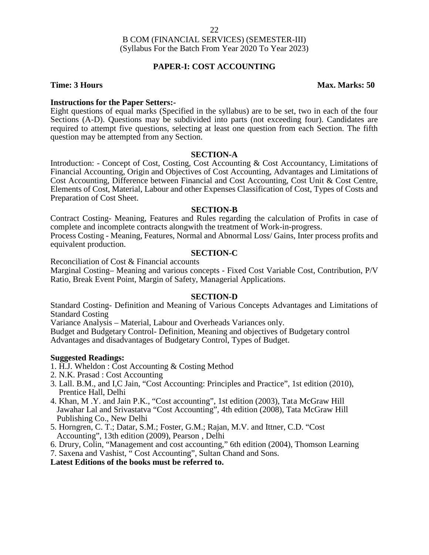#### **PAPER-I: COST ACCOUNTING**

#### **Time: 3 Hours Max. Marks: 50**

#### **Instructions for the Paper Setters:-**

Eight questions of equal marks (Specified in the syllabus) are to be set, two in each of the four Sections (A-D). Questions may be subdivided into parts (not exceeding four). Candidates are required to attempt five questions, selecting at least one question from each Section. The fifth question may be attempted from any Section.

#### **SECTION-A**

Introduction: - Concept of Cost, Costing, Cost Accounting & Cost Accountancy, Limitations of Financial Accounting, Origin and Objectives of Cost Accounting, Advantages and Limitations of Cost Accounting, Difference between Financial and Cost Accounting, Cost Unit & Cost Centre, Elements of Cost, Material, Labour and other Expenses Classification of Cost, Types of Costs and Preparation of Cost Sheet.

#### **SECTION-B**

Contract Costing- Meaning, Features and Rules regarding the calculation of Profits in case of complete and incomplete contracts alongwith the treatment of Work-in-progress. Process Costing - Meaning, Features, Normal and Abnormal Loss/ Gains, Inter process profits and equivalent production.

#### **SECTION-C**

Reconciliation of Cost & Financial accounts Marginal Costing– Meaning and various concepts - Fixed Cost Variable Cost, Contribution, P/V Ratio, Break Event Point, Margin of Safety, Managerial Applications.

#### **SECTION-D**

Standard Costing- Definition and Meaning of Various Concepts Advantages and Limitations of Standard Costing

Variance Analysis – Material, Labour and Overheads Variances only.

Budget and Budgetary Control- Definition, Meaning and objectives of Budgetary control Advantages and disadvantages of Budgetary Control, Types of Budget.

#### **Suggested Readings:**

- 1. H.J. Wheldon : Cost Accounting & Costing Method
- 2. N.K. Prasad : Cost Accounting
- 3. Lall. B.M., and I,C Jain, "Cost Accounting: Principles and Practice", 1st edition (2010), Prentice Hall, Delhi
- 4. Khan, M .Y. and Jain P.K., "Cost accounting", 1st edition (2003), Tata McGraw Hill Jawahar Lal and Srivastatva "Cost Accounting", 4th edition (2008), Tata McGraw Hill Publishing Co., New Delhi
- 5. Horngren, C. T.; Datar, S.M.; Foster, G.M.; Rajan, M.V. and Ittner, C.D. "Cost Accounting", 13th edition (2009), Pearson , Delhi
- 6. Drury, Colin, "Management and cost accounting," 6th edition (2004), Thomson Learning
- 7. Saxena and Vashist, " Cost Accounting", Sultan Chand and Sons.

**Latest Editions of the books must be referred to.**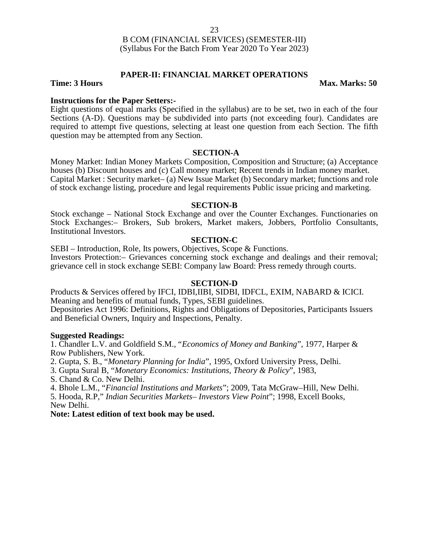#### **PAPER-II: FINANCIAL MARKET OPERATIONS**

**Time: 3 Hours Max. Marks: 50** 

#### **Instructions for the Paper Setters:-**

Eight questions of equal marks (Specified in the syllabus) are to be set, two in each of the four Sections (A-D). Questions may be subdivided into parts (not exceeding four). Candidates are required to attempt five questions, selecting at least one question from each Section. The fifth question may be attempted from any Section.

#### **SECTION-A**

Money Market: Indian Money Markets Composition, Composition and Structure; (a) Acceptance houses (b) Discount houses and (c) Call money market; Recent trends in Indian money market. Capital Market : Security market– (a) New Issue Market (b) Secondary market; functions and role of stock exchange listing, procedure and legal requirements Public issue pricing and marketing.

#### **SECTION-B**

Stock exchange – National Stock Exchange and over the Counter Exchanges. Functionaries on Stock Exchanges:– Brokers, Sub brokers, Market makers, Jobbers, Portfolio Consultants, Institutional Investors.

#### **SECTION-C**

SEBI – Introduction, Role, Its powers, Objectives, Scope & Functions. Investors Protection:– Grievances concerning stock exchange and dealings and their removal; grievance cell in stock exchange SEBI: Company law Board: Press remedy through courts.

#### **SECTION-D**

Products & Services offered by IFCI, IDBI,IIBI, SIDBI, IDFCL, EXIM, NABARD & ICICI. Meaning and benefits of mutual funds, Types, SEBI guidelines. Depositories Act 1996: Definitions, Rights and Obligations of Depositories, Participants Issuers and Beneficial Owners, Inquiry and Inspections, Penalty.

#### **Suggested Readings:**

1. Chandler L.V. and Goldfield S.M., "*Economics of Money and Banking*", 1977, Harper & Row Publishers, New York.

2. Gupta, S. B., "*Monetary Planning for India*", 1995, Oxford University Press, Delhi.

3. Gupta Sural B, "*Monetary Economics: Institutions, Theory & Policy*", 1983,

S. Chand & Co. New Delhi.

4. Bhole L.M., "*Financial Institutions and Markets*"; 2009, Tata McGraw–Hill, New Delhi.

5. Hooda, R.P," *Indian Securities Markets– Investors View Point*"; 1998, Excell Books, New Delhi.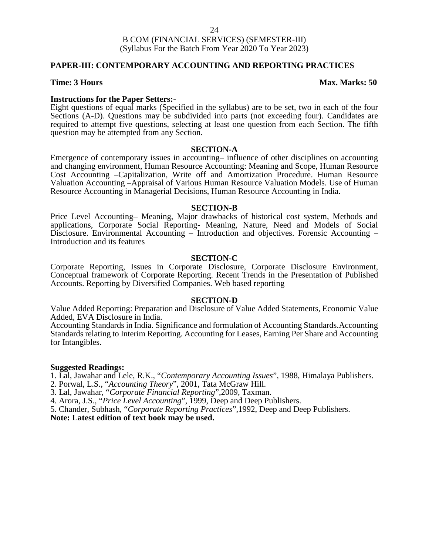### **PAPER-III: CONTEMPORARY ACCOUNTING AND REPORTING PRACTICES**

#### **Time: 3 Hours Max. Marks: 50**

**Instructions for the Paper Setters:-**<br>Eight questions of equal marks (Specified in the syllabus) are to be set, two in each of the four Sections (A-D). Questions may be subdivided into parts (not exceeding four). Candidates are required to attempt five questions, selecting at least one question from each Section. The fifth question may be attempted from any Section.

#### **SECTION-A**

Emergence of contemporary issues in accounting– influence of other disciplines on accounting and changing environment, Human Resource Accounting: Meaning and Scope, Human Resource Cost Accounting –Capitalization, Write off and Amortization Procedure. Human Resource Valuation Accounting –Appraisal of Various Human Resource Valuation Models. Use of Human Resource Accounting in Managerial Decisions, Human Resource Accounting in India.

#### **SECTION-B**

Price Level Accounting– Meaning, Major drawbacks of historical cost system, Methods and applications, Corporate Social Reporting- Meaning, Nature, Need and Models of Social Disclosure. Environmental Accounting – Introduction and objectives. Forensic Accounting – Introduction and its features

#### **SECTION-C**

Corporate Reporting, Issues in Corporate Disclosure, Corporate Disclosure Environment, Conceptual framework of Corporate Reporting. Recent Trends in the Presentation of Published Accounts. Reporting by Diversified Companies. Web based reporting

#### **SECTION-D**

Value Added Reporting: Preparation and Disclosure of Value Added Statements, Economic Value Added, EVA Disclosure in India.

Accounting Standards in India. Significance and formulation of Accounting Standards.Accounting Standards relating to Interim Reporting. Accounting for Leases, Earning Per Share and Accounting for Intangibles.

#### **Suggested Readings:**

1. Lal, Jawahar and Lele, R.K., "*Contemporary Accounting Issues*", 1988, Himalaya Publishers.

- 2. Porwal, L.S., "*Accounting Theory*", 2001, Tata McGraw Hill.
- 3. Lal, Jawahar, "*Corporate Financial Reporting*",2009, Taxman.
- 4. Arora, J.S., "*Price Level Accounting*", 1999, Deep and Deep Publishers.

5. Chander, Subhash, "*Corporate Reporting Practices*",1992, Deep and Deep Publishers.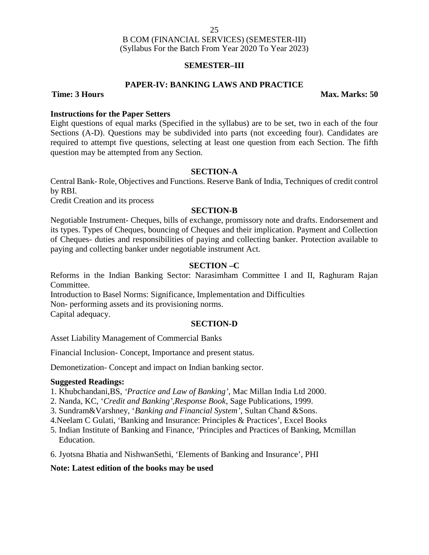### **SEMESTER–III**

#### **PAPER-IV: BANKING LAWS AND PRACTICE**

**Time: 3 Hours Max. Marks: 50**

#### **Instructions for the Paper Setters**

Eight questions of equal marks (Specified in the syllabus) are to be set, two in each of the four Sections (A-D). Questions may be subdivided into parts (not exceeding four). Candidates are required to attempt five questions, selecting at least one question from each Section. The fifth question may be attempted from any Section.

#### **SECTION-A**

Central Bank- Role, Objectives and Functions. Reserve Bank of India, Techniques of credit control by RBI.

Credit Creation and its process

#### **SECTION-B**

Negotiable Instrument- Cheques, bills of exchange, promissory note and drafts. Endorsement and its types. Types of Cheques, bouncing of Cheques and their implication. Payment and Collection of Cheques- duties and responsibilities of paying and collecting banker. Protection available to paying and collecting banker under negotiable instrument Act.

### **SECTION –C**

Reforms in the Indian Banking Sector: Narasimham Committee I and II, Raghuram Rajan Committee.

Introduction to Basel Norms: Significance, Implementation and Difficulties Non- performing assets and its provisioning norms. Capital adequacy.

#### **SECTION-D**

Asset Liability Management of Commercial Banks

Financial Inclusion- Concept, Importance and present status.

Demonetization- Concept and impact on Indian banking sector.

#### **Suggested Readings:**

1. Khubchandani,BS, *'Practice and Law of Banking'*, Mac Millan India Ltd 2000.

2. Nanda, KC, '*Credit and Banking',Response Book*, Sage Publications, 1999.

3. Sundram&Varshney, '*Banking and Financial System'*, Sultan Chand &Sons.

4.Neelam C Gulati, 'Banking and Insurance: Principles & Practices', Excel Books

5. Indian Institute of Banking and Finance, 'Principles and Practices of Banking, Mcmillan Education.

6. Jyotsna Bhatia and NishwanSethi, 'Elements of Banking and Insurance', PHI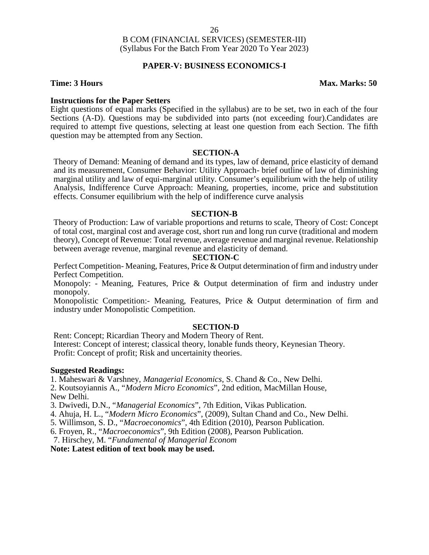#### **PAPER-V: BUSINESS ECONOMICS-I**

#### **Time: 3 Hours Max. Marks: 50**

#### **Instructions for the Paper Setters**

Eight questions of equal marks (Specified in the syllabus) are to be set, two in each of the four Sections (A-D). Questions may be subdivided into parts (not exceeding four).Candidates are required to attempt five questions, selecting at least one question from each Section. The fifth question may be attempted from any Section.

#### **SECTION-A**

Theory of Demand: Meaning of demand and its types, law of demand, price elasticity of demand and its measurement, Consumer Behavior: Utility Approach- brief outline of law of diminishing marginal utility and law of equi-marginal utility. Consumer's equilibrium with the help of utility Analysis, Indifference Curve Approach: Meaning, properties, income, price and substitution effects. Consumer equilibrium with the help of indifference curve analysis

#### **SECTION-B**

Theory of Production: Law of variable proportions and returns to scale, Theory of Cost: Concept of total cost, marginal cost and average cost, short run and long run curve (traditional and modern theory), Concept of Revenue: Total revenue, average revenue and marginal revenue. Relationship between average revenue, marginal revenue and elasticity of demand.

#### **SECTION-C**

Perfect Competition- Meaning, Features, Price & Output determination of firm and industry under Perfect Competition.

Monopoly: - Meaning, Features, Price & Output determination of firm and industry under monopoly.

Monopolistic Competition:- Meaning, Features, Price & Output determination of firm and industry under Monopolistic Competition.

#### **SECTION-D**

Rent: Concept; Ricardian Theory and Modern Theory of Rent. Interest: Concept of interest; classical theory, lonable funds theory, Keynesian Theory. Profit: Concept of profit; Risk and uncertainity theories.

#### **Suggested Readings:**

1. Maheswari & Varshney, *Managerial Economics*, S. Chand & Co., New Delhi.

2. Koutsoyiannis A., "*Modern Micro Economics*", 2nd edition, MacMillan House, New Delhi.

3. Dwivedi, D.N., "*Managerial Economics*", 7th Edition, Vikas Publication.

- 4. Ahuja, H. L., "*Modern Micro Economics*", (2009), Sultan Chand and Co., New Delhi.
- 5. Willimson, S. D., "*Macroeconomics*", 4th Edition (2010), Pearson Publication.
- 6. Froyen, R., "*Macroeconomics*", 9th Edition (2008), Pearson Publication.

7. Hirschey, M. "*Fundamental of Managerial Econom*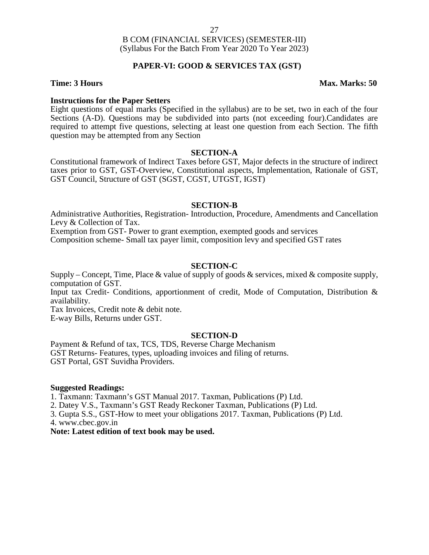### **PAPER-VI: GOOD & SERVICES TAX (GST)**

#### **Time: 3 Hours Max. Marks: 50**

#### **Instructions for the Paper Setters**

Eight questions of equal marks (Specified in the syllabus) are to be set, two in each of the four Sections (A-D). Questions may be subdivided into parts (not exceeding four).Candidates are required to attempt five questions, selecting at least one question from each Section. The fifth question may be attempted from any Section

#### **SECTION-A**

Constitutional framework of Indirect Taxes before GST, Major defects in the structure of indirect taxes prior to GST, GST-Overview, Constitutional aspects, Implementation, Rationale of GST, GST Council, Structure of GST (SGST, CGST, UTGST, IGST)

#### **SECTION-B**

Administrative Authorities, Registration- Introduction, Procedure, Amendments and Cancellation Levy & Collection of Tax.

Exemption from GST- Power to grant exemption, exempted goods and services

Composition scheme- Small tax payer limit, composition levy and specified GST rates

### **SECTION-C**

Supply – Concept, Time, Place & value of supply of goods & services, mixed & composite supply, computation of GST.

Input tax Credit- Conditions, apportionment of credit, Mode of Computation, Distribution & availability.

Tax Invoices, Credit note & debit note.

E-way Bills, Returns under GST.

#### **SECTION-D**

Payment & Refund of tax, TCS, TDS, Reverse Charge Mechanism GST Returns- Features, types, uploading invoices and filing of returns. GST Portal, GST Suvidha Providers.

#### **Suggested Readings:**

1. Taxmann: Taxmann's GST Manual 2017. Taxman, Publications (P) Ltd.

2. Datey V.S., Taxmann's GST Ready Reckoner Taxman, Publications (P) Ltd.

3. Gupta S.S., GST-How to meet your obligations 2017. Taxman, Publications (P) Ltd.

4. www.cbec.gov.in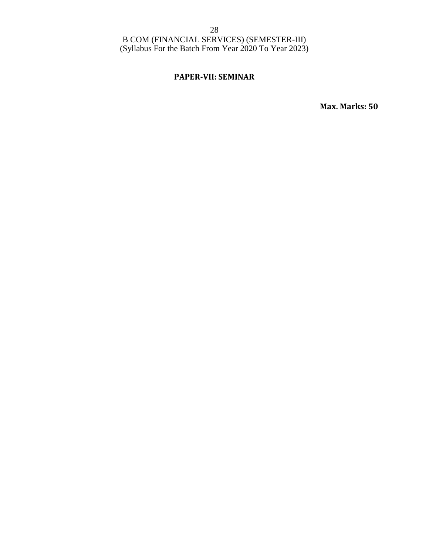### **PAPER-VII: SEMINAR**

**Max. Marks: 50**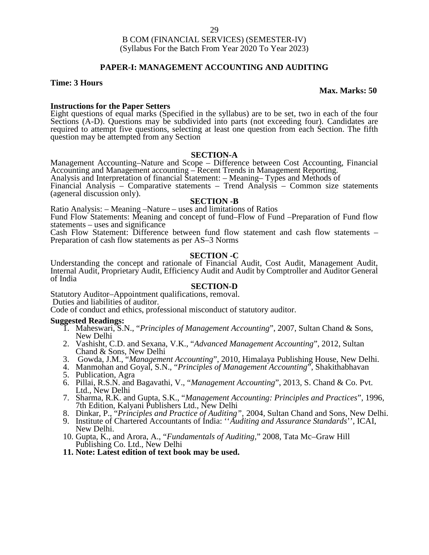### **PAPER-I: MANAGEMENT ACCOUNTING AND AUDITING**

#### **Time: 3 Hours**

#### **Max. Marks: 50**

#### **Instructions for the Paper Setters**

Eight questions of equal marks (Specified in the syllabus) are to be set, two in each of the four Sections (A-D). Questions may be subdivided into parts (not exceeding four). Candidates are required to attempt five questions, selecting at least one question from each Section. The fifth question may be attempted from any Section

#### **SECTION-A**

Management Accounting–Nature and Scope – Difference between Cost Accounting, Financial Accounting and Management accounting – Recent Trends in Management Reporting.

Analysis and Interpretation of financial Statement: – Meaning– Types and Methods of

Financial Analysis – Comparative statements – Trend Analysis – Common size statements (ageneral discussion only).

#### **SECTION -B**

Ratio Analysis: – Meaning –Nature – uses and limitations of Ratios

Fund Flow Statements: Meaning and concept of fund–Flow of Fund –Preparation of Fund flow statements – uses and significance

Cash Flow Statement: Difference between fund flow statement and cash flow statements – Preparation of cash flow statements as per AS–3 Norms

#### **SECTION -C**

Understanding the concept and rationale of Financial Audit, Cost Audit, Management Audit, Internal Audit, Proprietary Audit, Efficiency Audit and Audit by Comptroller and Auditor General of India

#### **SECTION-D**

Statutory Auditor–Appointment qualifications, removal.

Duties and liabilities of auditor.

Code of conduct and ethics, professional misconduct of statutory auditor.

#### **Suggested Readings:**

- 1. Maheswari, S.N., "*Principles of Management Accounting*", 2007, Sultan Chand & Sons, New Delhi
- 2. Vashisht, C.D. and Sexana, V.K., "*Advanced Management Accounting*", 2012, Sultan Chand & Sons, New Delhi
- 3. Gowda, J.M., "*Management Accounting*", 2010, Himalaya Publishing House, New Delhi.
- 4. Manmohan and Goyal, S.N., "*Principles of Management Accounting*", Shakithabhavan
- 5. Publication, Agra
- 6. Pillai, R.S.N. and Bagavathi, V., "*Management Accounting*", 2013, S. Chand & Co. Pvt. Ltd., New Delhi
- 7. Sharma, R.K. and Gupta, S.K., "*Management Accounting: Principles and Practices*", 1996, 7th Edition, Kalyani Publishers Ltd., New Delhi
- 8. Dinkar, P., "*Principles and Practice of Auditing",* 2004, Sultan Chand and Sons, New Delhi.
- 9. Institute of Chartered Accountants of India: ''*Auditing and Assurance Standards*'', ICAI, New Delhi.
- 10. Gupta, K., and Arora, A., "*Fundamentals of Auditing,*" 2008, Tata Mc–Graw Hill Publishing Co. Ltd., New Delhi
- **11. Note: Latest edition of text book may be used.**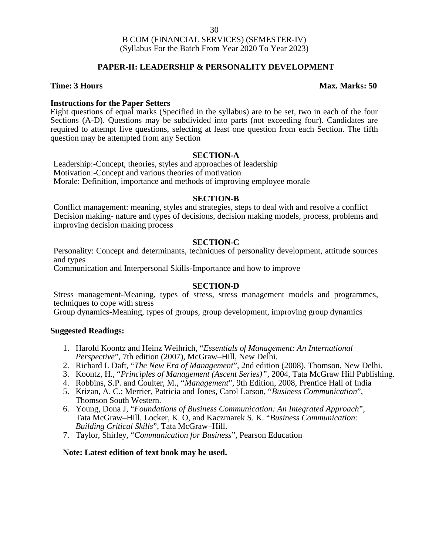#### **PAPER-II: LEADERSHIP & PERSONALITY DEVELOPMENT**

#### **Time: 3 Hours Max. Marks: 50**

#### **Instructions for the Paper Setters**

Eight questions of equal marks (Specified in the syllabus) are to be set, two in each of the four Sections (A-D). Questions may be subdivided into parts (not exceeding four). Candidates are required to attempt five questions, selecting at least one question from each Section. The fifth question may be attempted from any Section

#### **SECTION-A**

Leadership:-Concept, theories, styles and approaches of leadership Motivation:-Concept and various theories of motivation Morale: Definition, importance and methods of improving employee morale

#### **SECTION-B**

Conflict management: meaning, styles and strategies, steps to deal with and resolve a conflict Decision making- nature and types of decisions, decision making models, process, problems and improving decision making process

#### **SECTION-C**

Personality: Concept and determinants, techniques of personality development, attitude sources and types

Communication and Interpersonal Skills-Importance and how to improve

#### **SECTION-D**

Stress management-Meaning, types of stress, stress management models and programmes, techniques to cope with stress

Group dynamics-Meaning, types of groups, group development, improving group dynamics

#### **Suggested Readings:**

- 1. Harold Koontz and Heinz Weihrich, "*Essentials of Management: An International Perspective*", 7th edition (2007), McGraw–Hill, New Delhi.
- 2. Richard L Daft, "*The New Era of Management*", 2nd edition (2008), Thomson, New Delhi.
- 3. Koontz, H., "*Principles of Management (Ascent Series)"*, 2004, Tata McGraw Hill Publishing.
- 4. Robbins, S.P. and Coulter, M., "*Management*", 9th Edition, 2008, Prentice Hall of India
- 5. Krizan, A. C.; Merrier, Patricia and Jones, Carol Larson, "*Business Communication*", Thomson South Western.
- 6. Young, Dona J, "*Foundations of Business Communication: An Integrated Approach*", Tata McGraw–Hill. Locker, K. O, and Kaczmarek S. K. "*Business Communication: Building Critical Skills*", Tata McGraw–Hill.
- 7. Taylor, Shirley, "*Communication for Business*", Pearson Education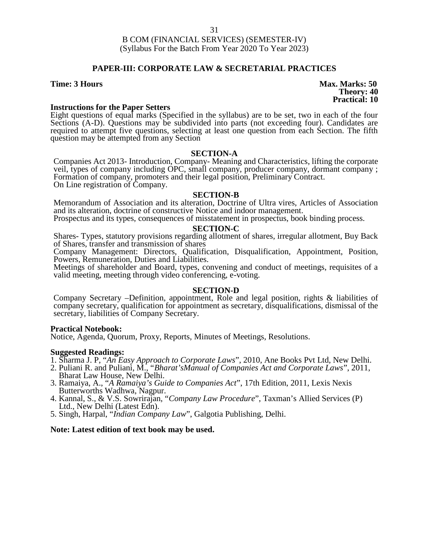#### **PAPER-III: CORPORATE LAW & SECRETARIAL PRACTICES**

#### **Instructions for the Paper Setters**

Eight questions of equal marks (Specified in the syllabus) are to be set, two in each of the four Sections (A-D). Questions may be subdivided into parts (not exceeding four). Candidates are required to attempt five questions, selecting at least one question from each Section. The fifth question may be attempted from any Section

#### **SECTION-A**

Companies Act 2013- Introduction, Company- Meaning and Characteristics, lifting the corporate veil, types of company including OPC, small company, producer company, dormant company ; Formation of company, promoters and their legal position, Preliminary Contract. On Line registration of Company.

#### **SECTION-B**

Memorandum of Association and its alteration, Doctrine of Ultra vires, Articles of Association and its alteration, doctrine of constructive Notice and indoor management.

Prospectus and its types, consequences of misstatement in prospectus, book binding process.

#### **SECTION-C**

Shares- Types, statutory provisions regarding allotment of shares, irregular allotment, Buy Back of Shares, transfer and transmission of shares

Company Management: Directors, Qualification, Disqualification, Appointment, Position, Powers, Remuneration, Duties and Liabilities.

Meetings of shareholder and Board, types, convening and conduct of meetings, requisites of a valid meeting, meeting through video conferencing, e-voting.

#### **SECTION-D**

Company Secretary –Definition, appointment, Role and legal position, rights & liabilities of company secretary, qualification for appointment as secretary, disqualifications, dismissal of the secretary, liabilities of Company Secretary.

#### **Practical Notebook:**

Notice, Agenda, Quorum, Proxy, Reports, Minutes of Meetings, Resolutions.

#### **Suggested Readings:**

- 1. Sharma J. P, "*An Easy Approach to Corporate Laws*", 2010, Ane Books Pvt Ltd, New Delhi.
- 2. Puliani R. and Puliani, M., "*Bharat'sManual of Companies Act and Corporate Laws*", 2011, Bharat Law House, New Delhi.
- 3. Ramaiya, A., "*A Ramaiya's Guide to Companies Act*", 17th Edition, 2011, Lexis Nexis Butterworths Wadhwa, Nagpur.
- 4. Kannal, S., & V.S. Sowrirajan, "*Company Law Procedure*", Taxman's Allied Services (P) Ltd., New Delhi (Latest Edn).
- 5. Singh, Harpal, "*Indian Company Law*", Galgotia Publishing, Delhi.

#### **Note: Latest edition of text book may be used.**

**Time: 3 Hours Max. Marks: 50 Theory: 40 Practical: 10**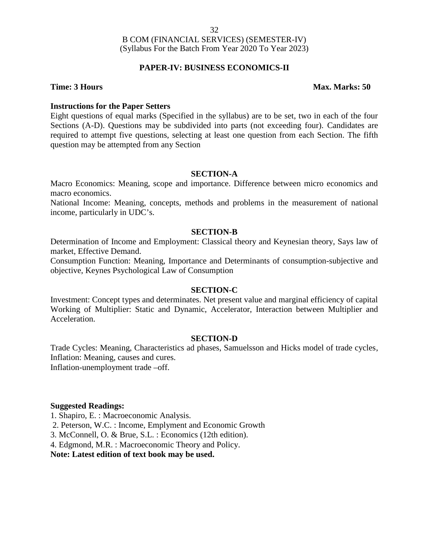### **PAPER-IV: BUSINESS ECONOMICS-II**

#### **Time: 3 Hours Max. Marks: 50**

#### **Instructions for the Paper Setters**

Eight questions of equal marks (Specified in the syllabus) are to be set, two in each of the four Sections (A-D). Questions may be subdivided into parts (not exceeding four). Candidates are required to attempt five questions, selecting at least one question from each Section. The fifth question may be attempted from any Section

#### **SECTION-A**

Macro Economics: Meaning, scope and importance. Difference between micro economics and macro economics.

National Income: Meaning, concepts, methods and problems in the measurement of national income, particularly in UDC's.

#### **SECTION-B**

Determination of Income and Employment: Classical theory and Keynesian theory, Says law of market, Effective Demand.

Consumption Function: Meaning, Importance and Determinants of consumption-subjective and objective, Keynes Psychological Law of Consumption

#### **SECTION-C**

Investment: Concept types and determinates. Net present value and marginal efficiency of capital Working of Multiplier: Static and Dynamic, Accelerator, Interaction between Multiplier and Acceleration.

#### **SECTION-D**

Trade Cycles: Meaning, Characteristics ad phases, Samuelsson and Hicks model of trade cycles, Inflation: Meaning, causes and cures. Inflation-unemployment trade –off.

#### **Suggested Readings:**

1. Shapiro, E. : Macroeconomic Analysis.

2. Peterson, W.C. : Income, Emplyment and Economic Growth

3. McConnell, O. & Brue, S.L. : Economics (12th edition).

4. Edgmond, M.R. : Macroeconomic Theory and Policy.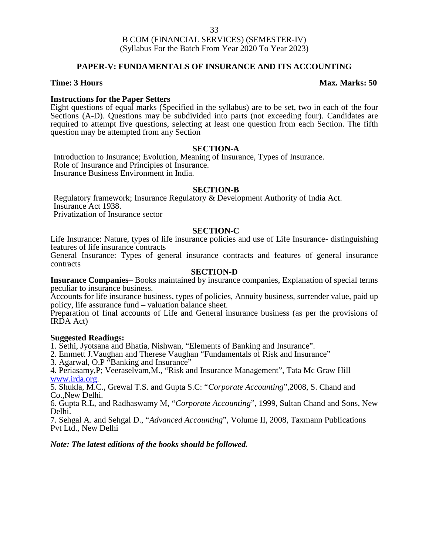#### **PAPER-V: FUNDAMENTALS OF INSURANCE AND ITS ACCOUNTING**

#### **Instructions for the Paper Setters**

Eight questions of equal marks (Specified in the syllabus) are to be set, two in each of the four Sections (A-D). Questions may be subdivided into parts (not exceeding four). Candidates are required to attempt five questions, selecting at least one question from each Section. The fifth question may be attempted from any Section

#### **SECTION-A**

Introduction to Insurance; Evolution, Meaning of Insurance, Types of Insurance. Role of Insurance and Principles of Insurance. Insurance Business Environment in India.

#### **SECTION-B**

Regulatory framework; Insurance Regulatory & Development Authority of India Act. Insurance Act 1938. Privatization of Insurance sector

#### **SECTION-C**

Life Insurance: Nature, types of life insurance policies and use of Life Insurance- distinguishing features of life insurance contracts

General Insurance: Types of general insurance contracts and features of general insurance contracts

#### **SECTION-D**

**Insurance Companies**– Books maintained by insurance companies, Explanation of special terms peculiar to insurance business.

Accounts for life insurance business, types of policies, Annuity business, surrender value, paid up policy, life assurance fund – valuation balance sheet.

Preparation of final accounts of Life and General insurance business (as per the provisions of IRDA Act)

#### **Suggested Readings:**

1. Sethi, Jyotsana and Bhatia, Nishwan, "Elements of Banking and Insurance".

2. Emmett J.Vaughan and Therese Vaughan "Fundamentals of Risk and Insurance"

3. Agarwal, O.P "Banking and Insurance"

4. Periasamy,P; Veeraselvam,M., "Risk and Insurance Management", Tata Mc Graw Hill www.irda.org. 5. Shukla, M.C., Grewal T.S. and Gupta S.C: "*Corporate Accounting*",2008, S. Chand and

Co.,New Delhi.

6. Gupta R.L, and Radhaswamy M, "*Corporate Accounting*", 1999, Sultan Chand and Sons, New Delhi.

7. Sehgal A. and Sehgal D., "*Advanced Accounting*", Volume II, 2008, Taxmann Publications Pvt Ltd., New Delhi

#### *Note: The latest editions of the books should be followed.*

#### **Time: 3 Hours Max. Marks: 50**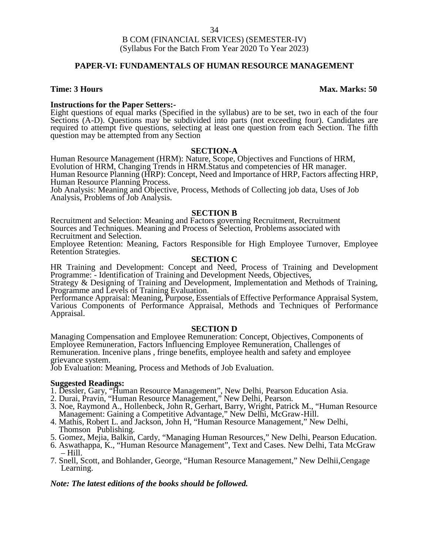#### **PAPER-VI: FUNDAMENTALS OF HUMAN RESOURCE MANAGEMENT**

#### **Time: 3 Hours Max. Marks: 50**

**Instructions for the Paper Setters:-**<br>Eight questions of equal marks (Specified in the syllabus) are to be set, two in each of the four Sections (A-D). Questions may be subdivided into parts (not exceeding four). Candidates are required to attempt five questions, selecting at least one question from each Section. The fifth question may be attempted from any Section

#### **SECTION-A**

Human Resource Management (HRM): Nature, Scope, Objectives and Functions of HRM, Evolution of HRM, Changing Trends in HRM.Status and competencies of HR manager. Human Resource Planning (HRP): Concept, Need and Importance of HRP, Factors affecting HRP, Human Resource Planning Process.

Job Analysis: Meaning and Objective, Process, Methods of Collecting job data, Uses of Job Analysis, Problems of Job Analysis.

#### **SECTION B**

Recruitment and Selection: Meaning and Factors governing Recruitment, Recruitment Sources and Techniques. Meaning and Process of Selection, Problems associated with Recruitment and Selection.

Employee Retention: Meaning, Factors Responsible for High Employee Turnover, Employee Retention Strategies.

#### **SECTION C**

HR Training and Development: Concept and Need, Process of Training and Development Programme: - Identification of Training and Development Needs, Objectives,

Strategy & Designing of Training and Development, Implementation and Methods of Training, Programme and Levels of Training Evaluation.

Performance Appraisal: Meaning, Purpose, Essentials of Effective Performance Appraisal System, Various Components of Performance Appraisal, Methods and Techniques of Performance Appraisal.

#### **SECTION D**

Managing Compensation and Employee Remuneration: Concept, Objectives, Components of Employee Remuneration, Factors Influencing Employee Remuneration, Challenges of Remuneration. Incenive plans , fringe benefits, employee health and safety and employee grievance system.

Job Evaluation: Meaning, Process and Methods of Job Evaluation.

#### **Suggested Readings:**

- 1. Dessler, Gary, "Human Resource Management", New Delhi, Pearson Education Asia.
- 2. Durai, Pravin, "Human Resource Management," New Delhi, Pearson.
- 3. Noe, Raymond A., Hollenbeck, John R, Gerhart, Barry, Wright, Patrick M., "Human Resource Management: Gaining a Competitive Advantage," New Delhi, McGraw-Hill.
- 4. Mathis, Robert L. and Jackson, John H, "Human Resource Management," New Delhi, Thomson Publishing.
- 5. Gomez, Mejia, Balkin, Cardy, "Managing Human Resources," New Delhi, Pearson Education.
- 6. Aswathappa, K., "Human Resource Management", Text and Cases. New Delhi, Tata McGraw – Hill.
- 7. Snell, Scott, and Bohlander, George, "Human Resource Management," New Delhii,Cengage Learning.

#### *Note: The latest editions of the books should be followed.*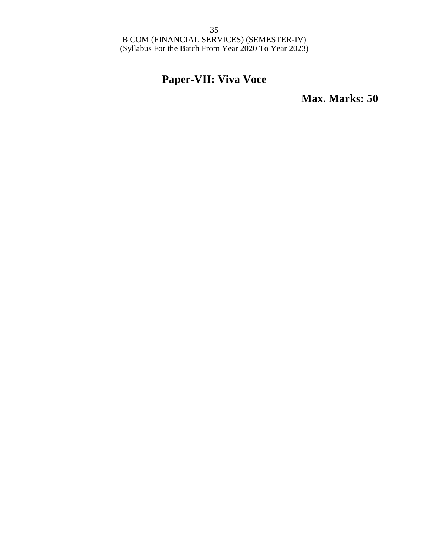## **Paper-VII: Viva Voce**

**Max. Marks: 50**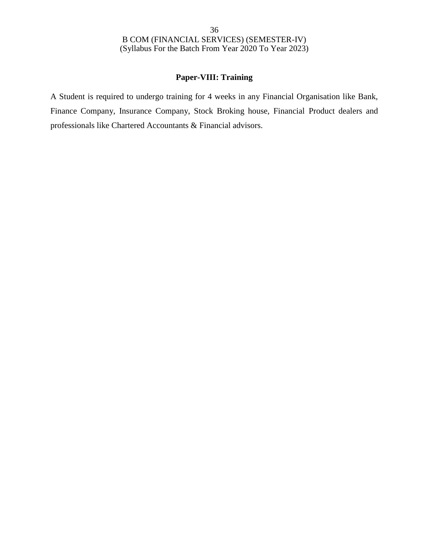### **Paper-VIII: Training**

A Student is required to undergo training for 4 weeks in any Financial Organisation like Bank, Finance Company, Insurance Company, Stock Broking house, Financial Product dealers and professionals like Chartered Accountants & Financial advisors.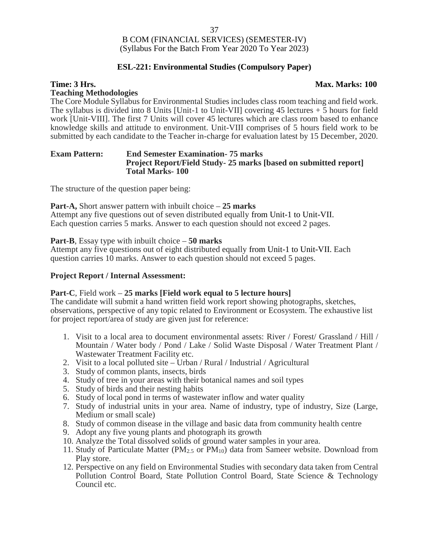### **ESL-221: Environmental Studies (Compulsory Paper)**

#### **Time: 3 Hrs. Max. Marks: 100**

#### **Teaching Methodologies**

The Core Module Syllabus for Environmental Studies includes class room teaching and field work. The syllabus is divided into 8 Units [Unit-1 to Unit-VII] covering 45 lectures  $+5$  hours for field work [Unit-VIII]. The first 7 Units will cover 45 lectures which are class room based to enhance knowledge skills and attitude to environment. Unit-VIII comprises of 5 hours field work to be submitted by each candidate to the Teacher in-charge for evaluation latest by 15 December, 2020.

#### **Exam Pattern: End Semester Examination- 75 marks Project Report/Field Study- 25 marks [based on submitted report] Total Marks- 100**

The structure of the question paper being:

#### **Part-A,** Short answer pattern with inbuilt choice – **25 marks**

Attempt any five questions out of seven distributed equally from Unit-1 to Unit-VII. Each question carries 5 marks. Answer to each question should not exceed 2 pages.

#### **Part-B**, Essay type with inbuilt choice – **50 marks**

Attempt any five questions out of eight distributed equally from Unit-1 to Unit-VII. Each question carries 10 marks. Answer to each question should not exceed 5 pages.

#### **Project Report / Internal Assessment:**

#### **Part-C**, Field work – **25 marks [Field work equal to 5 lecture hours]**

The candidate will submit a hand written field work report showing photographs, sketches, observations, perspective of any topic related to Environment or Ecosystem. The exhaustive list for project report/area of study are given just for reference:

- 1. Visit to a local area to document environmental assets: River / Forest/ Grassland / Hill / Mountain / Water body / Pond / Lake / Solid Waste Disposal / Water Treatment Plant / Wastewater Treatment Facility etc.
- 2. Visit to a local polluted site Urban / Rural / Industrial / Agricultural
- 3. Study of common plants, insects, birds
- 4. Study of tree in your areas with their botanical names and soil types
- 5. Study of birds and their nesting habits
- 6. Study of local pond in terms of wastewater inflow and water quality
- 7. Study of industrial units in your area. Name of industry, type of industry, Size (Large, Medium or small scale)
- 8. Study of common disease in the village and basic data from community health centre
- 9. Adopt any five young plants and photograph its growth
- 10. Analyze the Total dissolved solids of ground water samples in your area.
- 11. Study of Particulate Matter ( $PM_{2.5}$  or  $PM_{10}$ ) data from Sameer website. Download from Play store.
- 12. Perspective on any field on Environmental Studies with secondary data taken from Central Pollution Control Board, State Pollution Control Board, State Science & Technology Council etc.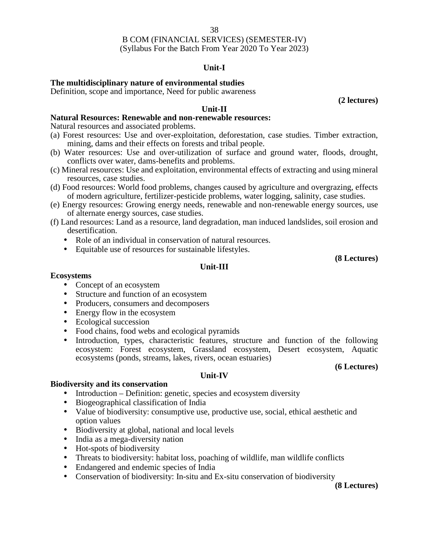### **Unit-I**

### **The multidisciplinary nature of environmental studies**

Definition, scope and importance, Need for public awareness

**(2 lectures)**

### **Unit-II**

### **Natural Resources: Renewable and non-renewable resources:**

Natural resources and associated problems.

- (a) Forest resources: Use and over-exploitation, deforestation, case studies. Timber extraction, mining, dams and their effects on forests and tribal people.
- (b) Water resources: Use and over-utilization of surface and ground water, floods, drought, conflicts over water, dams-benefits and problems.
- (c) Mineral resources: Use and exploitation, environmental effects of extracting and using mineral resources, case studies.
- (d) Food resources: World food problems, changes caused by agriculture and overgrazing, effects of modern agriculture, fertilizer-pesticide problems, water logging, salinity, case studies.
- (e) Energy resources: Growing energy needs, renewable and non-renewable energy sources, use of alternate energy sources, case studies.
- (f) Land resources: Land as a resource, land degradation, man induced landslides, soil erosion and desertification.

**Unit-III**

- Role of an individual in conservation of natural resources.
- Equitable use of resources for sustainable lifestyles.

**(8 Lectures)**

#### **Ecosystems**

- Concept of an ecosystem
- Structure and function of an ecosystem
- Producers, consumers and decomposers
- Energy flow in the ecosystem
- Ecological succession
- Food chains, food webs and ecological pyramids
- Introduction, types, characteristic features, structure and function of the following ecosystem: Forest ecosystem, Grassland ecosystem, Desert ecosystem, Aquatic ecosystems (ponds, streams, lakes, rivers, ocean estuaries)

#### **(6 Lectures)**

#### **Unit-IV**

#### **Biodiversity and its conservation**

- $\bullet$  Introduction Definition: genetic, species and ecosystem diversity
- Biogeographical classification of India
- Value of biodiversity: consumptive use, productive use, social, ethical aesthetic and option values
- Biodiversity at global, national and local levels
- India as a mega-diversity nation
- Hot-spots of biodiversity
- Threats to biodiversity: habitat loss, poaching of wildlife, man wildlife conflicts
- Endangered and endemic species of India
- Conservation of biodiversity: In-situ and Ex-situ conservation of biodiversity

**(8 Lectures)**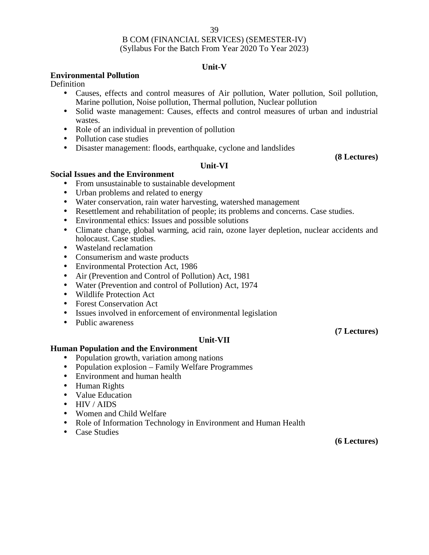### **Unit-V**

### **Environmental Pollution**

**Definition** 

- Causes, effects and control measures of Air pollution, Water pollution, Soil pollution, Marine pollution, Noise pollution, Thermal pollution, Nuclear pollution
- Solid waste management: Causes, effects and control measures of urban and industrial wastes.
- Role of an individual in prevention of pollution
- Pollution case studies
- Disaster management: floods, earthquake, cyclone and landslides

#### **(8 Lectures)**

### **Unit-VI**

#### **Social Issues and the Environment**

- From unsustainable to sustainable development
- Urban problems and related to energy
- Water conservation, rain water harvesting, watershed management
- Resettlement and rehabilitation of people; its problems and concerns. Case studies.
- Environmental ethics: Issues and possible solutions
- Climate change, global warming, acid rain, ozone layer depletion, nuclear accidents and holocaust. Case studies.
- Wasteland reclamation
- Consumerism and waste products
- Environmental Protection Act, 1986
- Air (Prevention and Control of Pollution) Act, 1981
- Water (Prevention and control of Pollution) Act, 1974
- Wildlife Protection Act
- Forest Conservation Act
- Issues involved in enforcement of environmental legislation
- Public awareness

### **(7 Lectures)**

#### **Unit-VII**

#### **Human Population and the Environment**

- Population growth, variation among nations
- Population explosion Family Welfare Programmes
- Environment and human health
- Human Rights
- Value Education
- HIV / AIDS
- Women and Child Welfare
- Role of Information Technology in Environment and Human Health
- Case Studies

**(6 Lectures)**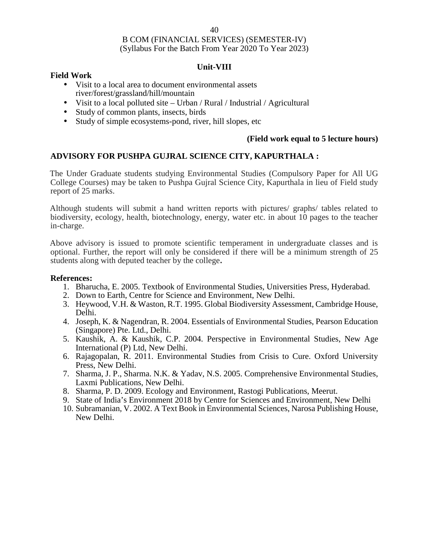#### **Unit-VIII**

### **Field Work**

- Visit to a local area to document environmental assets river/forest/grassland/hill/mountain
- Visit to a local polluted site Urban / Rural / Industrial / Agricultural
- Study of common plants, insects, birds
- Study of simple ecosystems-pond, river, hill slopes, etc

### **(Field work equal to 5 lecture hours)**

### **ADVISORY FOR PUSHPA GUJRAL SCIENCE CITY, KAPURTHALA :**

The Under Graduate students studying Environmental Studies (Compulsory Paper for All UG College Courses) may be taken to Pushpa Gujral Science City, Kapurthala in lieu of Field study report of 25 marks.

Although students will submit a hand written reports with pictures/ graphs/ tables related to biodiversity, ecology, health, biotechnology, energy, water etc. in about 10 pages to the teacher in-charge.

Above advisory is issued to promote scientific temperament in undergraduate classes and is optional. Further, the report will only be considered if there will be a minimum strength of 25 students along with deputed teacher by the college**.**

#### **References:**

- 1. Bharucha, E. 2005. Textbook of Environmental Studies, Universities Press, Hyderabad.
- 2. Down to Earth, Centre for Science and Environment, New Delhi.
- 3. Heywood, V.H. & Waston, R.T. 1995. Global Biodiversity Assessment, Cambridge House, Delhi.
- 4. Joseph, K. & Nagendran, R. 2004. Essentials of Environmental Studies, Pearson Education (Singapore) Pte. Ltd., Delhi.
- 5. Kaushik, A. & Kaushik, C.P. 2004. Perspective in Environmental Studies, New Age International (P) Ltd, New Delhi.
- 6. Rajagopalan, R. 2011. Environmental Studies from Crisis to Cure. Oxford University Press, New Delhi.
- 7. Sharma, J. P., Sharma. N.K. & Yadav, N.S. 2005. Comprehensive Environmental Studies, Laxmi Publications, New Delhi.
- 8. Sharma, P. D. 2009. Ecology and Environment, Rastogi Publications, Meerut.
- 9. State of India's Environment 2018 by Centre for Sciences and Environment, New Delhi
- 10. Subramanian, V. 2002. A Text Book in Environmental Sciences, Narosa Publishing House, New Delhi.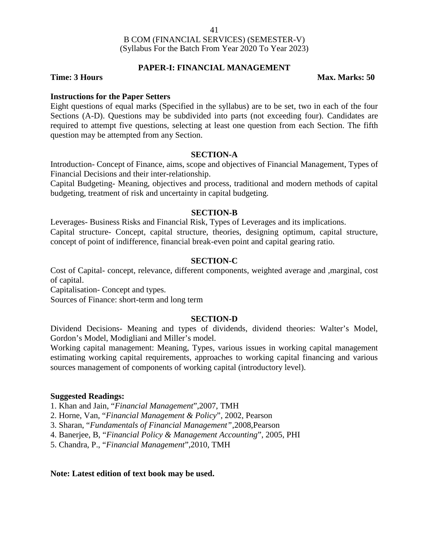#### **PAPER-I: FINANCIAL MANAGEMENT**

#### **Time: 3 Hours Max. Marks: 50**

#### **Instructions for the Paper Setters**

Eight questions of equal marks (Specified in the syllabus) are to be set, two in each of the four Sections (A-D). Questions may be subdivided into parts (not exceeding four). Candidates are required to attempt five questions, selecting at least one question from each Section. The fifth question may be attempted from any Section.

#### **SECTION-A**

Introduction- Concept of Finance, aims, scope and objectives of Financial Management, Types of Financial Decisions and their inter-relationship.

Capital Budgeting- Meaning, objectives and process, traditional and modern methods of capital budgeting, treatment of risk and uncertainty in capital budgeting.

#### **SECTION-B**

Leverages- Business Risks and Financial Risk, Types of Leverages and its implications. Capital structure- Concept, capital structure, theories, designing optimum, capital structure, concept of point of indifference, financial break-even point and capital gearing ratio.

#### **SECTION-C**

Cost of Capital- concept, relevance, different components, weighted average and ,marginal, cost of capital.

Capitalisation- Concept and types.

Sources of Finance: short-term and long term

#### **SECTION-D**

Dividend Decisions- Meaning and types of dividends, dividend theories: Walter's Model, Gordon's Model, Modigliani and Miller's model.

Working capital management: Meaning, Types, various issues in working capital management estimating working capital requirements, approaches to working capital financing and various sources management of components of working capital (introductory level).

#### **Suggested Readings:**

1. Khan and Jain, "*Financial Management*",2007, TMH

2. Horne, Van, "*Financial Management & Policy*", 2002, Pearson

3. Sharan, "*Fundamentals of Financial Management"*,2008,Pearson

4. Banerjee, B, "*Financial Policy & Management Accounting*", 2005, PHI

5. Chandra, P., "*Financial Management*",2010, TMH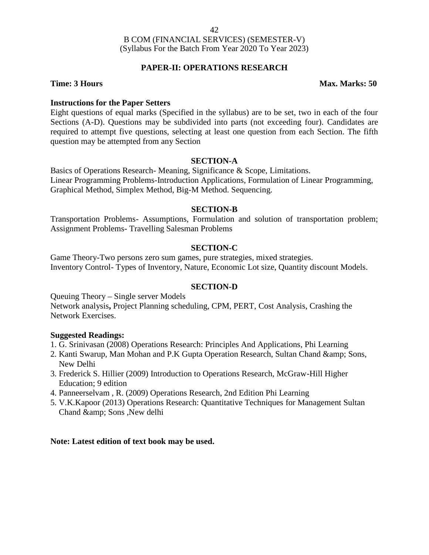### **PAPER-II: OPERATIONS RESEARCH**

**Instructions for the Paper Setters** Eight questions of equal marks (Specified in the syllabus) are to be set, two in each of the four Sections (A-D). Questions may be subdivided into parts (not exceeding four). Candidates are required to attempt five questions, selecting at least one question from each Section. The fifth question may be attempted from any Section

#### **SECTION-A**

Basics of Operations Research- Meaning, Significance & Scope, Limitations. Linear Programming Problems-Introduction Applications, Formulation of Linear Programming, Graphical Method, Simplex Method, Big-M Method. Sequencing.

### **SECTION-B**

Transportation Problems- Assumptions, Formulation and solution of transportation problem; Assignment Problems- Travelling Salesman Problems

### **SECTION-C**

Game Theory-Two persons zero sum games, pure strategies, mixed strategies. Inventory Control- Types of Inventory, Nature, Economic Lot size, Quantity discount Models.

### **SECTION-D**

Queuing Theory – Single server Models Network analysis**,** Project Planning scheduling, CPM, PERT, Cost Analysis, Crashing the Network Exercises.

#### **Suggested Readings:**

- 1. G. Srinivasan (2008) Operations Research: Principles And Applications, Phi Learning
- 2. Kanti Swarup, Man Mohan and P.K Gupta Operation Research, Sultan Chand & amp; Sons, New Delhi
- 3. Frederick S. Hillier (2009) Introduction to Operations Research, McGraw-Hill Higher Education; 9 edition
- 4. Panneerselvam , R. (2009) Operations Research, 2nd Edition Phi Learning
- 5. V.K.Kapoor (2013) Operations Research: Quantitative Techniques for Management Sultan Chand & amp; Sons , New delhi

#### **Note: Latest edition of text book may be used.**

**Time: 3 Hours Max. Marks: 50**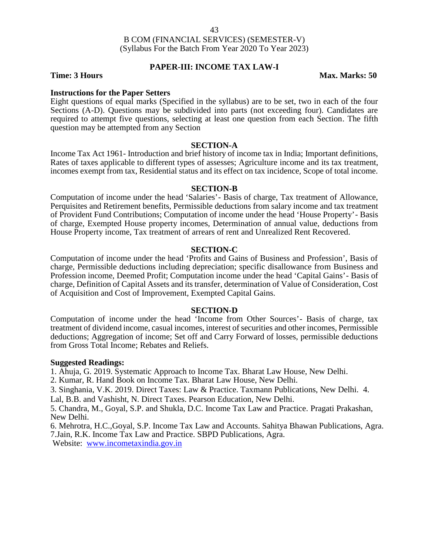### **PAPER-III: INCOME TAX LAW-I**

**Time: 3 Hours Max. Marks: 50** 

#### **Instructions for the Paper Setters**

Eight questions of equal marks (Specified in the syllabus) are to be set, two in each of the four Sections (A-D). Questions may be subdivided into parts (not exceeding four). Candidates are required to attempt five questions, selecting at least one question from each Section. The fifth question may be attempted from any Section

#### **SECTION-A**

Income Tax Act 1961- Introduction and brief history of income tax in India; Important definitions, Rates of taxes applicable to different types of assesses; Agriculture income and its tax treatment, incomes exempt from tax, Residential status and its effect on tax incidence, Scope of total income.

#### **SECTION-B**

Computation of income under the head 'Salaries'- Basis of charge, Tax treatment of Allowance, Perquisites and Retirement benefits, Permissible deductions from salary income and tax treatment of Provident Fund Contributions; Computation of income under the head 'House Property'- Basis of charge, Exempted House property incomes, Determination of annual value, deductions from House Property income, Tax treatment of arrears of rent and Unrealized Rent Recovered.

#### **SECTION-C**

Computation of income under the head 'Profits and Gains of Business and Profession', Basis of charge, Permissible deductions including depreciation; specific disallowance from Business and Profession income, Deemed Profit; Computation income under the head 'Capital Gains'- Basis of charge, Definition of Capital Assets and its transfer, determination of Value of Consideration, Cost of Acquisition and Cost of Improvement, Exempted Capital Gains.

#### **SECTION-D**

Computation of income under the head 'Income from Other Sources'- Basis of charge, tax treatment of dividend income, casual incomes, interest of securities and other incomes, Permissible deductions; Aggregation of income; Set off and Carry Forward of losses, permissible deductions from Gross Total Income; Rebates and Reliefs.

#### **Suggested Readings:**

1. Ahuja, G. 2019. Systematic Approach to Income Tax. Bharat Law House, New Delhi.

2. Kumar, R. Hand Book on Income Tax. Bharat Law House, New Delhi.

3. Singhania, V.K. 2019. Direct Taxes: Law & Practice. Taxmann Publications, New Delhi. 4.

Lal, B.B. and Vashisht, N. Direct Taxes. Pearson Education, New Delhi.

5. Chandra, M., Goyal, S.P. and Shukla, D.C. Income Tax Law and Practice. Pragati Prakashan, New Delhi.

6. Mehrotra, H.C.,Goyal, S.P. Income Tax Law and Accounts. Sahitya Bhawan Publications, Agra. 7.Jain, R.K. Income Tax Law and Practice. SBPD Publications, Agra.

Website: www.incometaxindia.gov.in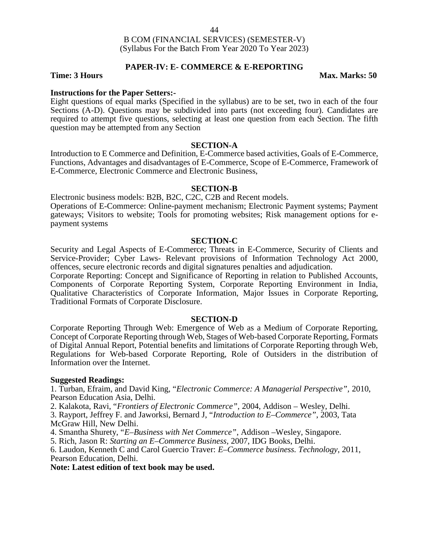#### **PAPER-IV: E- COMMERCE & E-REPORTING**

#### **Time: 3 Hours Max. Marks: 50**

#### **Instructions for the Paper Setters:-**

Eight questions of equal marks (Specified in the syllabus) are to be set, two in each of the four Sections (A-D). Questions may be subdivided into parts (not exceeding four). Candidates are required to attempt five questions, selecting at least one question from each Section. The fifth question may be attempted from any Section

#### **SECTION-A**

Introduction to E Commerce and Definition, E-Commerce based activities, Goals of E-Commerce, Functions, Advantages and disadvantages of E-Commerce, Scope of E-Commerce, Framework of E-Commerce, Electronic Commerce and Electronic Business,

#### **SECTION-B**

Electronic business models: B2B, B2C, C2C, C2B and Recent models. Operations of E-Commerce: Online-payment mechanism; Electronic Payment systems; Payment gateways; Visitors to website; Tools for promoting websites; Risk management options for e payment systems

#### **SECTION-C**

Security and Legal Aspects of E-Commerce; Threats in E-Commerce, Security of Clients and Service-Provider; Cyber Laws- Relevant provisions of Information Technology Act 2000, offences, secure electronic records and digital signatures penalties and adjudication.

Corporate Reporting: Concept and Significance of Reporting in relation to Published Accounts, Components of Corporate Reporting System, Corporate Reporting Environment in India, Qualitative Characteristics of Corporate Information, Major Issues in Corporate Reporting, Traditional Formats of Corporate Disclosure.

#### **SECTION-D**

Corporate Reporting Through Web: Emergence of Web as a Medium of Corporate Reporting, Concept of Corporate Reporting through Web, Stages of Web-based Corporate Reporting, Formats of Digital Annual Report, Potential benefits and limitations of Corporate Reporting through Web, Regulations for Web-based Corporate Reporting, Role of Outsiders in the distribution of Information over the Internet.

#### **Suggested Readings:**

1. Turban, Efraim, and David King, "*Electronic Commerce: A Managerial Perspective",* 2010, Pearson Education Asia, Delhi.

2. Kalakota, Ravi, "*Frontiers of Electronic Commerce",* 2004, Addison – Wesley, Delhi.

3. Rayport, Jeffrey F. and Jaworksi, Bernard J, "*Introduction to E–Commerce"*, 2003, Tata McGraw Hill, New Delhi.

4. Smantha Shurety, "*E–Business with Net Commerce"*, Addison –Wesley, Singapore.

5. Rich, Jason R: *Starting an E–Commerce Business,* 2007, IDG Books, Delhi.

6. Laudon, Kenneth C and Carol Guercio Traver: *E–Commerce business. Technology*, 2011, Pearson Education, Delhi.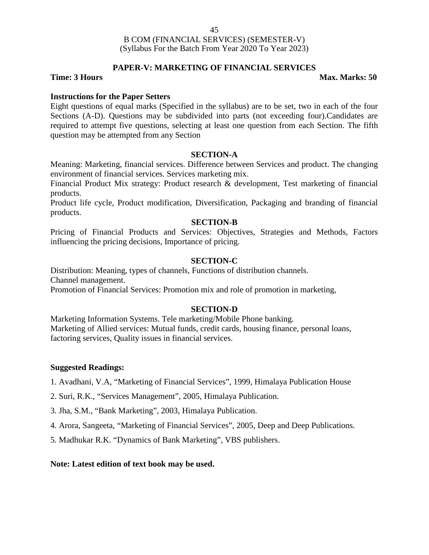### **PAPER-V: MARKETING OF FINANCIAL SERVICES**

#### **Time: 3 Hours Max. Marks: 50**

#### **Instructions for the Paper Setters**

Eight questions of equal marks (Specified in the syllabus) are to be set, two in each of the four Sections (A-D). Questions may be subdivided into parts (not exceeding four).Candidates are required to attempt five questions, selecting at least one question from each Section. The fifth question may be attempted from any Section

#### **SECTION-A**

Meaning: Marketing, financial services. Difference between Services and product. The changing environment of financial services. Services marketing mix.

Financial Product Mix strategy: Product research & development, Test marketing of financial products.

Product life cycle, Product modification, Diversification, Packaging and branding of financial products.

#### **SECTION-B**

Pricing of Financial Products and Services: Objectives, Strategies and Methods, Factors influencing the pricing decisions, Importance of pricing.

#### **SECTION-C**

Distribution: Meaning, types of channels, Functions of distribution channels. Channel management.

Promotion of Financial Services: Promotion mix and role of promotion in marketing,

#### **SECTION-D**

Marketing Information Systems. Tele marketing/Mobile Phone banking. Marketing of Allied services: Mutual funds, credit cards, housing finance, personal loans, factoring services, Quality issues in financial services.

#### **Suggested Readings:**

1. Avadhani, V.A, "Marketing of Financial Services", 1999, Himalaya Publication House

2. Suri, R.K., "Services Management", 2005, Himalaya Publication.

3. Jha, S.M., "Bank Marketing", 2003, Himalaya Publication.

4. Arora, Sangeeta, "Marketing of Financial Services", 2005, Deep and Deep Publications.

5. Madhukar R.K. "Dynamics of Bank Marketing", VBS publishers.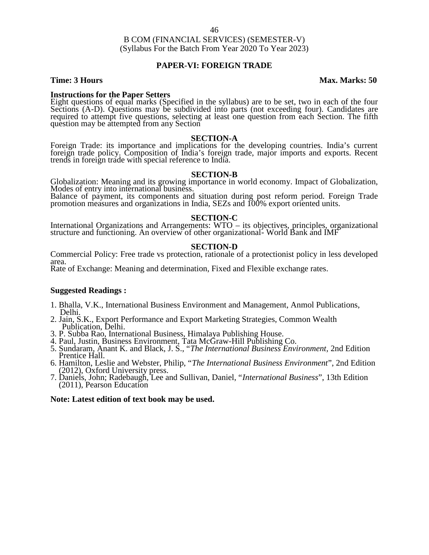#### **PAPER-VI: FOREIGN TRADE**

#### **Time: 3 Hours Max. Marks: 50**

Instructions for the Paper Setters<br>Eight questions of equal marks (Specified in the syllabus) are to be set, two in each of the four<br>Sections (A-D). Questions may be subdivided into parts (not exceeding four). Candidates a required to attempt five questions, selecting at least one question from each Section. The fifth question may be attempted from any Section

**SECTION-A**<br>Foreign Trade: its importance and implications for the developing countries. India's current foreign trade policy. Composition of India's foreign trade, major imports and exports. Recent<br>trends in foreign trade with special reference to India.

**SECTION-B**<br>Globalization: Meaning and its growing importance in world economy. Impact of Globalization,<br>Modes of entry into international business.

Balance of payment, its components and situation during post reform period. Foreign Trade promotion measures and organizations in India, SEZs and 100% export oriented units.

#### **SECTION-C**

International Organizations and Arrangements: WTO – its objectives, principles, organizational structure and functioning. An overview of other organizational- World Bank and IMF

#### **SECTION-D**

Commercial Policy: Free trade vs protection, rationale of a protectionist policy in less developed area.

Rate of Exchange: Meaning and determination, Fixed and Flexible exchange rates.

#### **Suggested Readings :**

- 1. Bhalla, V.K., International Business Environment and Management, Anmol Publications, Delhi.
- 2. Jain, S.K., Export Performance and Export Marketing Strategies, Common Wealth Publication, Delhi.
- 
- 
- 3. P. Subba Rao, International Business, Himalaya Publishing House.<br>4. Paul, Justin, Business Environment, Tata McGraw-Hill Publishing Co.<br>5. Sundaram, Anant K. and Black, J. S., "The International Business Environment, 2n Prentice Hall.
- 6. Hamilton, Leslie and Webster, Philip, "*The International Business Environment*", 2nd Edition (2012), Oxford University press. 7. Daniels, John; Radebaugh, Lee and Sullivan, Daniel, "*International Business*", 13th Edition
- (2011), Pearson Education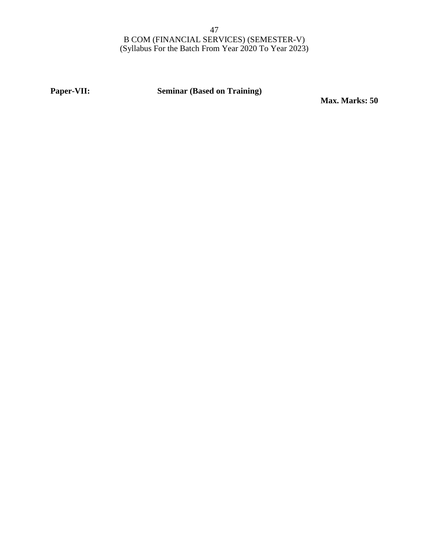**Paper-VII: Seminar (Based on Training)**

**Max. Marks: 50**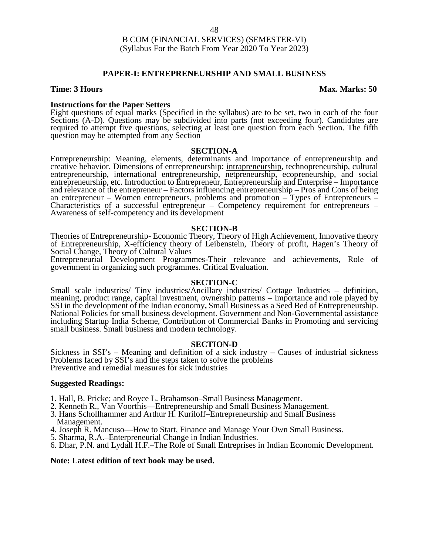#### **PAPER-I: ENTREPRENEURSHIP AND SMALL BUSINESS**

#### **Time: 3 Hours Max. Marks: 50**

#### **Instructions for the Paper Setters**

Eight questions of equal marks (Specified in the syllabus) are to be set, two in each of the four Sections (A-D). Questions may be subdivided into parts (not exceeding four). Candidates are required to attempt five questions, selecting at least one question from each Section. The fifth question may be attempted from any Section

#### **SECTION-A**

Entrepreneurship: Meaning, elements, determinants and importance of entrepreneurship and creative behavior. Dimensions of entrepreneurship: intrapreneurship, technopreneurship, cultural entrepreneurship, international entrepreneurship, netpreneurship, ecopreneurship, and social entrepreneurship, etc. Introduction to Entrepreneur, Entrepreneurship and Enterprise – Importance and relevance of the entrepreneur – Factors influencing entrepreneurship – Pros and Cons of being<br>an entrepreneur – Women entrepreneurs, problems and promotion – Types of Entrepreneurs – Characteristics of a successful entrepreneur – Competency requirement for entrepreneurs – Awareness of self-competency and its development

#### **SECTION-B**

Theories of Entrepreneurship- Economic Theory, Theory of High Achievement, Innovative theory of Entrepreneurship, X-efficiency theory of Leibenstein, Theory of profit, Hagen's Theory of Social Change, Theory of Cultural Values

Entrepreneurial Development Programmes-Their relevance and achievements, Role of government in organizing such programmes. Critical Evaluation.

#### **SECTION-C**

Small scale industries/ Tiny industries/Ancillary industries/ Cottage Industries – definition, meaning, product range, capital investment, ownership patterns – Importance and role played by SSI in the development of the Indian economy**,** Small Business as a Seed Bed of Entrepreneurship. National Policies for small business development. Government and Non-Governmental assistance including Startup India Scheme, Contribution of Commercial Banks in Promoting and servicing small business. Small business and modern technology.

#### **SECTION-D**

Sickness in SSI's – Meaning and definition of a sick industry – Causes of industrial sickness Problems faced by SSI's and the steps taken to solve the problems Preventive and remedial measures for sick industries

#### **Suggested Readings:**

- 1. Hall, B. Pricke; and Royce L. Brahamson–Small Business Management.
- 2. Kenneth R., Van Voorthis—Entrepreneurship and Small Business Management.
- 3. Hans Schollhammer and Arthur H. Kuriloff–Entrepreneurship and Small Business Management.
- 4. Joseph R. Mancuso—How to Start, Finance and Manage Your Own Small Business.
- 5. Sharma, R.A.–Enterpreneurial Change in Indian Industries.
- 6. Dhar, P.N. and Lydall H.F.–The Role of Small Entreprises in Indian Economic Development.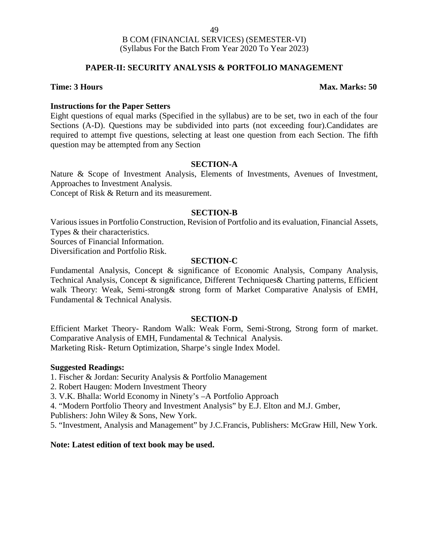### **PAPER-II: SECURITY ANALYSIS & PORTFOLIO MANAGEMENT**

#### **Time: 3 Hours Max. Marks: 50**

#### **Instructions for the Paper Setters**

Eight questions of equal marks (Specified in the syllabus) are to be set, two in each of the four Sections (A-D). Questions may be subdivided into parts (not exceeding four).Candidates are required to attempt five questions, selecting at least one question from each Section. The fifth question may be attempted from any Section

#### **SECTION-A**

Nature & Scope of Investment Analysis, Elements of Investments, Avenues of Investment, Approaches to Investment Analysis.

Concept of Risk & Return and its measurement.

#### **SECTION-B**

Various issues in Portfolio Construction, Revision of Portfolio and its evaluation, Financial Assets, Types & their characteristics.

Sources of Financial Information.

Diversification and Portfolio Risk.

#### **SECTION-C**

Fundamental Analysis, Concept & significance of Economic Analysis, Company Analysis, Technical Analysis, Concept & significance, Different Techniques& Charting patterns, Efficient walk Theory: Weak, Semi-strong& strong form of Market Comparative Analysis of EMH, Fundamental & Technical Analysis.

#### **SECTION-D**

Efficient Market Theory- Random Walk: Weak Form, Semi-Strong, Strong form of market. Comparative Analysis of EMH, Fundamental & Technical Analysis. Marketing Risk- Return Optimization, Sharpe's single Index Model.

#### **Suggested Readings:**

1. Fischer & Jordan: Security Analysis & Portfolio Management

2. Robert Haugen: Modern Investment Theory

3. V.K. Bhalla: World Economy in Ninety's –A Portfolio Approach

4. "Modern Portfolio Theory and Investment Analysis" by E.J. Elton and M.J. Gmber,

Publishers: John Wiley & Sons, New York.

5. "Investment, Analysis and Management" by J.C.Francis, Publishers: McGraw Hill, New York.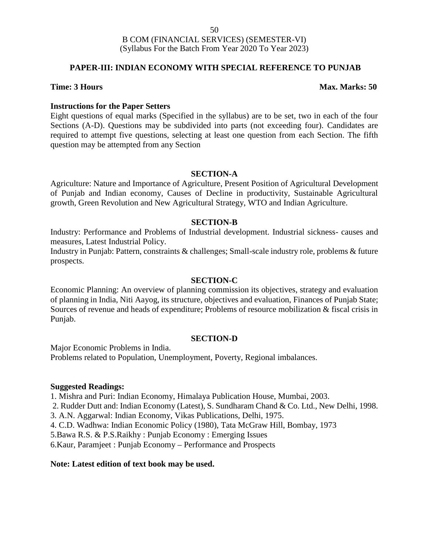### **PAPER-III: INDIAN ECONOMY WITH SPECIAL REFERENCE TO PUNJAB**

#### **Time: 3 Hours Max. Marks: 50**

#### **Instructions for the Paper Setters**

Eight questions of equal marks (Specified in the syllabus) are to be set, two in each of the four Sections (A-D). Questions may be subdivided into parts (not exceeding four). Candidates are required to attempt five questions, selecting at least one question from each Section. The fifth question may be attempted from any Section

#### **SECTION-A**

Agriculture: Nature and Importance of Agriculture, Present Position of Agricultural Development of Punjab and Indian economy, Causes of Decline in productivity, Sustainable Agricultural growth, Green Revolution and New Agricultural Strategy, WTO and Indian Agriculture.

#### **SECTION-B**

Industry: Performance and Problems of Industrial development. Industrial sickness- causes and measures, Latest Industrial Policy.

Industry in Punjab: Pattern, constraints & challenges; Small-scale industry role, problems & future prospects.

#### **SECTION-C**

Economic Planning: An overview of planning commission its objectives, strategy and evaluation of planning in India, Niti Aayog, its structure, objectives and evaluation, Finances of Punjab State; Sources of revenue and heads of expenditure; Problems of resource mobilization & fiscal crisis in Punjab.

#### **SECTION-D**

Major Economic Problems in India. Problems related to Population, Unemployment, Poverty, Regional imbalances.

#### **Suggested Readings:**

1. Mishra and Puri: Indian Economy, Himalaya Publication House, Mumbai, 2003.

2. Rudder Dutt and: Indian Economy (Latest), S. Sundharam Chand & Co. Ltd., New Delhi, 1998.

3. A.N. Aggarwal: Indian Economy, Vikas Publications, Delhi, 1975.

4. C.D. Wadhwa: Indian Economic Policy (1980), Tata McGraw Hill, Bombay, 1973

5.Bawa R.S. & P.S.Raikhy : Punjab Economy : Emerging Issues

6.Kaur, Paramjeet : Punjab Economy – Performance and Prospects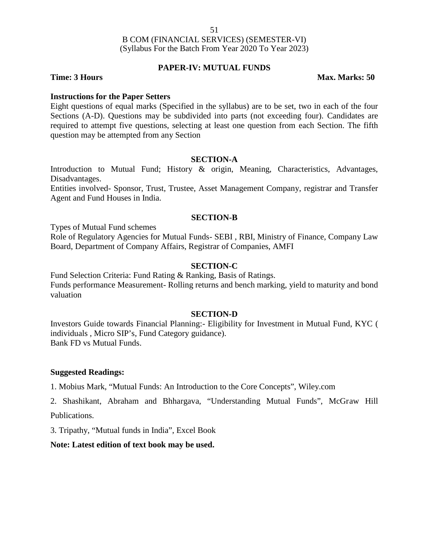### **PAPER-IV: MUTUAL FUNDS**

**Time: 3 Hours Max. Marks: 50** 

#### **Instructions for the Paper Setters**

Eight questions of equal marks (Specified in the syllabus) are to be set, two in each of the four Sections (A-D). Questions may be subdivided into parts (not exceeding four). Candidates are required to attempt five questions, selecting at least one question from each Section. The fifth question may be attempted from any Section

#### **SECTION-A**

Introduction to Mutual Fund; History & origin, Meaning, Characteristics, Advantages, Disadvantages.

Entities involved- Sponsor, Trust, Trustee, Asset Management Company, registrar and Transfer Agent and Fund Houses in India.

#### **SECTION-B**

Types of Mutual Fund schemes

Role of Regulatory Agencies for Mutual Funds- SEBI , RBI, Ministry of Finance, Company Law Board, Department of Company Affairs, Registrar of Companies, AMFI

### **SECTION-C**

Fund Selection Criteria: Fund Rating & Ranking, Basis of Ratings. Funds performance Measurement- Rolling returns and bench marking, yield to maturity and bond valuation

#### **SECTION-D**

Investors Guide towards Financial Planning:- Eligibility for Investment in Mutual Fund, KYC ( individuals , Micro SIP's, Fund Category guidance). Bank FD vs Mutual Funds.

#### **Suggested Readings:**

1. Mobius Mark, "Mutual Funds: An Introduction to the Core Concepts", Wiley.com

2. Shashikant, Abraham and Bhhargava, "Understanding Mutual Funds", McGraw Hill Publications.

3. Tripathy, "Mutual funds in India", Excel Book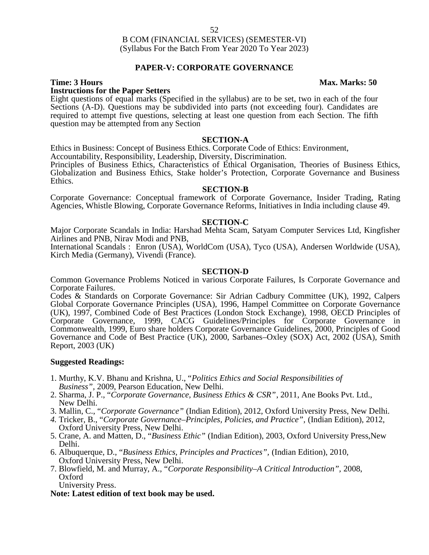### **PAPER-V: CORPORATE GOVERNANCE**

### **Instructions for the Paper Setters**

Eight questions of equal marks (Specified in the syllabus) are to be set, two in each of the four Sections (A-D). Questions may be subdivided into parts (not exceeding four). Candidates are required to attempt five questions, selecting at least one question from each Section. The fifth question may be attempted from any Section

#### **SECTION-A**

Ethics in Business: Concept of Business Ethics. Corporate Code of Ethics: Environment,

Accountability, Responsibility, Leadership, Diversity, Discrimination.

Principles of Business Ethics, Characteristics of Ethical Organisation, Theories of Business Ethics, Globalization and Business Ethics, Stake holder's Protection, Corporate Governance and Business Ethics.

#### **SECTION-B**

Corporate Governance: Conceptual framework of Corporate Governance, Insider Trading, Rating Agencies, Whistle Blowing, Corporate Governance Reforms, Initiatives in India including clause 49.

#### **SECTION-C**

Major Corporate Scandals in India: Harshad Mehta Scam, Satyam Computer Services Ltd, Kingfisher Airlines and PNB, Nirav Modi and PNB,

International Scandals : Enron (USA), WorldCom (USA), Tyco (USA), Andersen Worldwide (USA), Kirch Media (Germany), Vivendi (France).

#### **SECTION-D**

Common Governance Problems Noticed in various Corporate Failures, Is Corporate Governance and Corporate Failures.

Codes & Standards on Corporate Governance: Sir Adrian Cadbury Committee (UK), 1992, Calpers Global Corporate Governance Principles (USA), 1996, Hampel Committee on Corporate Governance (UK), 1997, Combined Code of Best Practices (London Stock Exchange), 1998, OECD Principles of Corporate Governance, 1999, CACG Guidelines/Principles for Corporate Governance in Commonwealth, 1999, Euro share holders Corporate Governance Guidelines, 2000, Principles of Good Governance and Code of Best Practice (UK), 2000, Sarbanes–Oxley (SOX) Act, 2002 (USA), Smith Report, 2003 (UK)

#### **Suggested Readings:**

- 1. Murthy, K.V. Bhanu and Krishna, U., "*Politics Ethics and Social Responsibilities of Business",* 2009, Pearson Education, New Delhi.
- 2. Sharma, J. P., "*Corporate Governance, Business Ethics & CSR"*, 2011, Ane Books Pvt. Ltd., New Delhi.
- 3. Mallin, C., "*Corporate Governance"* (Indian Edition), 2012, Oxford University Press, New Delhi.
- *4.* Tricker, B., "*Corporate Governance–Principles, Policies, and Practice",* (Indian Edition), 2012, Oxford University Press, New Delhi.
- 5. Crane, A. and Matten, D., "*Business Ethic"* (Indian Edition), 2003, Oxford University Press,New Delhi.
- 6. Albuquerque, D., "*Business Ethics, Principles and Practices",* (Indian Edition), 2010, Oxford University Press, New Delhi.
- 7. Blowfield, M. and Murray, A., "*Corporate Responsibility–A Critical Introduction",* 2008, Oxford

University Press.

**Note: Latest edition of text book may be used.**

#### **Time: 3 Hours Max. Marks: 50**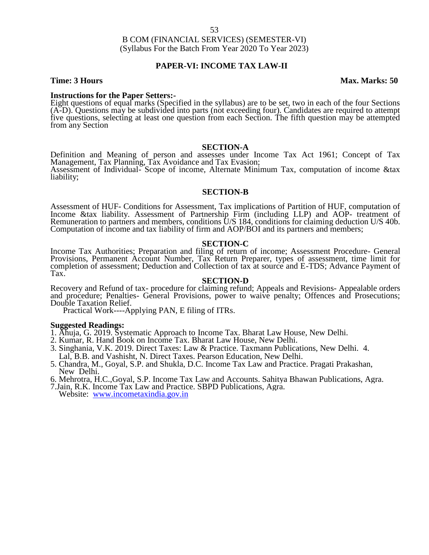#### **PAPER-VI: INCOME TAX LAW-II**

#### **Time: 3 Hours Max. Marks: 50**

**Instructions for the Paper Setters:-**<br>Eight questions of equal marks (Specified in the syllabus) are to be set, two in each of the four Sections (A-D). Questions may be subdivided into parts (not exceeding four). Candidates are required to attempt five questions, selecting at least one question from each Section. The fifth question may be attempted five questions, selecting at least one question from each Section. The fifth question may be attempted from any Section

#### **SECTION-A**

Definition and Meaning of person and assesses under Income Tax Act 1961; Concept of Tax<br>Management, Tax Planning, Tax Avoidance and Tax Evasion;<br>Assessment of Individual- Scope of income, Alternate Minimum Tax, computation liability;

#### **SECTION-B**

Assessment of HUF- Conditions for Assessment, Tax implications of Partition of HUF, computation of Income &tax liability. Assessment of Partnership Firm (including LLP) and AOP- treatment of Remuneration to partners and members, conditions U/S 184, conditions for claiming deduction U/S 40b.<br>Computation of income and tax liability of firm and AOP/BOI and its partners and members;

#### **SECTION-C**

Income Tax Authorities; Preparation and filing of return of income; Assessment Procedure- General Provisions, Permanent Account Number, Tax Return Preparer, types of assessment, time limit for completion of assessment; Deduction and Collection of tax at source and E-TDS; Advance Payment of Tax.

#### **SECTION-D**

Recovery and Refund of tax- procedure for claiming refund; Appeals and Revisions- Appealable orders and procedure; Penalties- General Provisions, power to waive penalty; Offences and Prosecutions; Double Taxation Relief.

Practical Work----Applying PAN, E filing of ITRs.

- **Suggested Readings:** 1. Ahuja, G. 2019. Systematic Approach to Income Tax. Bharat Law House, New Delhi.
- 2. Kumar, R. Hand Book on Income Tax. Bharat Law House, New Delhi.
- 3. Singhania, V.K. 2019. Direct Taxes: Law & Practice. Taxmann Publications, New Delhi. 4. Lal, B.B. and Vashisht, N. Direct Taxes. Pearson Education, New Delhi.
- 5. Chandra, M., Goyal, S.P. and Shukla, D.C. Income Tax Law and Practice. Pragati Prakashan, New Delhi.
- 6. Mehrotra, H.C.,Goyal, S.P. Income Tax Law and Accounts. Sahitya Bhawan Publications, Agra. 7.Jain, R.K. Income Tax Law and Practice. SBPD Publications, Agra. Website: www.incometaxindia.gov.in
- 
-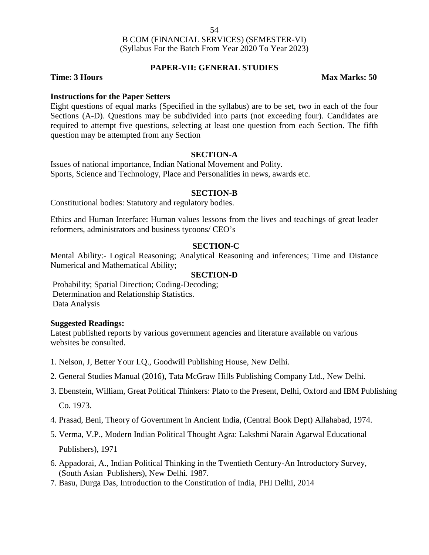#### **PAPER-VII: GENERAL STUDIES**

**Time: 3 Hours Max Marks: 50** 

#### **Instructions for the Paper Setters**

Eight questions of equal marks (Specified in the syllabus) are to be set, two in each of the four Sections (A-D). Questions may be subdivided into parts (not exceeding four). Candidates are required to attempt five questions, selecting at least one question from each Section. The fifth question may be attempted from any Section

#### **SECTION-A**

Issues of national importance, Indian National Movement and Polity. Sports, Science and Technology, Place and Personalities in news, awards etc.

#### **SECTION-B**

Constitutional bodies: Statutory and regulatory bodies.

Ethics and Human Interface: Human values lessons from the lives and teachings of great leader reformers, administrators and business tycoons/ CEO's

#### **SECTION-C**

Mental Ability:- Logical Reasoning; Analytical Reasoning and inferences; Time and Distance Numerical and Mathematical Ability;

#### **SECTION-D**

Probability; Spatial Direction; Coding-Decoding; Determination and Relationship Statistics. Data Analysis

#### **Suggested Readings:**

Latest published reports by various government agencies and literature available on various websites be consulted.

- 1. Nelson, J, Better Your I.Q., Goodwill Publishing House, New Delhi.
- 2. General Studies Manual (2016), Tata McGraw Hills Publishing Company Ltd., New Delhi.
- 3. Ebenstein, William, Great Political Thinkers: Plato to the Present, Delhi, Oxford and IBM Publishing Co. 1973.

4. Prasad, Beni, Theory of Government in Ancient India, (Central Book Dept) Allahabad, 1974.

- 5. Verma, V.P., Modern Indian Political Thought Agra: Lakshmi Narain Agarwal Educational Publishers), 1971
- 6. Appadorai, A., Indian Political Thinking in the Twentieth Century-An Introductory Survey, (South Asian Publishers), New Delhi. 1987.
- 7. Basu, Durga Das, Introduction to the Constitution of India, PHI Delhi, 2014